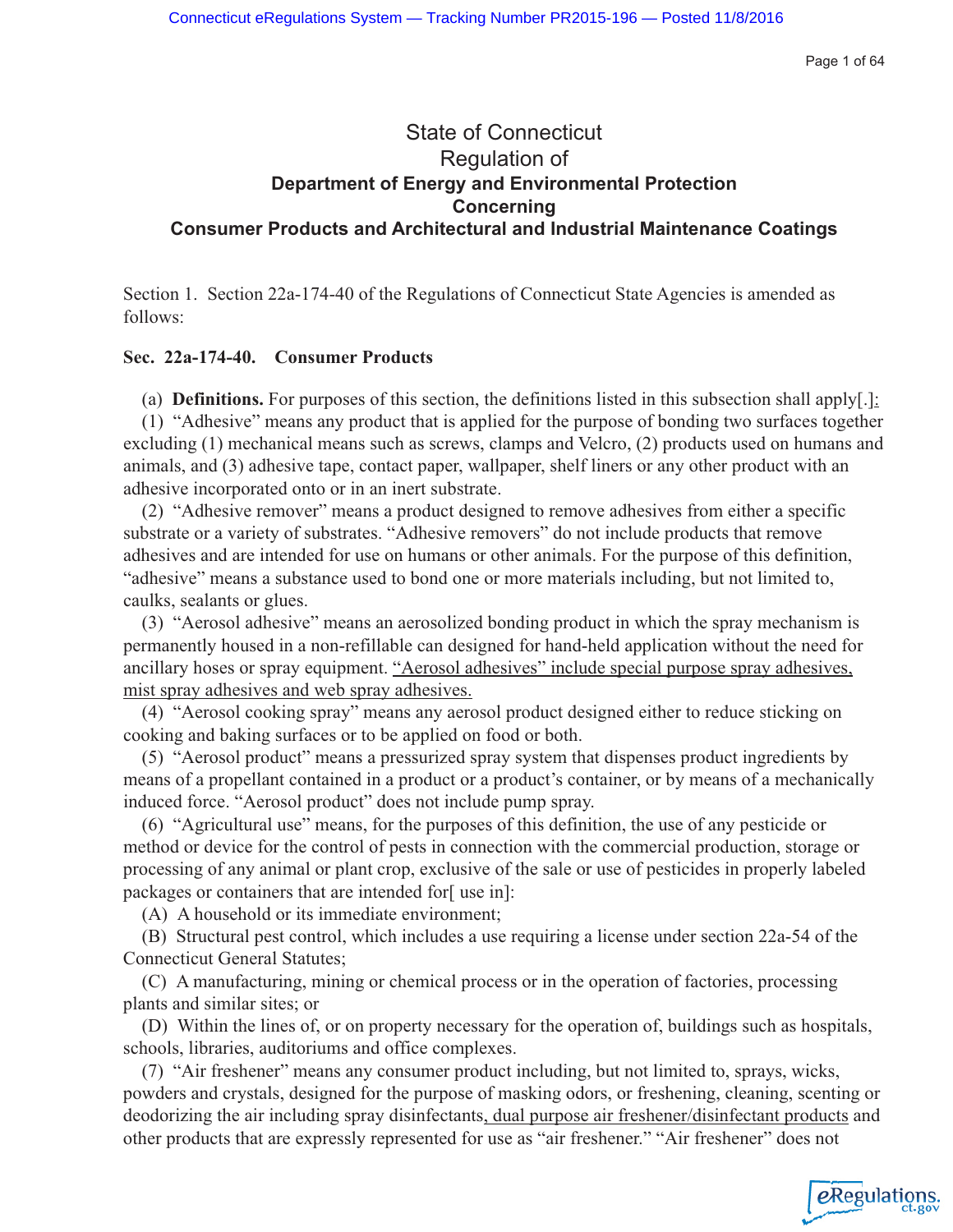Page 1 of 64

eRegulations

## State of Connecticut Regulation of **Department of Energy and Environmental Protection Concerning Consumer Products and Architectural and Industrial Maintenance Coatings**

Section 1. Section 22a-174-40 of the Regulations of Connecticut State Agencies is amended as follows:

## **Sec. 22a-174-40. Consumer Products**

(a) **Definitions.** For purposes of this section, the definitions listed in this subsection shall apply[.]:

(1) "Adhesive" means any product that is applied for the purpose of bonding two surfaces together excluding (1) mechanical means such as screws, clamps and Velcro, (2) products used on humans and animals, and (3) adhesive tape, contact paper, wallpaper, shelf liners or any other product with an adhesive incorporated onto or in an inert substrate.

(2) "Adhesive remover" means a product designed to remove adhesives from either a specific substrate or a variety of substrates. "Adhesive removers" do not include products that remove adhesives and are intended for use on humans or other animals. For the purpose of this definition, "adhesive" means a substance used to bond one or more materials including, but not limited to, caulks, sealants or glues.

(3) "Aerosol adhesive" means an aerosolized bonding product in which the spray mechanism is permanently housed in a non-refillable can designed for hand-held application without the need for ancillary hoses or spray equipment. "Aerosol adhesives" include special purpose spray adhesives, mist spray adhesives and web spray adhesives.

(4) "Aerosol cooking spray" means any aerosol product designed either to reduce sticking on cooking and baking surfaces or to be applied on food or both.

(5) "Aerosol product" means a pressurized spray system that dispenses product ingredients by means of a propellant contained in a product or a product's container, or by means of a mechanically induced force. "Aerosol product" does not include pump spray.

(6) "Agricultural use" means, for the purposes of this definition, the use of any pesticide or method or device for the control of pests in connection with the commercial production, storage or processing of any animal or plant crop, exclusive of the sale or use of pesticides in properly labeled packages or containers that are intended for[ use in]:

(A) A household or its immediate environment;

(B) Structural pest control, which includes a use requiring a license under section 22a-54 of the Connecticut General Statutes;

(C) A manufacturing, mining or chemical process or in the operation of factories, processing plants and similar sites; or

(D) Within the lines of, or on property necessary for the operation of, buildings such as hospitals, schools, libraries, auditoriums and office complexes.

(7) "Air freshener" means any consumer product including, but not limited to, sprays, wicks, powders and crystals, designed for the purpose of masking odors, or freshening, cleaning, scenting or deodorizing the air including spray disinfectants, dual purpose air freshener/disinfectant products and other products that are expressly represented for use as "air freshener." "Air freshener" does not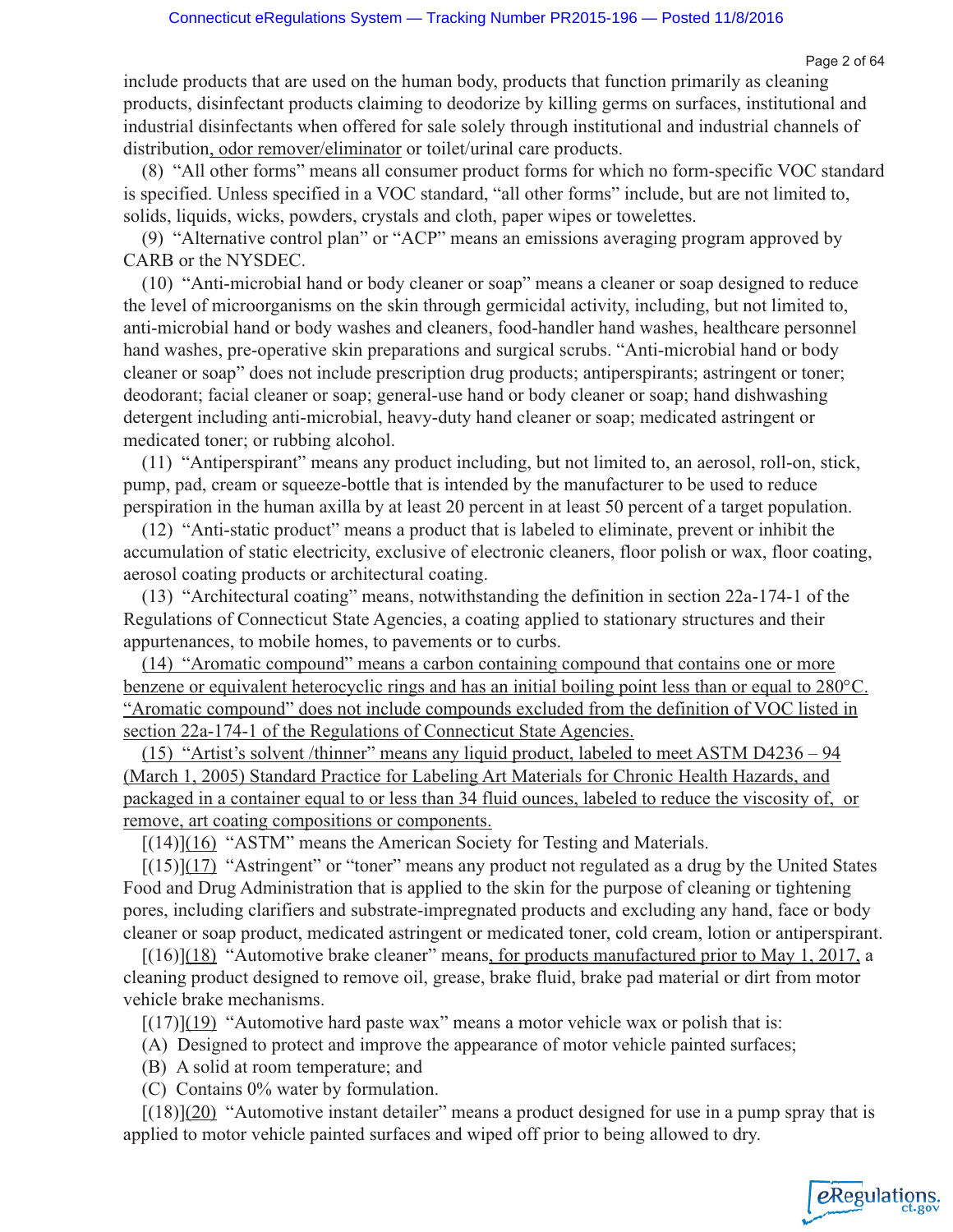Page 2 of 64

eRegulations

include products that are used on the human body, products that function primarily as cleaning products, disinfectant products claiming to deodorize by killing germs on surfaces, institutional and industrial disinfectants when offered for sale solely through institutional and industrial channels of distribution, odor remover/eliminator or toilet/urinal care products.

(8) "All other forms" means all consumer product forms for which no form-specific VOC standard is specified. Unless specified in a VOC standard, "all other forms" include, but are not limited to, solids, liquids, wicks, powders, crystals and cloth, paper wipes or towelettes.

(9) "Alternative control plan" or "ACP" means an emissions averaging program approved by CARB or the NYSDEC.

(10) "Anti-microbial hand or body cleaner or soap" means a cleaner or soap designed to reduce the level of microorganisms on the skin through germicidal activity, including, but not limited to, anti-microbial hand or body washes and cleaners, food-handler hand washes, healthcare personnel hand washes, pre-operative skin preparations and surgical scrubs. "Anti-microbial hand or body cleaner or soap" does not include prescription drug products; antiperspirants; astringent or toner; deodorant; facial cleaner or soap; general-use hand or body cleaner or soap; hand dishwashing detergent including anti-microbial, heavy-duty hand cleaner or soap; medicated astringent or medicated toner; or rubbing alcohol.

(11) "Antiperspirant" means any product including, but not limited to, an aerosol, roll-on, stick, pump, pad, cream or squeeze-bottle that is intended by the manufacturer to be used to reduce perspiration in the human axilla by at least 20 percent in at least 50 percent of a target population.

(12) "Anti-static product" means a product that is labeled to eliminate, prevent or inhibit the accumulation of static electricity, exclusive of electronic cleaners, floor polish or wax, floor coating, aerosol coating products or architectural coating.

(13) "Architectural coating" means, notwithstanding the definition in section 22a-174-1 of the Regulations of Connecticut State Agencies, a coating applied to stationary structures and their appurtenances, to mobile homes, to pavements or to curbs.

(14) "Aromatic compound" means a carbon containing compound that contains one or more benzene or equivalent heterocyclic rings and has an initial boiling point less than or equal to 280°C. "Aromatic compound" does not include compounds excluded from the definition of VOC listed in section 22a-174-1 of the Regulations of Connecticut State Agencies.

(15) "Artist's solvent /thinner" means any liquid product, labeled to meet ASTM D4236 – 94 (March 1, 2005) Standard Practice for Labeling Art Materials for Chronic Health Hazards, and packaged in a container equal to or less than 34 fluid ounces, labeled to reduce the viscosity of, or remove, art coating compositions or components.

[(14)](16) "ASTM" means the American Society for Testing and Materials.

 $[(15)](17)$  "Astringent" or "toner" means any product not regulated as a drug by the United States Food and Drug Administration that is applied to the skin for the purpose of cleaning or tightening pores, including clarifiers and substrate-impregnated products and excluding any hand, face or body cleaner or soap product, medicated astringent or medicated toner, cold cream, lotion or antiperspirant.

 $[(16)](18)$  "Automotive brake cleaner" means, for products manufactured prior to May 1, 2017, a cleaning product designed to remove oil, grease, brake fluid, brake pad material or dirt from motor vehicle brake mechanisms.

 $[(17)](19)$  "Automotive hard paste wax" means a motor vehicle wax or polish that is:

- (A) Designed to protect and improve the appearance of motor vehicle painted surfaces;
- (B) A solid at room temperature; and
- (C) Contains 0% water by formulation.

 $[(18)](20)$  "Automotive instant detailer" means a product designed for use in a pump spray that is applied to motor vehicle painted surfaces and wiped off prior to being allowed to dry.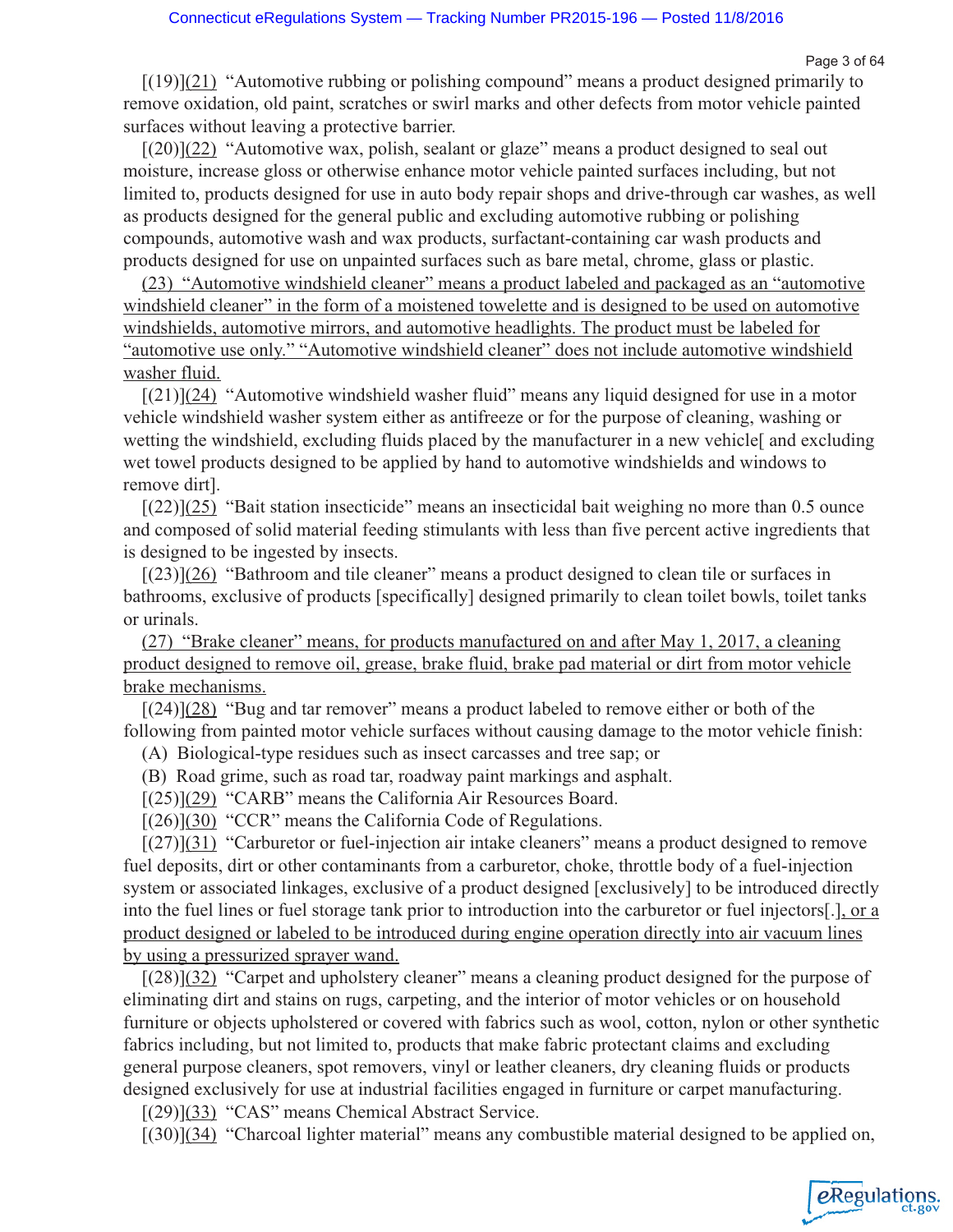Page 3 of 64

eRegulations

 $[(19)](21)$  "Automotive rubbing or polishing compound" means a product designed primarily to remove oxidation, old paint, scratches or swirl marks and other defects from motor vehicle painted surfaces without leaving a protective barrier.

 $[(20)](22)$  "Automotive wax, polish, sealant or glaze" means a product designed to seal out moisture, increase gloss or otherwise enhance motor vehicle painted surfaces including, but not limited to, products designed for use in auto body repair shops and drive-through car washes, as well as products designed for the general public and excluding automotive rubbing or polishing compounds, automotive wash and wax products, surfactant-containing car wash products and products designed for use on unpainted surfaces such as bare metal, chrome, glass or plastic.

(23) "Automotive windshield cleaner" means a product labeled and packaged as an "automotive windshield cleaner" in the form of a moistened towelette and is designed to be used on automotive windshields, automotive mirrors, and automotive headlights. The product must be labeled for "automotive use only." "Automotive windshield cleaner" does not include automotive windshield washer fluid.

 $[(21)](24)$  "Automotive windshield washer fluid" means any liquid designed for use in a motor vehicle windshield washer system either as antifreeze or for the purpose of cleaning, washing or wetting the windshield, excluding fluids placed by the manufacturer in a new vehicle and excluding wet towel products designed to be applied by hand to automotive windshields and windows to remove dirt].

[(22)](25) "Bait station insecticide" means an insecticidal bait weighing no more than 0.5 ounce and composed of solid material feeding stimulants with less than five percent active ingredients that is designed to be ingested by insects.

[(23)](26) "Bathroom and tile cleaner" means a product designed to clean tile or surfaces in bathrooms, exclusive of products [specifically] designed primarily to clean toilet bowls, toilet tanks or urinals.

(27) "Brake cleaner" means, for products manufactured on and after May 1, 2017, a cleaning product designed to remove oil, grease, brake fluid, brake pad material or dirt from motor vehicle brake mechanisms.

 $[(24)](28)$  "Bug and tar remover" means a product labeled to remove either or both of the following from painted motor vehicle surfaces without causing damage to the motor vehicle finish:

(A) Biological-type residues such as insect carcasses and tree sap; or

(B) Road grime, such as road tar, roadway paint markings and asphalt.

[(25)](29) "CARB" means the California Air Resources Board.

 $[(26)](30)$  "CCR" means the California Code of Regulations.

[(27)](31) "Carburetor or fuel-injection air intake cleaners" means a product designed to remove fuel deposits, dirt or other contaminants from a carburetor, choke, throttle body of a fuel-injection system or associated linkages, exclusive of a product designed [exclusively] to be introduced directly into the fuel lines or fuel storage tank prior to introduction into the carburetor or fuel injectors[.], or a product designed or labeled to be introduced during engine operation directly into air vacuum lines by using a pressurized sprayer wand.

[(28)](32) "Carpet and upholstery cleaner" means a cleaning product designed for the purpose of eliminating dirt and stains on rugs, carpeting, and the interior of motor vehicles or on household furniture or objects upholstered or covered with fabrics such as wool, cotton, nylon or other synthetic fabrics including, but not limited to, products that make fabric protectant claims and excluding general purpose cleaners, spot removers, vinyl or leather cleaners, dry cleaning fluids or products designed exclusively for use at industrial facilities engaged in furniture or carpet manufacturing.

[(29)](33) "CAS" means Chemical Abstract Service.

 $[(30)](34)$  "Charcoal lighter material" means any combustible material designed to be applied on,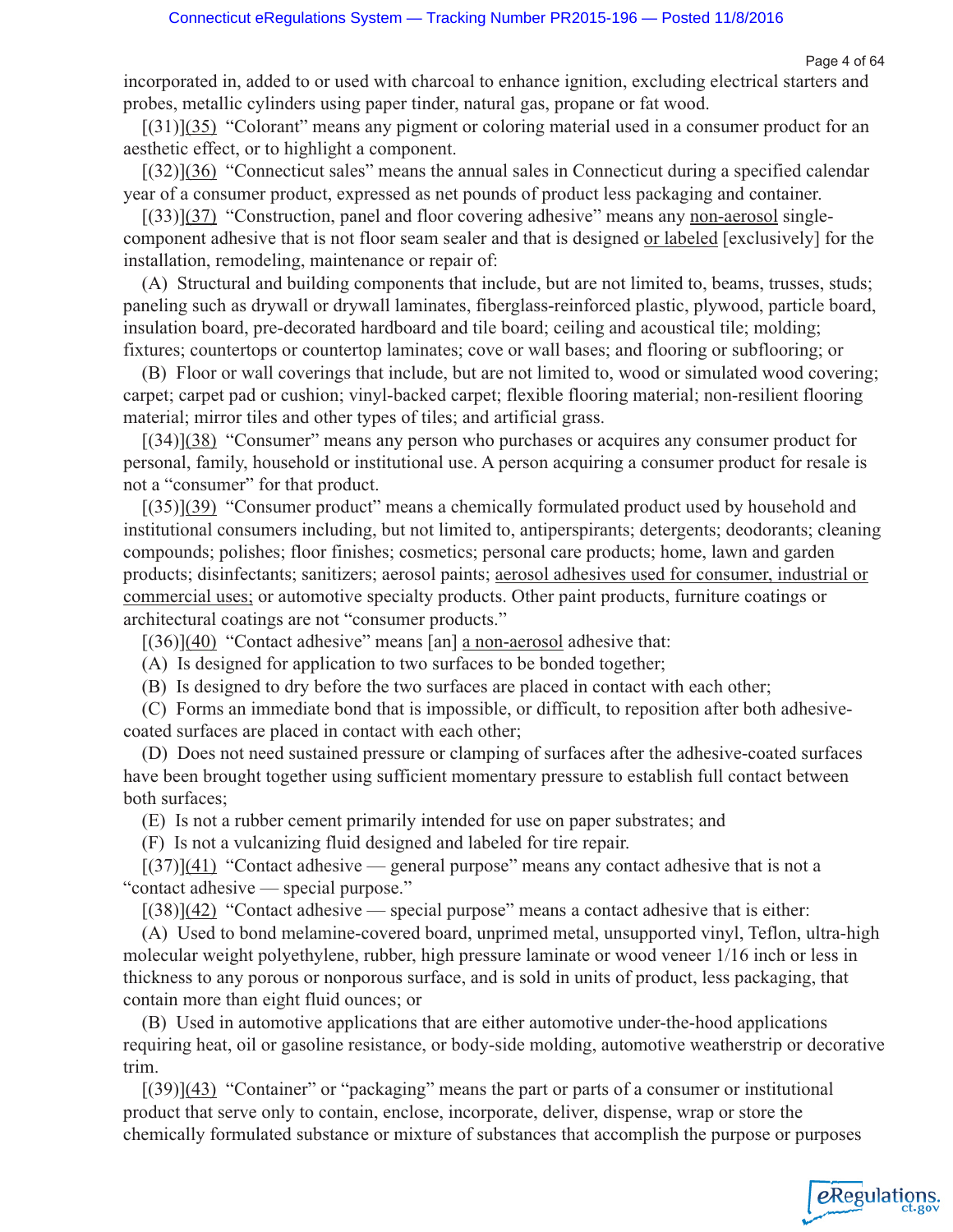Page 4 of 64

incorporated in, added to or used with charcoal to enhance ignition, excluding electrical starters and probes, metallic cylinders using paper tinder, natural gas, propane or fat wood.

[(31)](35) "Colorant" means any pigment or coloring material used in a consumer product for an aesthetic effect, or to highlight a component.

[(32)](36) "Connecticut sales" means the annual sales in Connecticut during a specified calendar year of a consumer product, expressed as net pounds of product less packaging and container.

[(33)](37) "Construction, panel and floor covering adhesive" means any non-aerosol singlecomponent adhesive that is not floor seam sealer and that is designed or labeled [exclusively] for the installation, remodeling, maintenance or repair of:

(A) Structural and building components that include, but are not limited to, beams, trusses, studs; paneling such as drywall or drywall laminates, fiberglass-reinforced plastic, plywood, particle board, insulation board, pre-decorated hardboard and tile board; ceiling and acoustical tile; molding; fixtures; countertops or countertop laminates; cove or wall bases; and flooring or subflooring; or

(B) Floor or wall coverings that include, but are not limited to, wood or simulated wood covering; carpet; carpet pad or cushion; vinyl-backed carpet; flexible flooring material; non-resilient flooring material; mirror tiles and other types of tiles; and artificial grass.

[(34)](38) "Consumer" means any person who purchases or acquires any consumer product for personal, family, household or institutional use. A person acquiring a consumer product for resale is not a "consumer" for that product.

[(35)](39) "Consumer product" means a chemically formulated product used by household and institutional consumers including, but not limited to, antiperspirants; detergents; deodorants; cleaning compounds; polishes; floor finishes; cosmetics; personal care products; home, lawn and garden products; disinfectants; sanitizers; aerosol paints; aerosol adhesives used for consumer, industrial or commercial uses; or automotive specialty products. Other paint products, furniture coatings or architectural coatings are not "consumer products."

 $[(36)](40)$  "Contact adhesive" means [an] a non-aerosol adhesive that:

(A) Is designed for application to two surfaces to be bonded together;

(B) Is designed to dry before the two surfaces are placed in contact with each other;

(C) Forms an immediate bond that is impossible, or difficult, to reposition after both adhesivecoated surfaces are placed in contact with each other;

(D) Does not need sustained pressure or clamping of surfaces after the adhesive-coated surfaces have been brought together using sufficient momentary pressure to establish full contact between both surfaces;

(E) Is not a rubber cement primarily intended for use on paper substrates; and

(F) Is not a vulcanizing fluid designed and labeled for tire repair.

 $[(37)](41)$  "Contact adhesive — general purpose" means any contact adhesive that is not a "contact adhesive — special purpose."

 $[(38)](42)$  "Contact adhesive — special purpose" means a contact adhesive that is either:

(A) Used to bond melamine-covered board, unprimed metal, unsupported vinyl, Teflon, ultra-high molecular weight polyethylene, rubber, high pressure laminate or wood veneer 1/16 inch or less in thickness to any porous or nonporous surface, and is sold in units of product, less packaging, that contain more than eight fluid ounces; or

(B) Used in automotive applications that are either automotive under-the-hood applications requiring heat, oil or gasoline resistance, or body-side molding, automotive weatherstrip or decorative trim.

[(39)](43) "Container" or "packaging" means the part or parts of a consumer or institutional product that serve only to contain, enclose, incorporate, deliver, dispense, wrap or store the chemically formulated substance or mixture of substances that accomplish the purpose or purposes

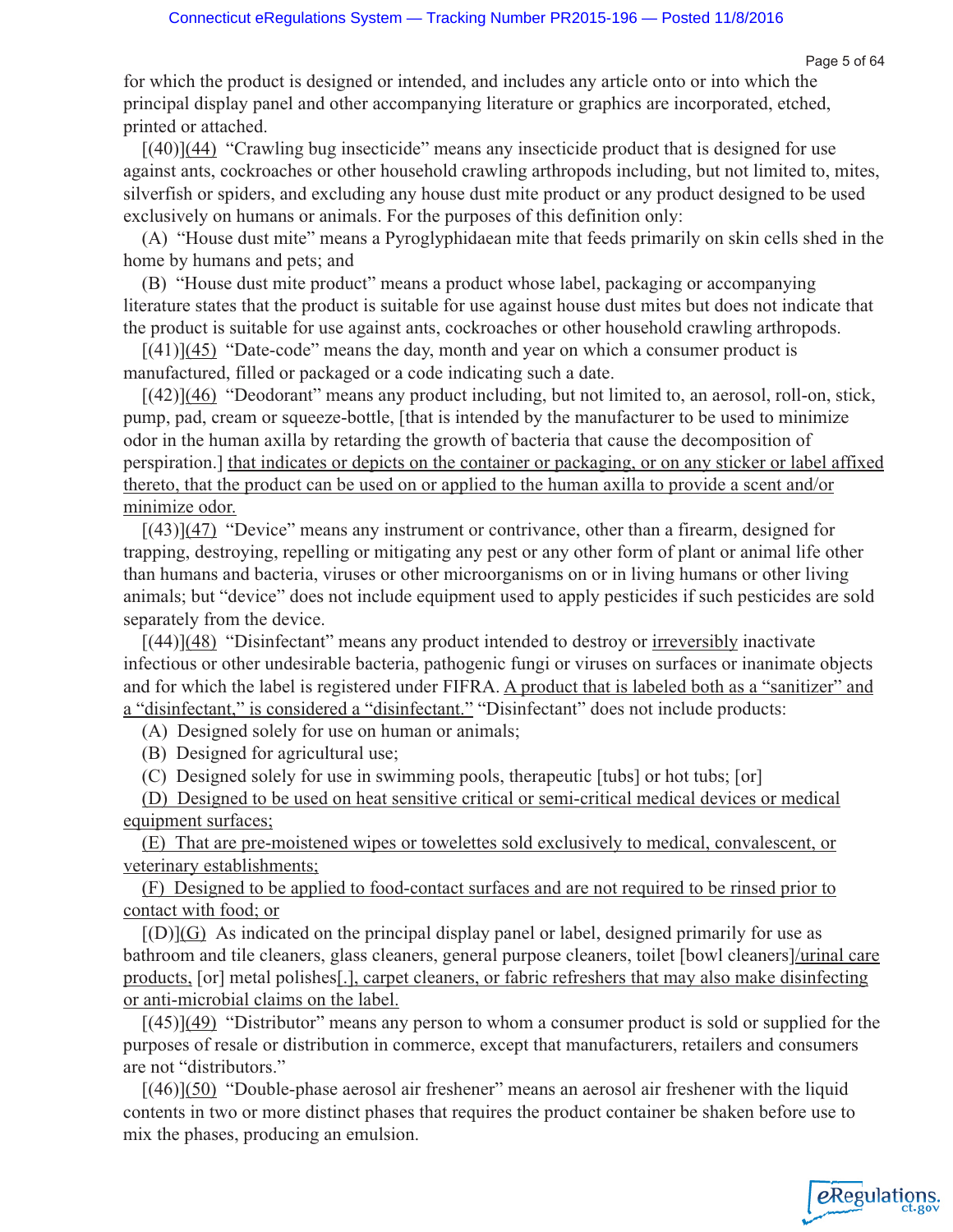for which the product is designed or intended, and includes any article onto or into which the principal display panel and other accompanying literature or graphics are incorporated, etched, printed or attached.

[(40)](44) "Crawling bug insecticide" means any insecticide product that is designed for use against ants, cockroaches or other household crawling arthropods including, but not limited to, mites, silverfish or spiders, and excluding any house dust mite product or any product designed to be used exclusively on humans or animals. For the purposes of this definition only:

(A) "House dust mite" means a Pyroglyphidaean mite that feeds primarily on skin cells shed in the home by humans and pets; and

(B) "House dust mite product" means a product whose label, packaging or accompanying literature states that the product is suitable for use against house dust mites but does not indicate that the product is suitable for use against ants, cockroaches or other household crawling arthropods.

 $[(41)](45)$  "Date-code" means the day, month and year on which a consumer product is manufactured, filled or packaged or a code indicating such a date.

[(42)](46) "Deodorant" means any product including, but not limited to, an aerosol, roll-on, stick, pump, pad, cream or squeeze-bottle, [that is intended by the manufacturer to be used to minimize odor in the human axilla by retarding the growth of bacteria that cause the decomposition of perspiration.] that indicates or depicts on the container or packaging, or on any sticker or label affixed thereto, that the product can be used on or applied to the human axilla to provide a scent and/or minimize odor.

 $[(43)](47)$  "Device" means any instrument or contrivance, other than a firearm, designed for trapping, destroying, repelling or mitigating any pest or any other form of plant or animal life other than humans and bacteria, viruses or other microorganisms on or in living humans or other living animals; but "device" does not include equipment used to apply pesticides if such pesticides are sold separately from the device.

 $[(44)]$  $(48)$  "Disinfectant" means any product intended to destroy or irreversibly inactivate infectious or other undesirable bacteria, pathogenic fungi or viruses on surfaces or inanimate objects and for which the label is registered under FIFRA. A product that is labeled both as a "sanitizer" and a "disinfectant," is considered a "disinfectant." "Disinfectant" does not include products:

(A) Designed solely for use on human or animals;

(B) Designed for agricultural use;

(C) Designed solely for use in swimming pools, therapeutic [tubs] or hot tubs; [or]

(D) Designed to be used on heat sensitive critical or semi-critical medical devices or medical equipment surfaces;

(E) That are pre-moistened wipes or towelettes sold exclusively to medical, convalescent, or veterinary establishments;

(F) Designed to be applied to food-contact surfaces and are not required to be rinsed prior to contact with food; or

 $[(D)]$ (G) As indicated on the principal display panel or label, designed primarily for use as bathroom and tile cleaners, glass cleaners, general purpose cleaners, toilet [bowl cleaners]/urinal care products, [or] metal polishes[.], carpet cleaners, or fabric refreshers that may also make disinfecting or anti-microbial claims on the label.

[(45)](49) "Distributor" means any person to whom a consumer product is sold or supplied for the purposes of resale or distribution in commerce, except that manufacturers, retailers and consumers are not "distributors."

[(46)](50) "Double-phase aerosol air freshener" means an aerosol air freshener with the liquid contents in two or more distinct phases that requires the product container be shaken before use to mix the phases, producing an emulsion.

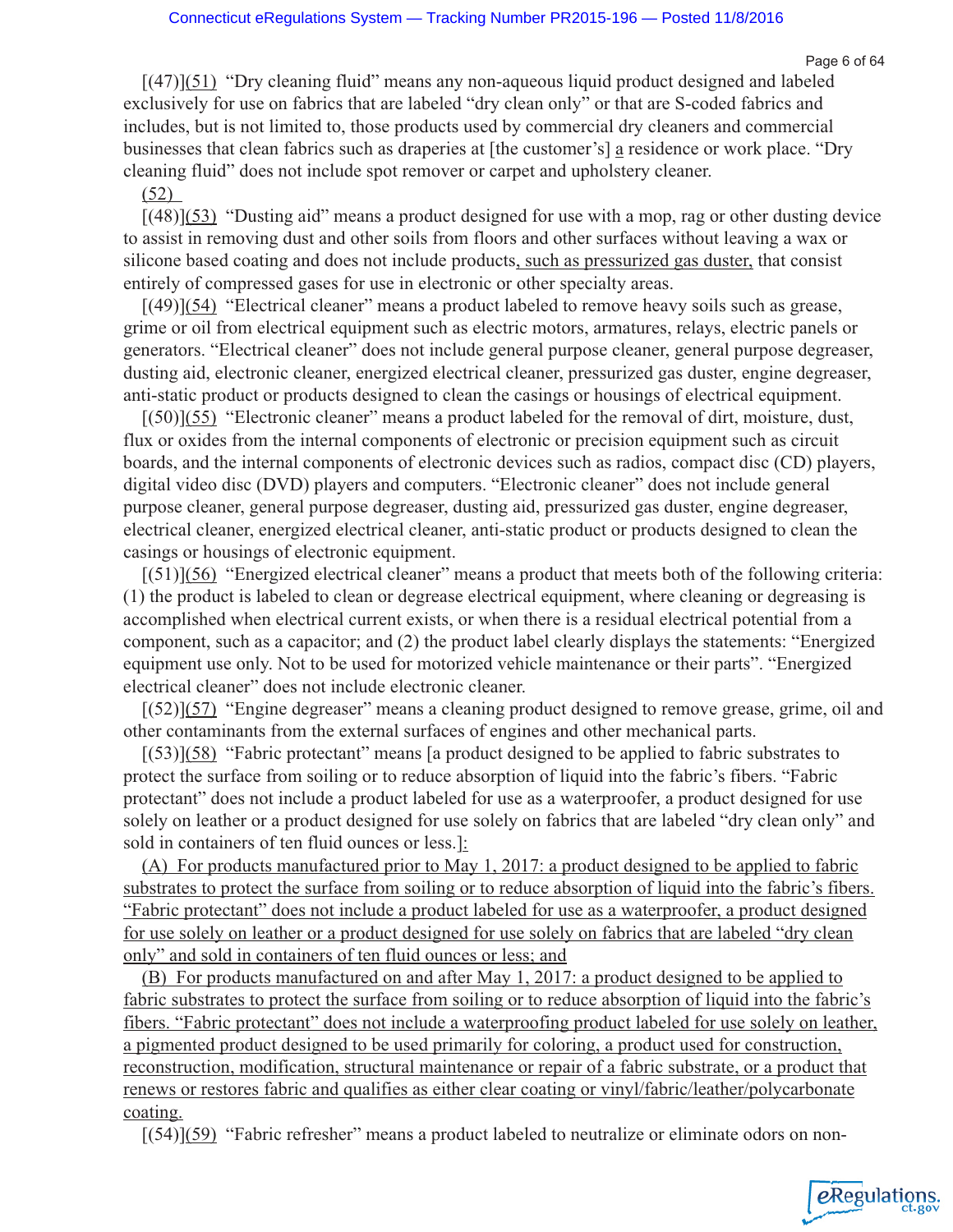Page 6 of 64

eRegulations

 $[(47)](51)$  "Dry cleaning fluid" means any non-aqueous liquid product designed and labeled exclusively for use on fabrics that are labeled "dry clean only" or that are S-coded fabrics and includes, but is not limited to, those products used by commercial dry cleaners and commercial businesses that clean fabrics such as draperies at [the customer's] a residence or work place. "Dry cleaning fluid" does not include spot remover or carpet and upholstery cleaner.

(52)

[(48)](53) "Dusting aid" means a product designed for use with a mop, rag or other dusting device to assist in removing dust and other soils from floors and other surfaces without leaving a wax or silicone based coating and does not include products, such as pressurized gas duster, that consist entirely of compressed gases for use in electronic or other specialty areas.

 $[(49)](54)$  "Electrical cleaner" means a product labeled to remove heavy soils such as grease, grime or oil from electrical equipment such as electric motors, armatures, relays, electric panels or generators. "Electrical cleaner" does not include general purpose cleaner, general purpose degreaser, dusting aid, electronic cleaner, energized electrical cleaner, pressurized gas duster, engine degreaser, anti-static product or products designed to clean the casings or housings of electrical equipment.

 $[(50)](55)$  "Electronic cleaner" means a product labeled for the removal of dirt, moisture, dust, flux or oxides from the internal components of electronic or precision equipment such as circuit boards, and the internal components of electronic devices such as radios, compact disc (CD) players, digital video disc (DVD) players and computers. "Electronic cleaner" does not include general purpose cleaner, general purpose degreaser, dusting aid, pressurized gas duster, engine degreaser, electrical cleaner, energized electrical cleaner, anti-static product or products designed to clean the casings or housings of electronic equipment.

[(51)](56) "Energized electrical cleaner" means a product that meets both of the following criteria: (1) the product is labeled to clean or degrease electrical equipment, where cleaning or degreasing is accomplished when electrical current exists, or when there is a residual electrical potential from a component, such as a capacitor; and (2) the product label clearly displays the statements: "Energized equipment use only. Not to be used for motorized vehicle maintenance or their parts". "Energized electrical cleaner" does not include electronic cleaner.

[(52)](57) "Engine degreaser" means a cleaning product designed to remove grease, grime, oil and other contaminants from the external surfaces of engines and other mechanical parts.

[(53)](58) "Fabric protectant" means [a product designed to be applied to fabric substrates to protect the surface from soiling or to reduce absorption of liquid into the fabric's fibers. "Fabric protectant" does not include a product labeled for use as a waterproofer, a product designed for use solely on leather or a product designed for use solely on fabrics that are labeled "dry clean only" and sold in containers of ten fluid ounces or less.]:

(A) For products manufactured prior to May 1, 2017: a product designed to be applied to fabric substrates to protect the surface from soiling or to reduce absorption of liquid into the fabric's fibers. "Fabric protectant" does not include a product labeled for use as a waterproofer, a product designed for use solely on leather or a product designed for use solely on fabrics that are labeled "dry clean only" and sold in containers of ten fluid ounces or less; and

(B) For products manufactured on and after May 1, 2017: a product designed to be applied to fabric substrates to protect the surface from soiling or to reduce absorption of liquid into the fabric's fibers. "Fabric protectant" does not include a waterproofing product labeled for use solely on leather, a pigmented product designed to be used primarily for coloring, a product used for construction, reconstruction, modification, structural maintenance or repair of a fabric substrate, or a product that renews or restores fabric and qualifies as either clear coating or vinyl/fabric/leather/polycarbonate coating.

[(54)](59) "Fabric refresher" means a product labeled to neutralize or eliminate odors on non-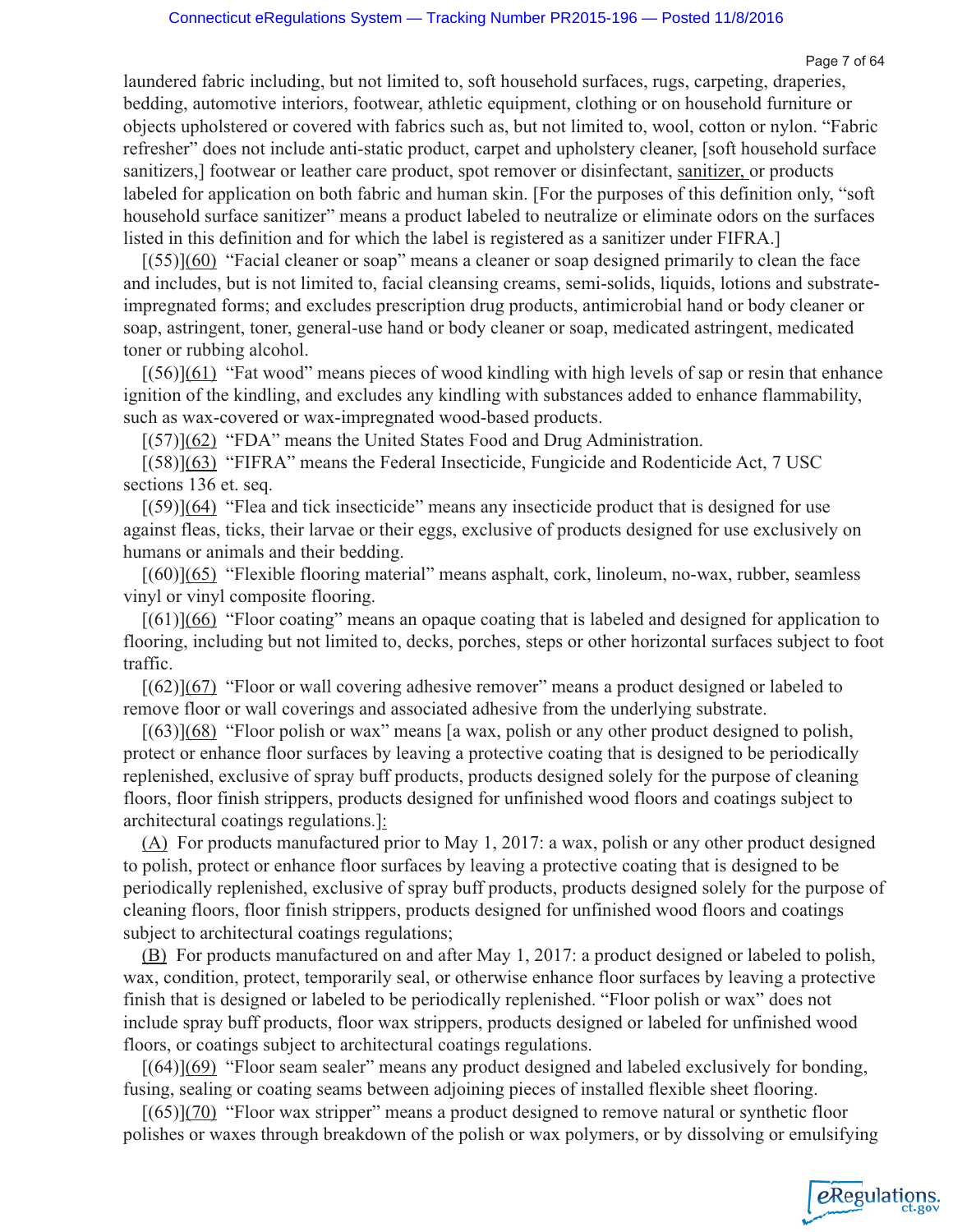Page 7 of 64

eRegulations

laundered fabric including, but not limited to, soft household surfaces, rugs, carpeting, draperies, bedding, automotive interiors, footwear, athletic equipment, clothing or on household furniture or objects upholstered or covered with fabrics such as, but not limited to, wool, cotton or nylon. "Fabric refresher" does not include anti-static product, carpet and upholstery cleaner, [soft household surface sanitizers,] footwear or leather care product, spot remover or disinfectant, sanitizer, or products labeled for application on both fabric and human skin. [For the purposes of this definition only, "soft household surface sanitizer" means a product labeled to neutralize or eliminate odors on the surfaces listed in this definition and for which the label is registered as a sanitizer under FIFRA.]

[(55)](60) "Facial cleaner or soap" means a cleaner or soap designed primarily to clean the face and includes, but is not limited to, facial cleansing creams, semi-solids, liquids, lotions and substrateimpregnated forms; and excludes prescription drug products, antimicrobial hand or body cleaner or soap, astringent, toner, general-use hand or body cleaner or soap, medicated astringent, medicated toner or rubbing alcohol.

 $[(56)](61)$  "Fat wood" means pieces of wood kindling with high levels of sap or resin that enhance ignition of the kindling, and excludes any kindling with substances added to enhance flammability, such as wax-covered or wax-impregnated wood-based products.

[(57)](62) "FDA" means the United States Food and Drug Administration.

[(58)](63) "FIFRA" means the Federal Insecticide, Fungicide and Rodenticide Act, 7 USC sections 136 et. seq.

[(59)](64) "Flea and tick insecticide" means any insecticide product that is designed for use against fleas, ticks, their larvae or their eggs, exclusive of products designed for use exclusively on humans or animals and their bedding.

[(60)](65) "Flexible flooring material" means asphalt, cork, linoleum, no-wax, rubber, seamless vinyl or vinyl composite flooring.

[(61)](66) "Floor coating" means an opaque coating that is labeled and designed for application to flooring, including but not limited to, decks, porches, steps or other horizontal surfaces subject to foot traffic.

[(62)](67) "Floor or wall covering adhesive remover" means a product designed or labeled to remove floor or wall coverings and associated adhesive from the underlying substrate.

 $[(63)](68)$  "Floor polish or wax" means [a wax, polish or any other product designed to polish, protect or enhance floor surfaces by leaving a protective coating that is designed to be periodically replenished, exclusive of spray buff products, products designed solely for the purpose of cleaning floors, floor finish strippers, products designed for unfinished wood floors and coatings subject to architectural coatings regulations.]:

(A) For products manufactured prior to May 1, 2017: a wax, polish or any other product designed to polish, protect or enhance floor surfaces by leaving a protective coating that is designed to be periodically replenished, exclusive of spray buff products, products designed solely for the purpose of cleaning floors, floor finish strippers, products designed for unfinished wood floors and coatings subject to architectural coatings regulations;

(B) For products manufactured on and after May 1, 2017: a product designed or labeled to polish, wax, condition, protect, temporarily seal, or otherwise enhance floor surfaces by leaving a protective finish that is designed or labeled to be periodically replenished. "Floor polish or wax" does not include spray buff products, floor wax strippers, products designed or labeled for unfinished wood floors, or coatings subject to architectural coatings regulations.

 $[(64)](69)$  "Floor seam sealer" means any product designed and labeled exclusively for bonding, fusing, sealing or coating seams between adjoining pieces of installed flexible sheet flooring.

[(65)](70) "Floor wax stripper" means a product designed to remove natural or synthetic floor polishes or waxes through breakdown of the polish or wax polymers, or by dissolving or emulsifying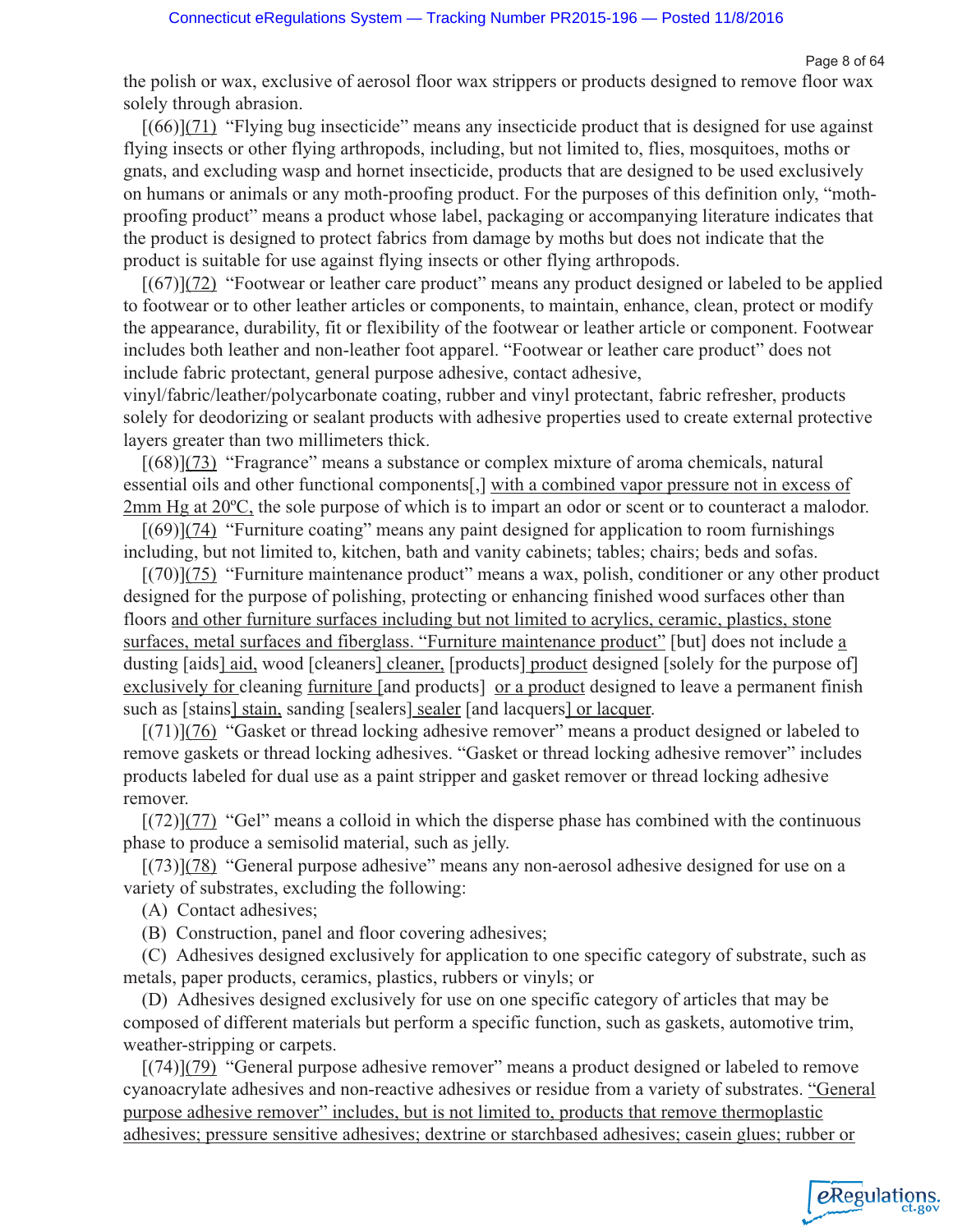eRegulations

the polish or wax, exclusive of aerosol floor wax strippers or products designed to remove floor wax solely through abrasion.

 $[(66)](71)$  "Flying bug insecticide" means any insecticide product that is designed for use against flying insects or other flying arthropods, including, but not limited to, flies, mosquitoes, moths or gnats, and excluding wasp and hornet insecticide, products that are designed to be used exclusively on humans or animals or any moth-proofing product. For the purposes of this definition only, "mothproofing product" means a product whose label, packaging or accompanying literature indicates that the product is designed to protect fabrics from damage by moths but does not indicate that the product is suitable for use against flying insects or other flying arthropods.

[(67)](72) "Footwear or leather care product" means any product designed or labeled to be applied to footwear or to other leather articles or components, to maintain, enhance, clean, protect or modify the appearance, durability, fit or flexibility of the footwear or leather article or component. Footwear includes both leather and non-leather foot apparel. "Footwear or leather care product" does not include fabric protectant, general purpose adhesive, contact adhesive,

vinyl/fabric/leather/polycarbonate coating, rubber and vinyl protectant, fabric refresher, products solely for deodorizing or sealant products with adhesive properties used to create external protective layers greater than two millimeters thick.

[(68)](73) "Fragrance" means a substance or complex mixture of aroma chemicals, natural essential oils and other functional components[,] with a combined vapor pressure not in excess of 2mm Hg at 20ºC, the sole purpose of which is to impart an odor or scent or to counteract a malodor.

 $[(69)](74)$  "Furniture coating" means any paint designed for application to room furnishings including, but not limited to, kitchen, bath and vanity cabinets; tables; chairs; beds and sofas.

[(70)](75) "Furniture maintenance product" means a wax, polish, conditioner or any other product designed for the purpose of polishing, protecting or enhancing finished wood surfaces other than floors and other furniture surfaces including but not limited to acrylics, ceramic, plastics, stone surfaces, metal surfaces and fiberglass. "Furniture maintenance product" [but] does not include a dusting [aids] aid, wood [cleaners] cleaner, [products] product designed [solely for the purpose of] exclusively for cleaning furniture [and products] or a product designed to leave a permanent finish such as [stains] stain, sanding [sealers] sealer [and lacquers] or lacquer.

 $[(71)](76)$  "Gasket or thread locking adhesive remover" means a product designed or labeled to remove gaskets or thread locking adhesives. "Gasket or thread locking adhesive remover" includes products labeled for dual use as a paint stripper and gasket remover or thread locking adhesive remover.

 $[(72)](77)$  "Gel" means a colloid in which the disperse phase has combined with the continuous phase to produce a semisolid material, such as jelly.

[(73)](78) "General purpose adhesive" means any non-aerosol adhesive designed for use on a variety of substrates, excluding the following:

(A) Contact adhesives;

(B) Construction, panel and floor covering adhesives;

(C) Adhesives designed exclusively for application to one specific category of substrate, such as metals, paper products, ceramics, plastics, rubbers or vinyls; or

(D) Adhesives designed exclusively for use on one specific category of articles that may be composed of different materials but perform a specific function, such as gaskets, automotive trim, weather-stripping or carpets.

 $[(74)](79)$  "General purpose adhesive remover" means a product designed or labeled to remove cyanoacrylate adhesives and non-reactive adhesives or residue from a variety of substrates. "General purpose adhesive remover" includes, but is not limited to, products that remove thermoplastic adhesives; pressure sensitive adhesives; dextrine or starchbased adhesives; casein glues; rubber or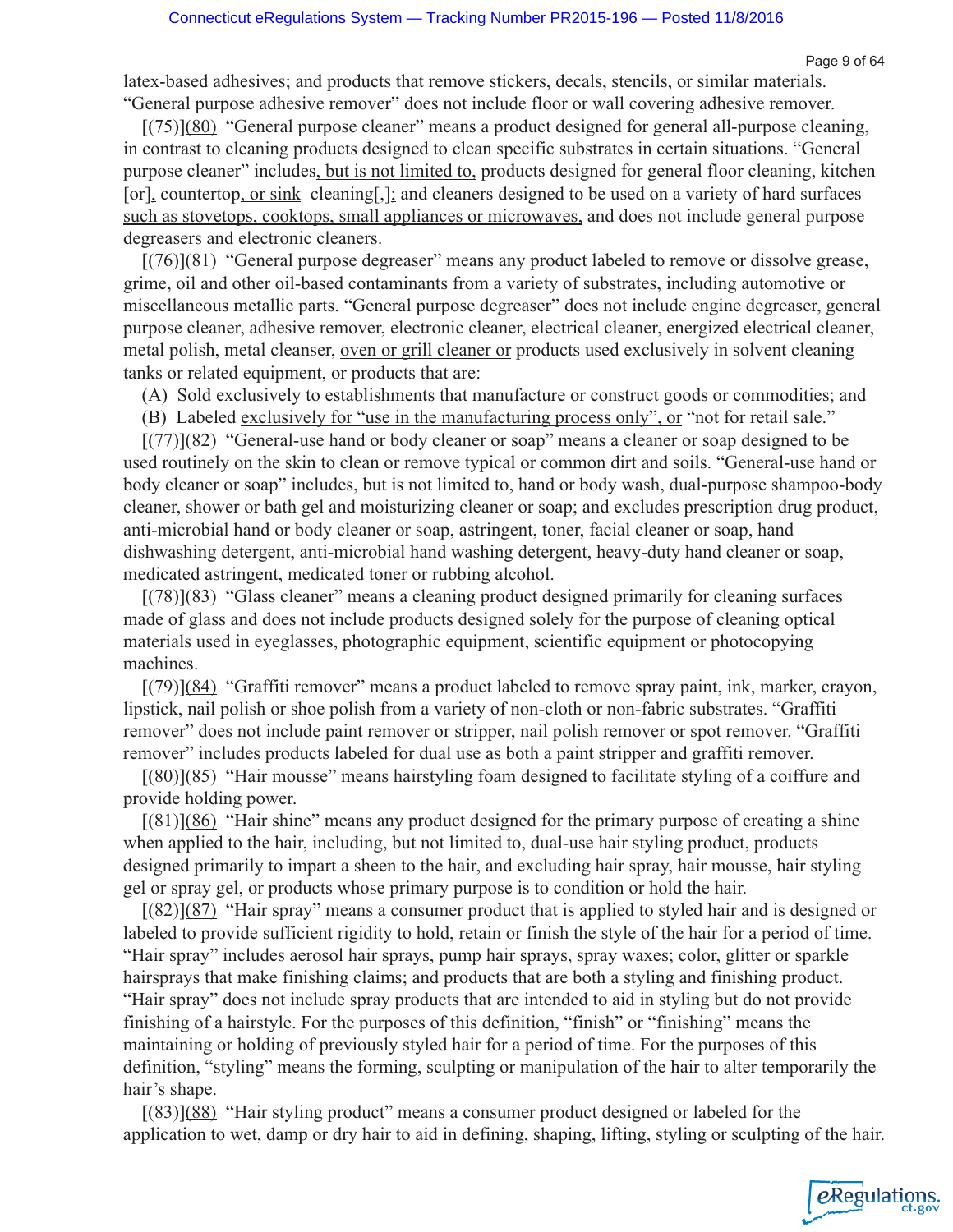Page 9 of 64

eRegulations

latex-based adhesives; and products that remove stickers, decals, stencils, or similar materials.

"General purpose adhesive remover" does not include floor or wall covering adhesive remover. [(75)](80) "General purpose cleaner" means a product designed for general all-purpose cleaning, in contrast to cleaning products designed to clean specific substrates in certain situations. "General purpose cleaner" includes, but is not limited to, products designed for general floor cleaning, kitchen [or], countertop, or sink cleaning[,]; and cleaners designed to be used on a variety of hard surfaces such as stovetops, cooktops, small appliances or microwaves, and does not include general purpose degreasers and electronic cleaners.

[(76)](81) "General purpose degreaser" means any product labeled to remove or dissolve grease, grime, oil and other oil-based contaminants from a variety of substrates, including automotive or miscellaneous metallic parts. "General purpose degreaser" does not include engine degreaser, general purpose cleaner, adhesive remover, electronic cleaner, electrical cleaner, energized electrical cleaner, metal polish, metal cleanser, oven or grill cleaner or products used exclusively in solvent cleaning tanks or related equipment, or products that are:

(A) Sold exclusively to establishments that manufacture or construct goods or commodities; and

(B) Labeled exclusively for "use in the manufacturing process only", or "not for retail sale."

[(77)](82) "General-use hand or body cleaner or soap" means a cleaner or soap designed to be used routinely on the skin to clean or remove typical or common dirt and soils. "General-use hand or body cleaner or soap" includes, but is not limited to, hand or body wash, dual-purpose shampoo-body cleaner, shower or bath gel and moisturizing cleaner or soap; and excludes prescription drug product, anti-microbial hand or body cleaner or soap, astringent, toner, facial cleaner or soap, hand dishwashing detergent, anti-microbial hand washing detergent, heavy-duty hand cleaner or soap, medicated astringent, medicated toner or rubbing alcohol.

[(78)](83) "Glass cleaner" means a cleaning product designed primarily for cleaning surfaces made of glass and does not include products designed solely for the purpose of cleaning optical materials used in eyeglasses, photographic equipment, scientific equipment or photocopying machines.

[(79)](84) "Graffiti remover" means a product labeled to remove spray paint, ink, marker, crayon, lipstick, nail polish or shoe polish from a variety of non-cloth or non-fabric substrates. "Graffiti remover" does not include paint remover or stripper, nail polish remover or spot remover. "Graffiti remover" includes products labeled for dual use as both a paint stripper and graffiti remover.

[(80)](85) "Hair mousse" means hairstyling foam designed to facilitate styling of a coiffure and provide holding power.

 $[(81)](86)$  "Hair shine" means any product designed for the primary purpose of creating a shine when applied to the hair, including, but not limited to, dual-use hair styling product, products designed primarily to impart a sheen to the hair, and excluding hair spray, hair mousse, hair styling gel or spray gel, or products whose primary purpose is to condition or hold the hair.

[(82)](87) "Hair spray" means a consumer product that is applied to styled hair and is designed or labeled to provide sufficient rigidity to hold, retain or finish the style of the hair for a period of time. "Hair spray" includes aerosol hair sprays, pump hair sprays, spray waxes; color, glitter or sparkle hairsprays that make finishing claims; and products that are both a styling and finishing product. "Hair spray" does not include spray products that are intended to aid in styling but do not provide finishing of a hairstyle. For the purposes of this definition, "finish" or "finishing" means the maintaining or holding of previously styled hair for a period of time. For the purposes of this definition, "styling" means the forming, sculpting or manipulation of the hair to alter temporarily the hair's shape.

[(83)](88) "Hair styling product" means a consumer product designed or labeled for the application to wet, damp or dry hair to aid in defining, shaping, lifting, styling or sculpting of the hair.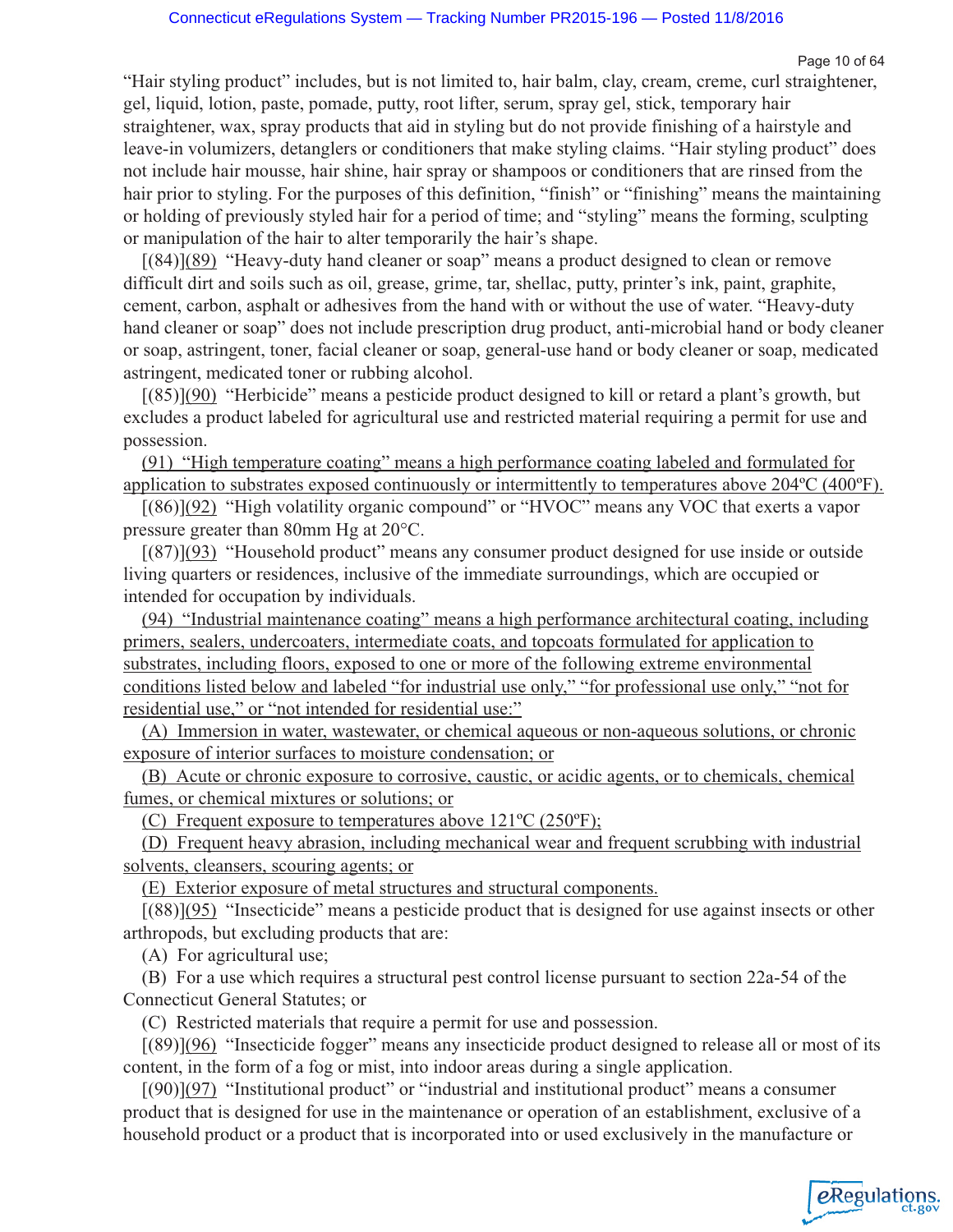"Hair styling product" includes, but is not limited to, hair balm, clay, cream, creme, curl straightener, gel, liquid, lotion, paste, pomade, putty, root lifter, serum, spray gel, stick, temporary hair straightener, wax, spray products that aid in styling but do not provide finishing of a hairstyle and leave-in volumizers, detanglers or conditioners that make styling claims. "Hair styling product" does not include hair mousse, hair shine, hair spray or shampoos or conditioners that are rinsed from the hair prior to styling. For the purposes of this definition, "finish" or "finishing" means the maintaining or holding of previously styled hair for a period of time; and "styling" means the forming, sculpting or manipulation of the hair to alter temporarily the hair's shape.

[(84)](89) "Heavy-duty hand cleaner or soap" means a product designed to clean or remove difficult dirt and soils such as oil, grease, grime, tar, shellac, putty, printer's ink, paint, graphite, cement, carbon, asphalt or adhesives from the hand with or without the use of water. "Heavy-duty hand cleaner or soap" does not include prescription drug product, anti-microbial hand or body cleaner or soap, astringent, toner, facial cleaner or soap, general-use hand or body cleaner or soap, medicated astringent, medicated toner or rubbing alcohol.

[(85)](90) "Herbicide" means a pesticide product designed to kill or retard a plant's growth, but excludes a product labeled for agricultural use and restricted material requiring a permit for use and possession.

(91) "High temperature coating" means a high performance coating labeled and formulated for application to substrates exposed continuously or intermittently to temperatures above 204ºC (400ºF).

[(86)](92) "High volatility organic compound" or "HVOC" means any VOC that exerts a vapor pressure greater than 80mm Hg at 20°C.

[(87)](93) "Household product" means any consumer product designed for use inside or outside living quarters or residences, inclusive of the immediate surroundings, which are occupied or intended for occupation by individuals.

(94) "Industrial maintenance coating" means a high performance architectural coating, including primers, sealers, undercoaters, intermediate coats, and topcoats formulated for application to substrates, including floors, exposed to one or more of the following extreme environmental conditions listed below and labeled "for industrial use only," "for professional use only," "not for residential use," or "not intended for residential use:"

(A) Immersion in water, wastewater, or chemical aqueous or non-aqueous solutions, or chronic exposure of interior surfaces to moisture condensation; or

(B) Acute or chronic exposure to corrosive, caustic, or acidic agents, or to chemicals, chemical fumes, or chemical mixtures or solutions; or

(C) Frequent exposure to temperatures above 121ºC (250ºF);

(D) Frequent heavy abrasion, including mechanical wear and frequent scrubbing with industrial solvents, cleansers, scouring agents; or

(E) Exterior exposure of metal structures and structural components.

[(88)](95) "Insecticide" means a pesticide product that is designed for use against insects or other arthropods, but excluding products that are:

(A) For agricultural use;

(B) For a use which requires a structural pest control license pursuant to section 22a-54 of the Connecticut General Statutes; or

(C) Restricted materials that require a permit for use and possession.

[(89)](96) "Insecticide fogger" means any insecticide product designed to release all or most of its content, in the form of a fog or mist, into indoor areas during a single application.

[(90)](97) "Institutional product" or "industrial and institutional product" means a consumer product that is designed for use in the maintenance or operation of an establishment, exclusive of a household product or a product that is incorporated into or used exclusively in the manufacture or

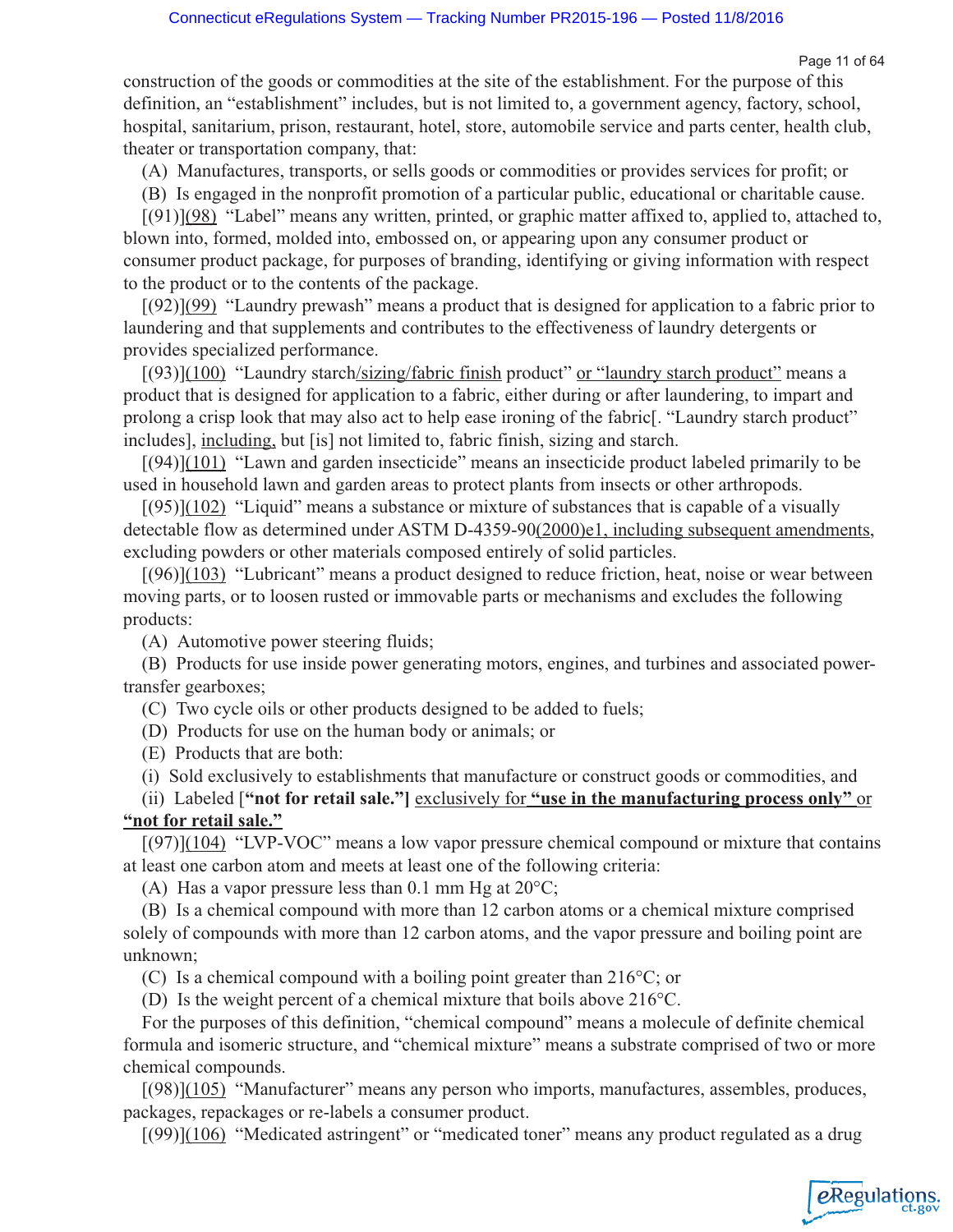Page 11 of 64

eRegulations

construction of the goods or commodities at the site of the establishment. For the purpose of this definition, an "establishment" includes, but is not limited to, a government agency, factory, school, hospital, sanitarium, prison, restaurant, hotel, store, automobile service and parts center, health club, theater or transportation company, that:

(A) Manufactures, transports, or sells goods or commodities or provides services for profit; or

(B) Is engaged in the nonprofit promotion of a particular public, educational or charitable cause.

[(91)](98) "Label" means any written, printed, or graphic matter affixed to, applied to, attached to, blown into, formed, molded into, embossed on, or appearing upon any consumer product or consumer product package, for purposes of branding, identifying or giving information with respect to the product or to the contents of the package.

 $[(92)](99)$  "Laundry prewash" means a product that is designed for application to a fabric prior to laundering and that supplements and contributes to the effectiveness of laundry detergents or provides specialized performance.

[(93)](100) "Laundry starch/sizing/fabric finish product" or "laundry starch product" means a product that is designed for application to a fabric, either during or after laundering, to impart and prolong a crisp look that may also act to help ease ironing of the fabric[. "Laundry starch product" includes], including, but [is] not limited to, fabric finish, sizing and starch.

[(94)](101) "Lawn and garden insecticide" means an insecticide product labeled primarily to be used in household lawn and garden areas to protect plants from insects or other arthropods.

 $[(95)](102)$  "Liquid" means a substance or mixture of substances that is capable of a visually detectable flow as determined under ASTM D-4359-90(2000)e1, including subsequent amendments, excluding powders or other materials composed entirely of solid particles.

[(96)](103) "Lubricant" means a product designed to reduce friction, heat, noise or wear between moving parts, or to loosen rusted or immovable parts or mechanisms and excludes the following products:

(A) Automotive power steering fluids;

(B) Products for use inside power generating motors, engines, and turbines and associated powertransfer gearboxes;

(C) Two cycle oils or other products designed to be added to fuels;

(D) Products for use on the human body or animals; or

(E) Products that are both:

(i) Sold exclusively to establishments that manufacture or construct goods or commodities, and

(ii) Labeled [**"not for retail sale."]** exclusively for **"use in the manufacturing process only"** or **"not for retail sale."**

 $[(97)](104)$  "LVP-VOC" means a low vapor pressure chemical compound or mixture that contains at least one carbon atom and meets at least one of the following criteria:

(A) Has a vapor pressure less than 0.1 mm Hg at  $20^{\circ}$ C;

(B) Is a chemical compound with more than 12 carbon atoms or a chemical mixture comprised solely of compounds with more than 12 carbon atoms, and the vapor pressure and boiling point are unknown;

(C) Is a chemical compound with a boiling point greater than 216°C; or

(D) Is the weight percent of a chemical mixture that boils above 216°C.

For the purposes of this definition, "chemical compound" means a molecule of definite chemical formula and isomeric structure, and "chemical mixture" means a substrate comprised of two or more chemical compounds.

[(98)](105) "Manufacturer" means any person who imports, manufactures, assembles, produces, packages, repackages or re-labels a consumer product.

 $[(99)](106)$  "Medicated astringent" or "medicated toner" means any product regulated as a drug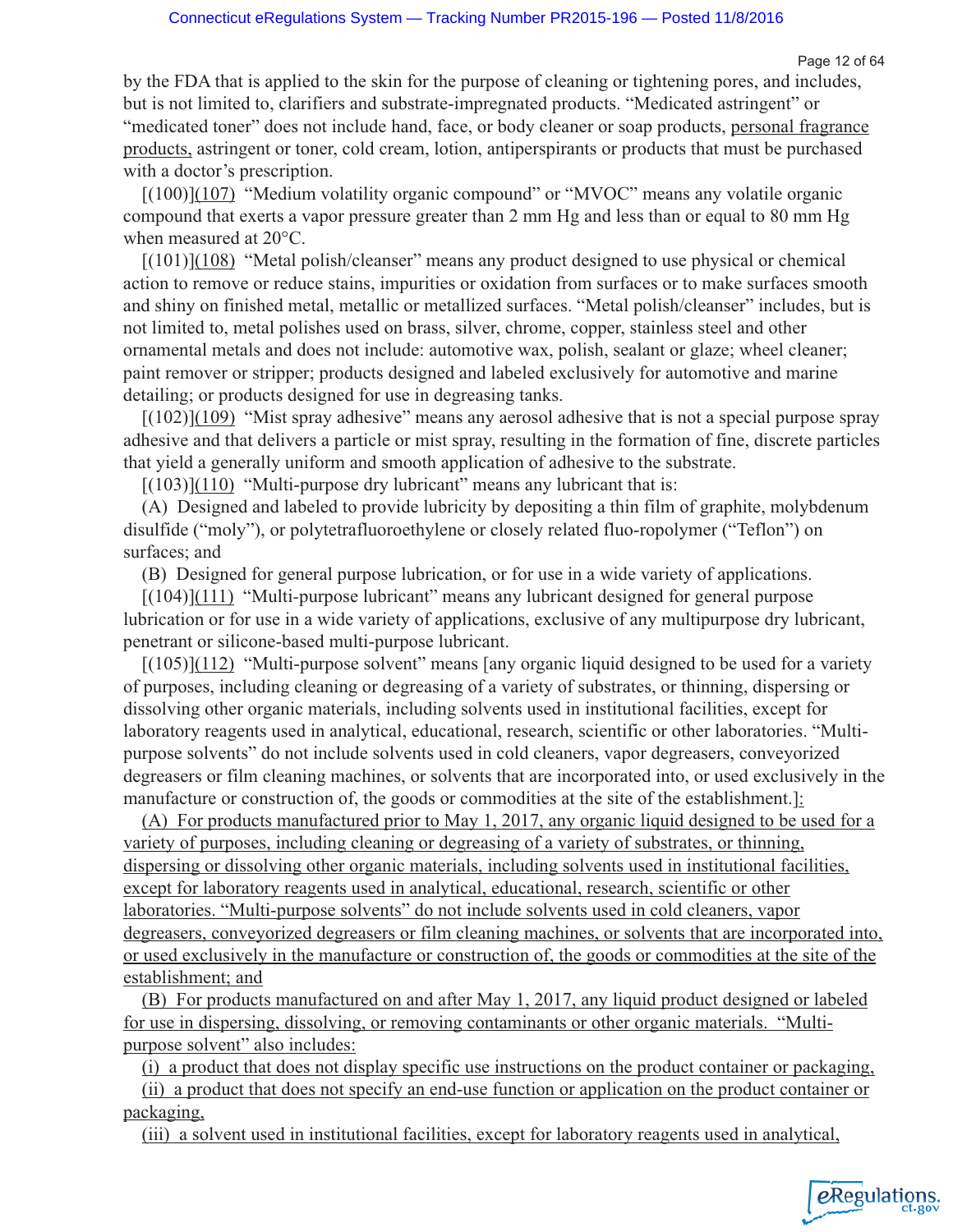Page 12 of 64

eRegulations

by the FDA that is applied to the skin for the purpose of cleaning or tightening pores, and includes, but is not limited to, clarifiers and substrate-impregnated products. "Medicated astringent" or "medicated toner" does not include hand, face, or body cleaner or soap products, personal fragrance products, astringent or toner, cold cream, lotion, antiperspirants or products that must be purchased with a doctor's prescription.

[(100)](107) "Medium volatility organic compound" or "MVOC" means any volatile organic compound that exerts a vapor pressure greater than 2 mm Hg and less than or equal to 80 mm Hg when measured at 20°C.

[(101)](108) "Metal polish/cleanser" means any product designed to use physical or chemical action to remove or reduce stains, impurities or oxidation from surfaces or to make surfaces smooth and shiny on finished metal, metallic or metallized surfaces. "Metal polish/cleanser" includes, but is not limited to, metal polishes used on brass, silver, chrome, copper, stainless steel and other ornamental metals and does not include: automotive wax, polish, sealant or glaze; wheel cleaner; paint remover or stripper; products designed and labeled exclusively for automotive and marine detailing; or products designed for use in degreasing tanks.

 $[(102)](109)$  "Mist spray adhesive" means any aerosol adhesive that is not a special purpose spray adhesive and that delivers a particle or mist spray, resulting in the formation of fine, discrete particles that yield a generally uniform and smooth application of adhesive to the substrate.

 $[(103)](110)$  "Multi-purpose dry lubricant" means any lubricant that is:

(A) Designed and labeled to provide lubricity by depositing a thin film of graphite, molybdenum disulfide ("moly"), or polytetrafluoroethylene or closely related fluo-ropolymer ("Teflon") on surfaces; and

(B) Designed for general purpose lubrication, or for use in a wide variety of applications.

[(104)](111) "Multi*-*purpose lubricant" means any lubricant designed for general purpose lubrication or for use in a wide variety of applications, exclusive of any multipurpose dry lubricant, penetrant or silicone-based multi-purpose lubricant.

[(105)](112) "Multi-purpose solvent" means [any organic liquid designed to be used for a variety of purposes, including cleaning or degreasing of a variety of substrates, or thinning, dispersing or dissolving other organic materials, including solvents used in institutional facilities, except for laboratory reagents used in analytical, educational, research, scientific or other laboratories. "Multipurpose solvents" do not include solvents used in cold cleaners, vapor degreasers, conveyorized degreasers or film cleaning machines, or solvents that are incorporated into, or used exclusively in the manufacture or construction of, the goods or commodities at the site of the establishment.]:

(A) For products manufactured prior to May 1, 2017, any organic liquid designed to be used for a variety of purposes, including cleaning or degreasing of a variety of substrates, or thinning, dispersing or dissolving other organic materials, including solvents used in institutional facilities, except for laboratory reagents used in analytical, educational, research, scientific or other laboratories. "Multi-purpose solvents" do not include solvents used in cold cleaners, vapor degreasers, conveyorized degreasers or film cleaning machines, or solvents that are incorporated into, or used exclusively in the manufacture or construction of, the goods or commodities at the site of the establishment; and

(B) For products manufactured on and after May 1, 2017, any liquid product designed or labeled for use in dispersing, dissolving, or removing contaminants or other organic materials. "Multipurpose solvent" also includes:

(i) a product that does not display specific use instructions on the product container or packaging,

(ii) a product that does not specify an end-use function or application on the product container or packaging,

(iii) a solvent used in institutional facilities, except for laboratory reagents used in analytical,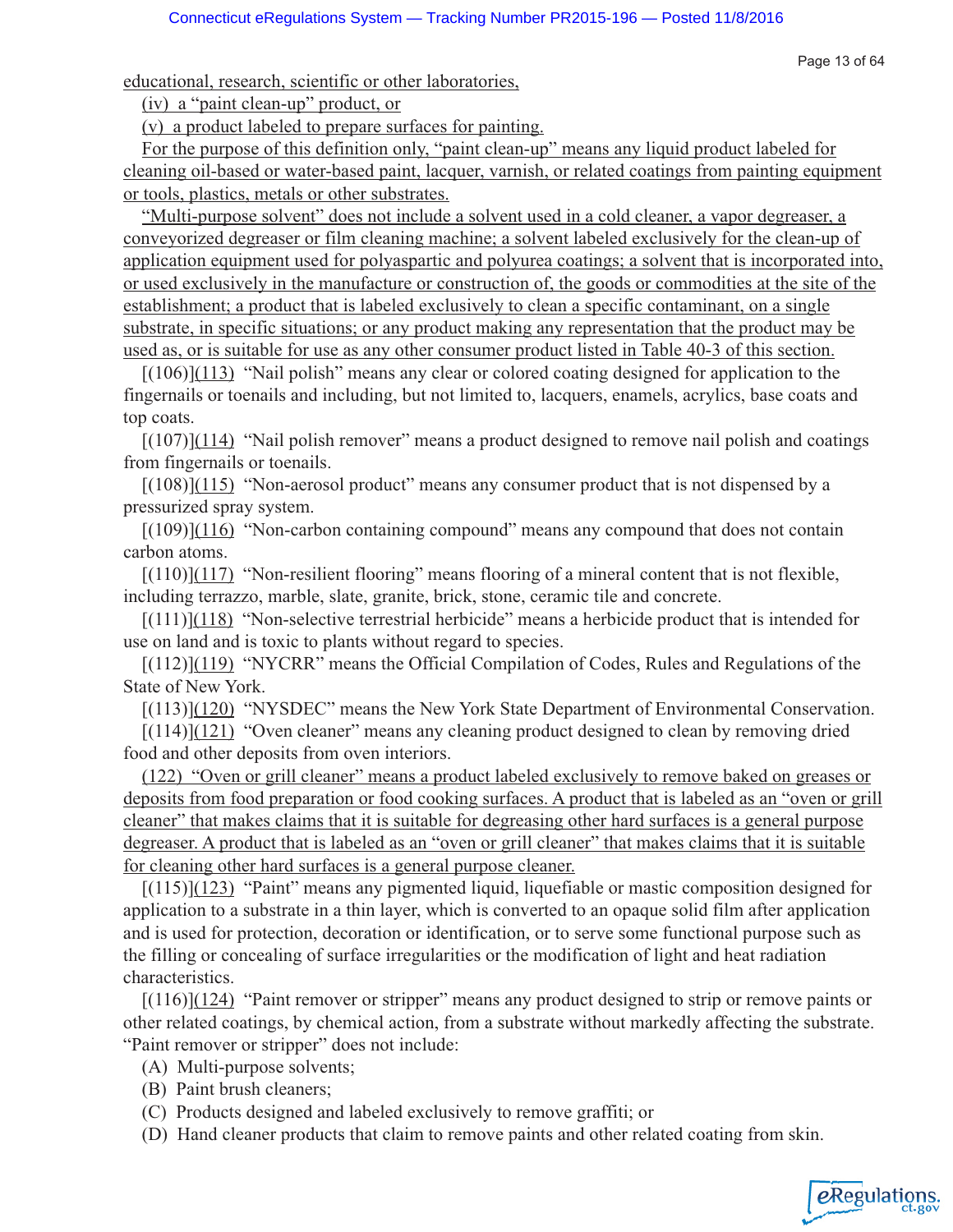Page 13 of 64

*e*Regulations

educational, research, scientific or other laboratories,

(iv) a "paint clean-up" product, or

(v) a product labeled to prepare surfaces for painting.

For the purpose of this definition only, "paint clean-up" means any liquid product labeled for cleaning oil-based or water-based paint, lacquer, varnish, or related coatings from painting equipment or tools, plastics, metals or other substrates.

"Multi-purpose solvent" does not include a solvent used in a cold cleaner, a vapor degreaser, a conveyorized degreaser or film cleaning machine; a solvent labeled exclusively for the clean-up of application equipment used for polyaspartic and polyurea coatings; a solvent that is incorporated into, or used exclusively in the manufacture or construction of, the goods or commodities at the site of the establishment; a product that is labeled exclusively to clean a specific contaminant, on a single substrate, in specific situations; or any product making any representation that the product may be used as, or is suitable for use as any other consumer product listed in Table 40-3 of this section.

[(106)](113) "Nail polish" means any clear or colored coating designed for application to the fingernails or toenails and including, but not limited to, lacquers, enamels, acrylics, base coats and top coats.

 $[(107)](114)$  "Nail polish remover" means a product designed to remove nail polish and coatings from fingernails or toenails.

 $[(108)](115)$  "Non-aerosol product" means any consumer product that is not dispensed by a pressurized spray system.

 $[(109)](116)$  "Non-carbon containing compound" means any compound that does not contain carbon atoms.

 $[(110)](117)$  "Non-resilient flooring" means flooring of a mineral content that is not flexible, including terrazzo, marble, slate, granite, brick, stone, ceramic tile and concrete.

 $[(111)](118)$  "Non-selective terrestrial herbicide" means a herbicide product that is intended for use on land and is toxic to plants without regard to species.

[(112)](119) "NYCRR" means the Official Compilation of Codes, Rules and Regulations of the State of New York.

[(113)](120) "NYSDEC" means the New York State Department of Environmental Conservation.

 $[(114)](121)$  "Oven cleaner" means any cleaning product designed to clean by removing dried food and other deposits from oven interiors.

(122) "Oven or grill cleaner" means a product labeled exclusively to remove baked on greases or deposits from food preparation or food cooking surfaces. A product that is labeled as an "oven or grill cleaner" that makes claims that it is suitable for degreasing other hard surfaces is a general purpose degreaser. A product that is labeled as an "oven or grill cleaner" that makes claims that it is suitable for cleaning other hard surfaces is a general purpose cleaner.

[(115)](123) "Paint" means any pigmented liquid, liquefiable or mastic composition designed for application to a substrate in a thin layer, which is converted to an opaque solid film after application and is used for protection, decoration or identification, or to serve some functional purpose such as the filling or concealing of surface irregularities or the modification of light and heat radiation characteristics.

[(116)](124) "Paint remover or stripper" means any product designed to strip or remove paints or other related coatings, by chemical action, from a substrate without markedly affecting the substrate. "Paint remover or stripper" does not include:

- (A) Multi-purpose solvents;
- (B) Paint brush cleaners;
- (C) Products designed and labeled exclusively to remove graffiti; or
- (D) Hand cleaner products that claim to remove paints and other related coating from skin.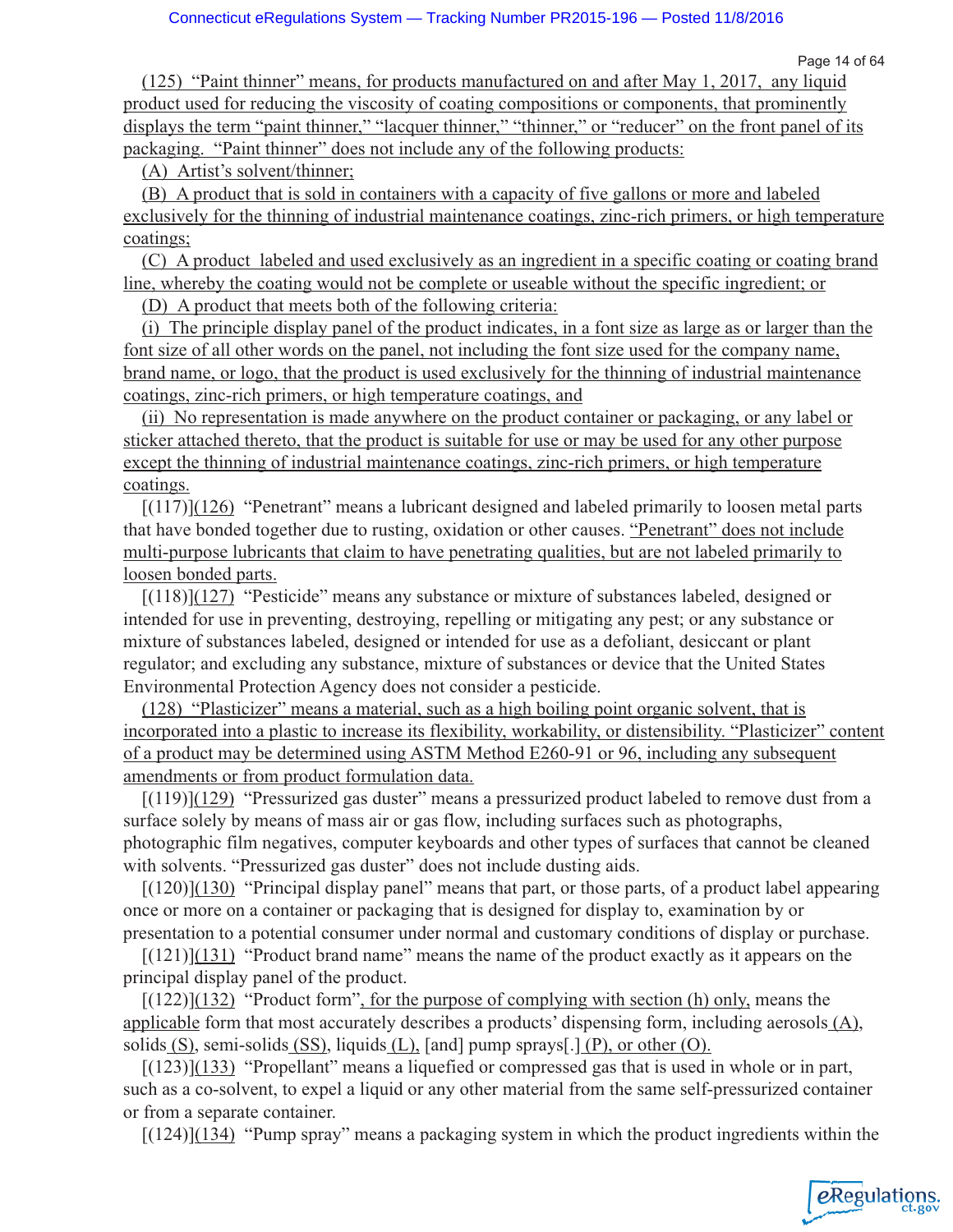eRegulations

(125) "Paint thinner" means, for products manufactured on and after May 1, 2017, any liquid product used for reducing the viscosity of coating compositions or components, that prominently displays the term "paint thinner," "lacquer thinner," "thinner," or "reducer" on the front panel of its packaging. "Paint thinner" does not include any of the following products:

(A) Artist's solvent/thinner;

(B) A product that is sold in containers with a capacity of five gallons or more and labeled exclusively for the thinning of industrial maintenance coatings, zinc-rich primers, or high temperature coatings;

(C) A product labeled and used exclusively as an ingredient in a specific coating or coating brand line, whereby the coating would not be complete or useable without the specific ingredient; or

(D) A product that meets both of the following criteria:

(i) The principle display panel of the product indicates, in a font size as large as or larger than the font size of all other words on the panel, not including the font size used for the company name, brand name, or logo, that the product is used exclusively for the thinning of industrial maintenance coatings, zinc-rich primers, or high temperature coatings, and

(ii) No representation is made anywhere on the product container or packaging, or any label or sticker attached thereto, that the product is suitable for use or may be used for any other purpose except the thinning of industrial maintenance coatings, zinc-rich primers, or high temperature coatings.

[(117)](126) "Penetrant" means a lubricant designed and labeled primarily to loosen metal parts that have bonded together due to rusting, oxidation or other causes. "Penetrant" does not include multi-purpose lubricants that claim to have penetrating qualities, but are not labeled primarily to loosen bonded parts.

[(118)](127) "Pesticide" means any substance or mixture of substances labeled, designed or intended for use in preventing, destroying, repelling or mitigating any pest; or any substance or mixture of substances labeled, designed or intended for use as a defoliant, desiccant or plant regulator; and excluding any substance, mixture of substances or device that the United States Environmental Protection Agency does not consider a pesticide.

(128) "Plasticizer" means a material, such as a high boiling point organic solvent, that is incorporated into a plastic to increase its flexibility, workability, or distensibility. "Plasticizer" content of a product may be determined using ASTM Method E260-91 or 96, including any subsequent amendments or from product formulation data.

[(119)](129) "Pressurized gas duster" means a pressurized product labeled to remove dust from a surface solely by means of mass air or gas flow, including surfaces such as photographs, photographic film negatives, computer keyboards and other types of surfaces that cannot be cleaned with solvents. "Pressurized gas duster" does not include dusting aids.

 $[(120)](130)$  "Principal display panel" means that part, or those parts, of a product label appearing once or more on a container or packaging that is designed for display to, examination by or presentation to a potential consumer under normal and customary conditions of display or purchase.

 $[(121)](131)$  "Product brand name" means the name of the product exactly as it appears on the principal display panel of the product.

 $[(122)](132)$  "Product form", for the purpose of complying with section (h) only, means the applicable form that most accurately describes a products' dispensing form, including aerosols (A), solids (S), semi-solids (SS), liquids (L), [and] pump sprays[.] (P), or other (O).

 $[(123)](133)$  "Propellant" means a liquefied or compressed gas that is used in whole or in part, such as a co-solvent, to expel a liquid or any other material from the same self-pressurized container or from a separate container.

[(124)](134) "Pump spray" means a packaging system in which the product ingredients within the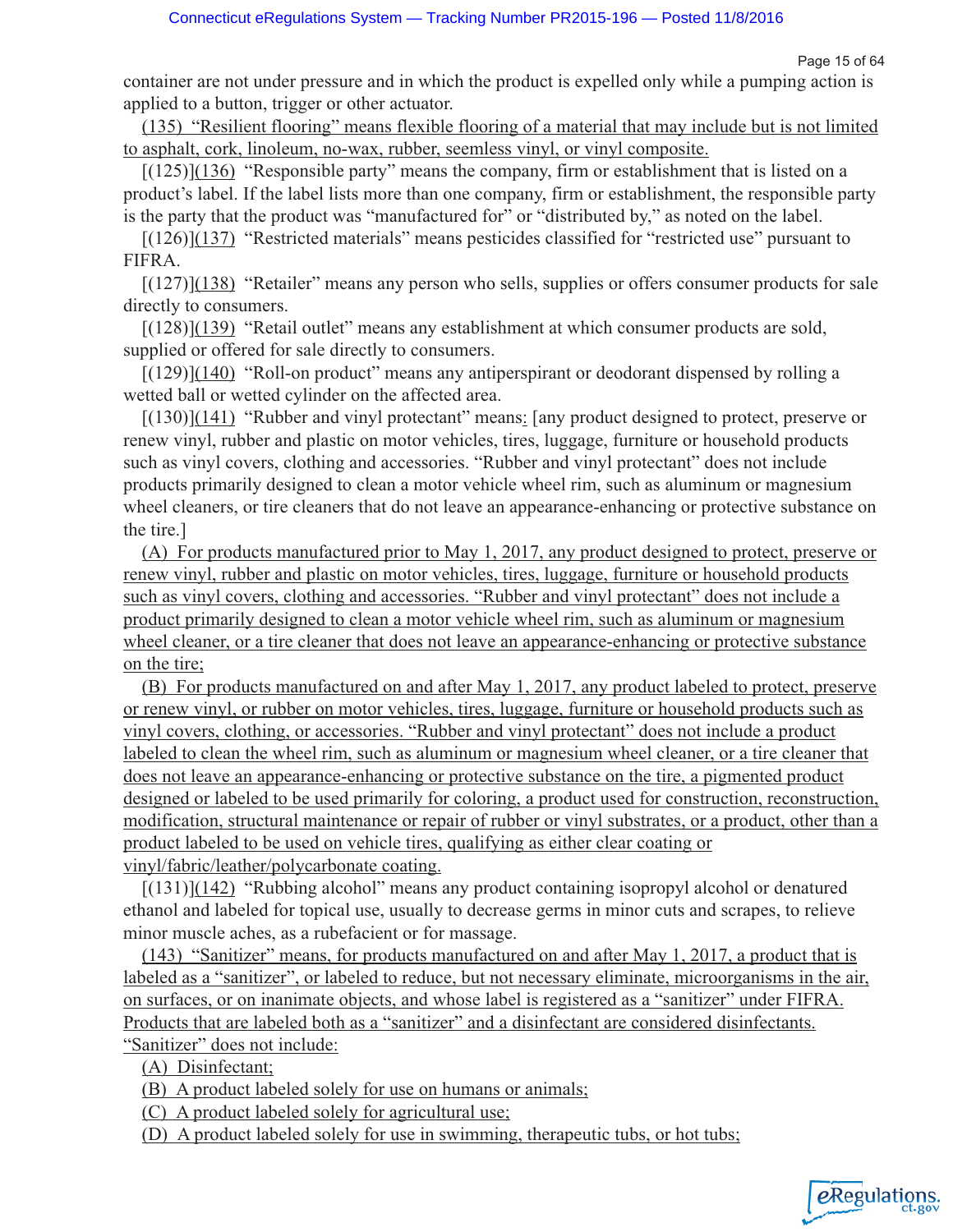Page 15 of 64

container are not under pressure and in which the product is expelled only while a pumping action is applied to a button, trigger or other actuator.

(135) "Resilient flooring" means flexible flooring of a material that may include but is not limited to asphalt, cork, linoleum, no-wax, rubber, seemless vinyl, or vinyl composite.

 $[(125)](136)$  "Responsible party" means the company, firm or establishment that is listed on a product's label. If the label lists more than one company, firm or establishment, the responsible party is the party that the product was "manufactured for" or "distributed by," as noted on the label.

[(126)](137) "Restricted materials" means pesticides classified for "restricted use" pursuant to FIFRA.

[(127)](138) "Retailer" means any person who sells, supplies or offers consumer products for sale directly to consumers.

[(128)](139) "Retail outlet" means any establishment at which consumer products are sold, supplied or offered for sale directly to consumers.

[(129)](140) "Roll-on product" means any antiperspirant or deodorant dispensed by rolling a wetted ball or wetted cylinder on the affected area.

 $[(130)](141)$  "Rubber and vinyl protectant" means: [any product designed to protect, preserve or renew vinyl, rubber and plastic on motor vehicles, tires, luggage, furniture or household products such as vinyl covers, clothing and accessories. "Rubber and vinyl protectant" does not include products primarily designed to clean a motor vehicle wheel rim, such as aluminum or magnesium wheel cleaners, or tire cleaners that do not leave an appearance-enhancing or protective substance on the tire.]

(A) For products manufactured prior to May 1, 2017, any product designed to protect, preserve or renew vinyl, rubber and plastic on motor vehicles, tires, luggage, furniture or household products such as vinyl covers, clothing and accessories. "Rubber and vinyl protectant" does not include a product primarily designed to clean a motor vehicle wheel rim, such as aluminum or magnesium wheel cleaner, or a tire cleaner that does not leave an appearance-enhancing or protective substance on the tire;

(B) For products manufactured on and after May 1, 2017, any product labeled to protect, preserve or renew vinyl, or rubber on motor vehicles, tires, luggage, furniture or household products such as vinyl covers, clothing, or accessories. "Rubber and vinyl protectant" does not include a product labeled to clean the wheel rim, such as aluminum or magnesium wheel cleaner, or a tire cleaner that does not leave an appearance-enhancing or protective substance on the tire, a pigmented product designed or labeled to be used primarily for coloring, a product used for construction, reconstruction, modification, structural maintenance or repair of rubber or vinyl substrates, or a product, other than a product labeled to be used on vehicle tires, qualifying as either clear coating or vinyl/fabric/leather/polycarbonate coating.

[(131)](142) "Rubbing alcohol" means any product containing isopropyl alcohol or denatured ethanol and labeled for topical use, usually to decrease germs in minor cuts and scrapes, to relieve minor muscle aches, as a rubefacient or for massage.

(143) "Sanitizer" means, for products manufactured on and after May 1, 2017, a product that is labeled as a "sanitizer", or labeled to reduce, but not necessary eliminate, microorganisms in the air, on surfaces, or on inanimate objects, and whose label is registered as a "sanitizer" under FIFRA. Products that are labeled both as a "sanitizer" and a disinfectant are considered disinfectants. "Sanitizer" does not include:

(A) Disinfectant;

(B) A product labeled solely for use on humans or animals;

(C) A product labeled solely for agricultural use;

(D) A product labeled solely for use in swimming, therapeutic tubs, or hot tubs;

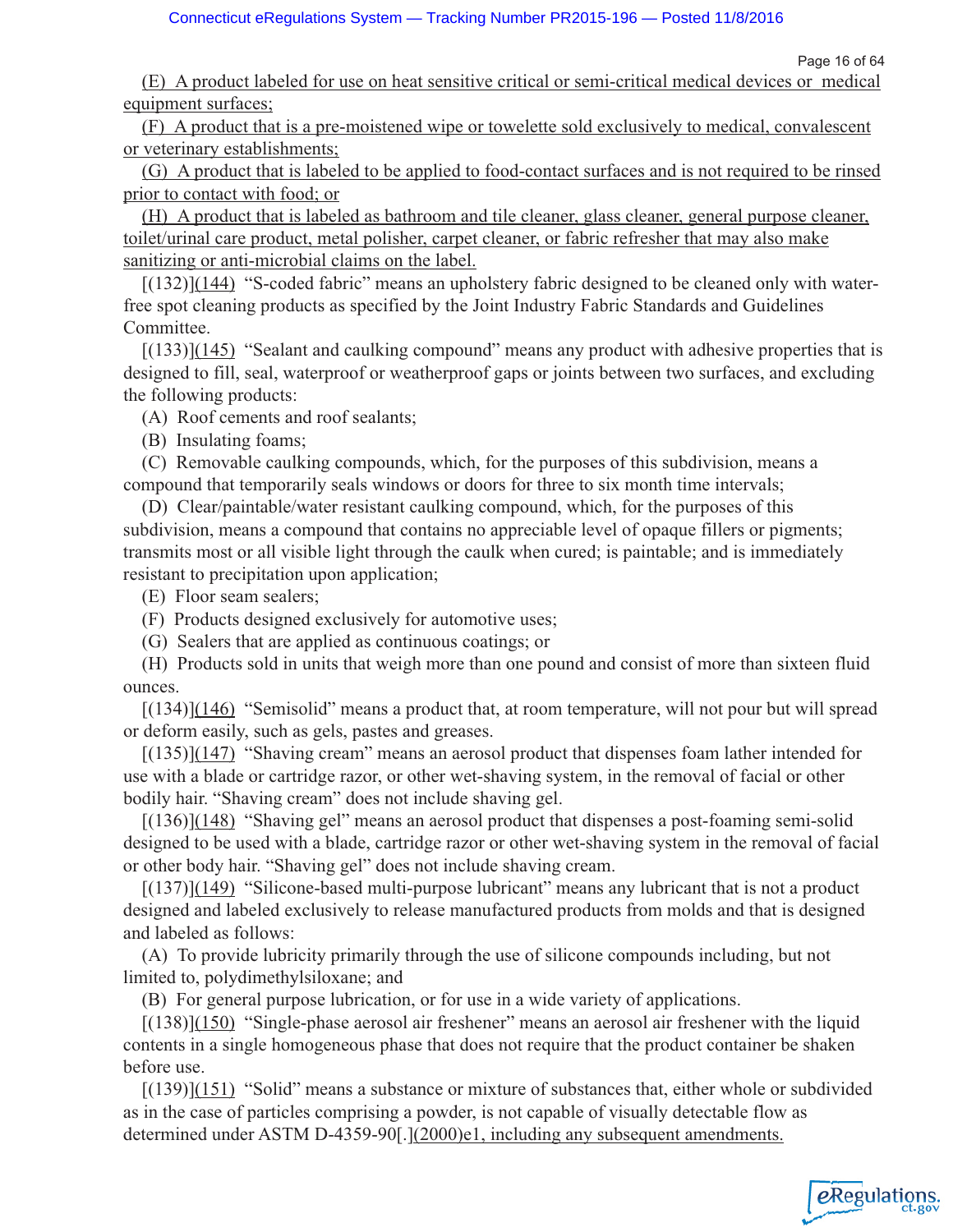Page 16 of 64

(E) A product labeled for use on heat sensitive critical or semi-critical medical devices or medical equipment surfaces;

(F) A product that is a pre-moistened wipe or towelette sold exclusively to medical, convalescent or veterinary establishments;

(G) A product that is labeled to be applied to food-contact surfaces and is not required to be rinsed prior to contact with food; or

(H) A product that is labeled as bathroom and tile cleaner, glass cleaner, general purpose cleaner, toilet/urinal care product, metal polisher, carpet cleaner, or fabric refresher that may also make sanitizing or anti-microbial claims on the label.

[(132)](144) "S-coded fabric" means an upholstery fabric designed to be cleaned only with waterfree spot cleaning products as specified by the Joint Industry Fabric Standards and Guidelines Committee.

 $[(133)](145)$  "Sealant and caulking compound" means any product with adhesive properties that is designed to fill, seal, waterproof or weatherproof gaps or joints between two surfaces, and excluding the following products:

(A) Roof cements and roof sealants;

(B) Insulating foams;

(C) Removable caulking compounds, which, for the purposes of this subdivision, means a compound that temporarily seals windows or doors for three to six month time intervals;

(D) Clear/paintable/water resistant caulking compound, which, for the purposes of this subdivision, means a compound that contains no appreciable level of opaque fillers or pigments; transmits most or all visible light through the caulk when cured; is paintable; and is immediately resistant to precipitation upon application;

(E) Floor seam sealers;

(F) Products designed exclusively for automotive uses;

(G) Sealers that are applied as continuous coatings; or

(H) Products sold in units that weigh more than one pound and consist of more than sixteen fluid ounces.

 $[(134)](146)$  "Semisolid" means a product that, at room temperature, will not pour but will spread or deform easily, such as gels, pastes and greases.

 $[(135)](147)$  "Shaving cream" means an aerosol product that dispenses foam lather intended for use with a blade or cartridge razor, or other wet-shaving system, in the removal of facial or other bodily hair. "Shaving cream" does not include shaving gel.

 $[(136)](148)$  "Shaving gel" means an aerosol product that dispenses a post-foaming semi-solid designed to be used with a blade, cartridge razor or other wet-shaving system in the removal of facial or other body hair. "Shaving gel" does not include shaving cream.

 $[(137)](149)$  "Silicone-based multi-purpose lubricant" means any lubricant that is not a product designed and labeled exclusively to release manufactured products from molds and that is designed and labeled as follows:

(A) To provide lubricity primarily through the use of silicone compounds including, but not limited to, polydimethylsiloxane; and

(B) For general purpose lubrication, or for use in a wide variety of applications.

[(138)](150) "Single-phase aerosol air freshener" means an aerosol air freshener with the liquid contents in a single homogeneous phase that does not require that the product container be shaken before use.

[(139)](151) "Solid" means a substance or mixture of substances that, either whole or subdivided as in the case of particles comprising a powder, is not capable of visually detectable flow as determined under ASTM D-4359-90[.](2000)e1, including any subsequent amendments.

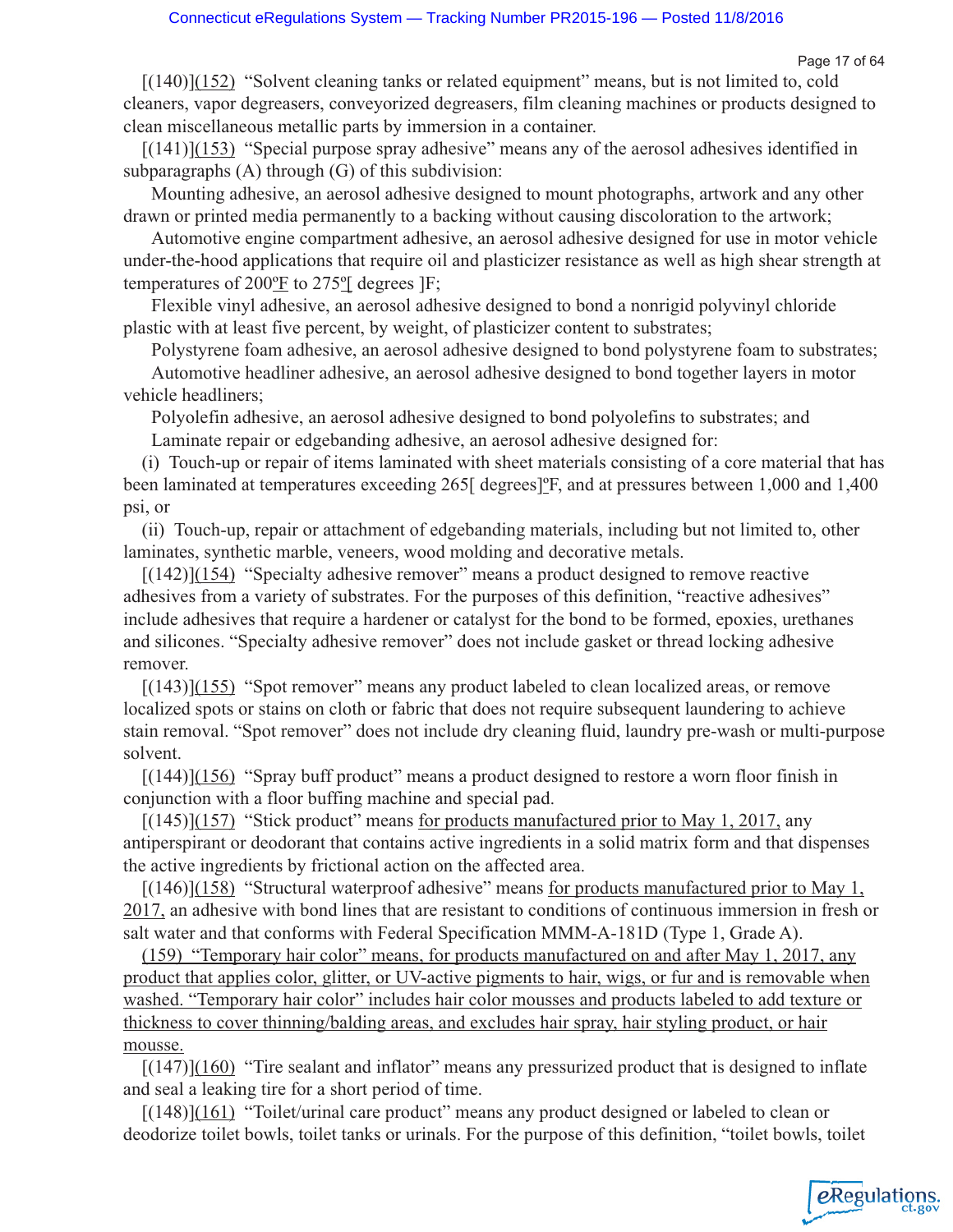Page 17 of 64

eRegulations

[(140)](152) "Solvent cleaning tanks or related equipment" means, but is not limited to, cold cleaners, vapor degreasers, conveyorized degreasers, film cleaning machines or products designed to clean miscellaneous metallic parts by immersion in a container.

[(141)](153) "Special purpose spray adhesive" means any of the aerosol adhesives identified in subparagraphs (A) through (G) of this subdivision:

Mounting adhesive, an aerosol adhesive designed to mount photographs, artwork and any other drawn or printed media permanently to a backing without causing discoloration to the artwork;

Automotive engine compartment adhesive, an aerosol adhesive designed for use in motor vehicle under-the-hood applications that require oil and plasticizer resistance as well as high shear strength at temperatures of 200ºF to 275º[ degrees ]F;

Flexible vinyl adhesive, an aerosol adhesive designed to bond a nonrigid polyvinyl chloride plastic with at least five percent, by weight, of plasticizer content to substrates;

Polystyrene foam adhesive, an aerosol adhesive designed to bond polystyrene foam to substrates; Automotive headliner adhesive, an aerosol adhesive designed to bond together layers in motor vehicle headliners;

Polyolefin adhesive, an aerosol adhesive designed to bond polyolefins to substrates; and

Laminate repair or edgebanding adhesive, an aerosol adhesive designed for:

(i) Touch-up or repair of items laminated with sheet materials consisting of a core material that has been laminated at temperatures exceeding 265[ degrees]<sup>o</sup>F, and at pressures between 1,000 and 1,400 psi, or

(ii) Touch-up, repair or attachment of edgebanding materials, including but not limited to, other laminates, synthetic marble, veneers, wood molding and decorative metals.

[(142)](154) "Specialty adhesive remover" means a product designed to remove reactive adhesives from a variety of substrates. For the purposes of this definition, "reactive adhesives" include adhesives that require a hardener or catalyst for the bond to be formed, epoxies, urethanes and silicones. "Specialty adhesive remover" does not include gasket or thread locking adhesive remover.

[(143)](155) "Spot remover" means any product labeled to clean localized areas, or remove localized spots or stains on cloth or fabric that does not require subsequent laundering to achieve stain removal. "Spot remover" does not include dry cleaning fluid, laundry pre-wash or multi-purpose solvent.

 $[(144)](156)$  "Spray buff product" means a product designed to restore a worn floor finish in conjunction with a floor buffing machine and special pad.

 $[(145)](157)$  "Stick product" means for products manufactured prior to May 1, 2017, any antiperspirant or deodorant that contains active ingredients in a solid matrix form and that dispenses the active ingredients by frictional action on the affected area.

 $[(146)](158)$  "Structural waterproof adhesive" means for products manufactured prior to May 1, 2017, an adhesive with bond lines that are resistant to conditions of continuous immersion in fresh or salt water and that conforms with Federal Specification MMM-A-181D (Type 1, Grade A).

(159) "Temporary hair color" means, for products manufactured on and after May 1, 2017, any product that applies color, glitter, or UV-active pigments to hair, wigs, or fur and is removable when washed. "Temporary hair color" includes hair color mousses and products labeled to add texture or thickness to cover thinning/balding areas, and excludes hair spray, hair styling product, or hair mousse.

 $[(147)](160)$  "Tire sealant and inflator" means any pressurized product that is designed to inflate and seal a leaking tire for a short period of time.

[(148)](161) "Toilet/urinal care product" means any product designed or labeled to clean or deodorize toilet bowls, toilet tanks or urinals. For the purpose of this definition, "toilet bowls, toilet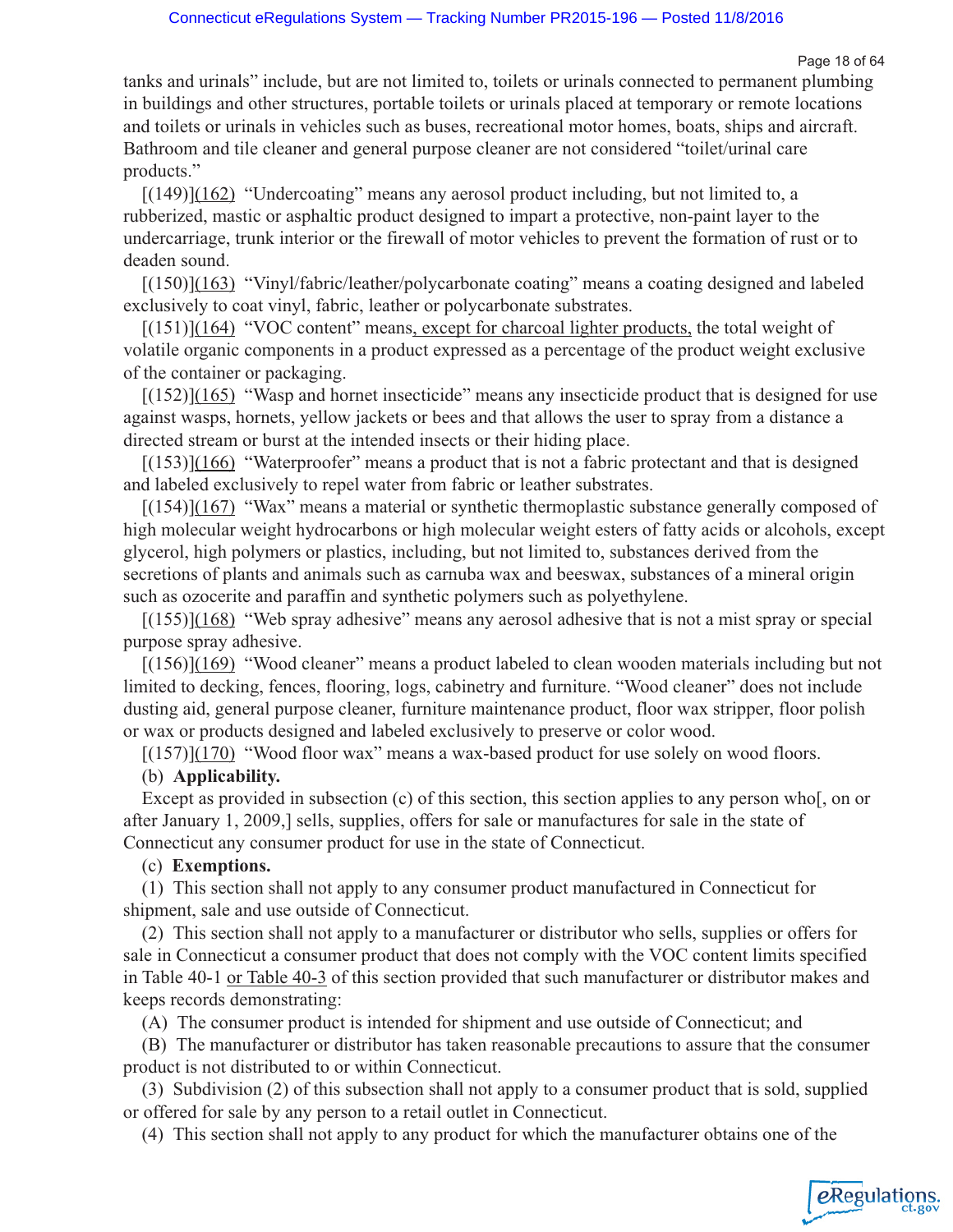Page 18 of 64

*e*Regulations

tanks and urinals" include, but are not limited to, toilets or urinals connected to permanent plumbing in buildings and other structures, portable toilets or urinals placed at temporary or remote locations and toilets or urinals in vehicles such as buses, recreational motor homes, boats, ships and aircraft. Bathroom and tile cleaner and general purpose cleaner are not considered "toilet/urinal care products."

[(149)](162) "Undercoating" means any aerosol product including, but not limited to, a rubberized, mastic or asphaltic product designed to impart a protective, non-paint layer to the undercarriage, trunk interior or the firewall of motor vehicles to prevent the formation of rust or to deaden sound.

[(150)](163) "Vinyl/fabric/leather/polycarbonate coating" means a coating designed and labeled exclusively to coat vinyl, fabric, leather or polycarbonate substrates.

 $[(151)](164)$  "VOC content" means, except for charcoal lighter products, the total weight of volatile organic components in a product expressed as a percentage of the product weight exclusive of the container or packaging.

[(152)](165) "Wasp and hornet insecticide" means any insecticide product that is designed for use against wasps, hornets, yellow jackets or bees and that allows the user to spray from a distance a directed stream or burst at the intended insects or their hiding place.

[(153)](166) "Waterproofer" means a product that is not a fabric protectant and that is designed and labeled exclusively to repel water from fabric or leather substrates.

[(154)](167) "Wax" means a material or synthetic thermoplastic substance generally composed of high molecular weight hydrocarbons or high molecular weight esters of fatty acids or alcohols, except glycerol, high polymers or plastics, including, but not limited to, substances derived from the secretions of plants and animals such as carnuba wax and beeswax, substances of a mineral origin such as ozocerite and paraffin and synthetic polymers such as polyethylene.

[(155)](168) "Web spray adhesive" means any aerosol adhesive that is not a mist spray or special purpose spray adhesive.

[(156)](169) "Wood cleaner" means a product labeled to clean wooden materials including but not limited to decking, fences, flooring, logs, cabinetry and furniture. "Wood cleaner" does not include dusting aid, general purpose cleaner, furniture maintenance product, floor wax stripper, floor polish or wax or products designed and labeled exclusively to preserve or color wood.

 $[(157)](170)$  "Wood floor wax" means a wax-based product for use solely on wood floors.

### (b) **Applicability.**

Except as provided in subsection (c) of this section, this section applies to any person who[, on or after January 1, 2009,] sells, supplies, offers for sale or manufactures for sale in the state of Connecticut any consumer product for use in the state of Connecticut.

### (c) **Exemptions.**

(1) This section shall not apply to any consumer product manufactured in Connecticut for shipment, sale and use outside of Connecticut.

(2) This section shall not apply to a manufacturer or distributor who sells, supplies or offers for sale in Connecticut a consumer product that does not comply with the VOC content limits specified in Table 40-1 or Table 40-3 of this section provided that such manufacturer or distributor makes and keeps records demonstrating:

(A) The consumer product is intended for shipment and use outside of Connecticut; and

(B) The manufacturer or distributor has taken reasonable precautions to assure that the consumer product is not distributed to or within Connecticut.

(3) Subdivision (2) of this subsection shall not apply to a consumer product that is sold, supplied or offered for sale by any person to a retail outlet in Connecticut.

(4) This section shall not apply to any product for which the manufacturer obtains one of the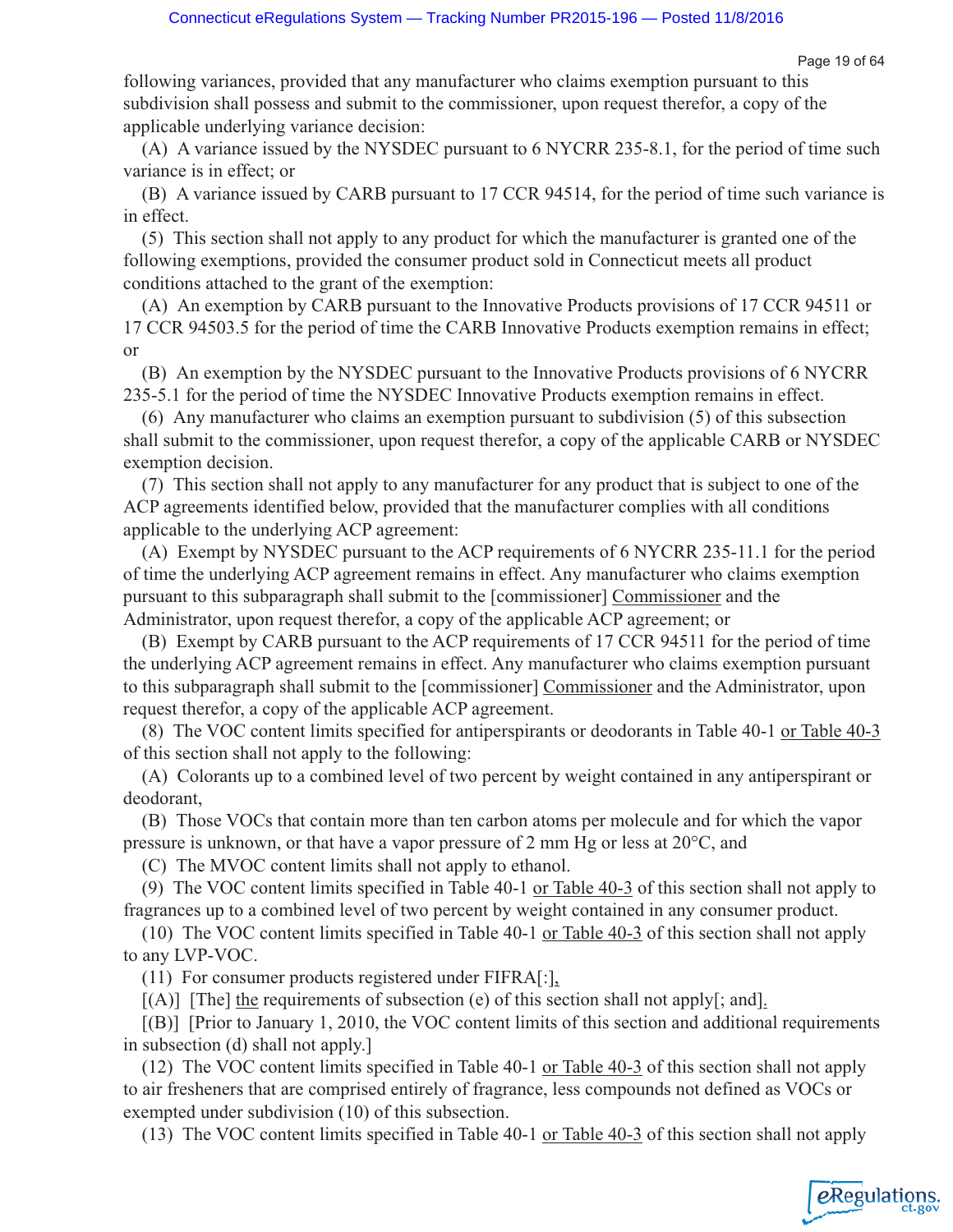following variances, provided that any manufacturer who claims exemption pursuant to this subdivision shall possess and submit to the commissioner, upon request therefor, a copy of the applicable underlying variance decision:

(A) A variance issued by the NYSDEC pursuant to 6 NYCRR 235-8.1, for the period of time such variance is in effect; or

(B) A variance issued by CARB pursuant to 17 CCR 94514, for the period of time such variance is in effect.

(5) This section shall not apply to any product for which the manufacturer is granted one of the following exemptions, provided the consumer product sold in Connecticut meets all product conditions attached to the grant of the exemption:

(A) An exemption by CARB pursuant to the Innovative Products provisions of 17 CCR 94511 or 17 CCR 94503.5 for the period of time the CARB Innovative Products exemption remains in effect; or

(B) An exemption by the NYSDEC pursuant to the Innovative Products provisions of 6 NYCRR 235-5.1 for the period of time the NYSDEC Innovative Products exemption remains in effect.

(6) Any manufacturer who claims an exemption pursuant to subdivision (5) of this subsection shall submit to the commissioner, upon request therefor, a copy of the applicable CARB or NYSDEC exemption decision.

(7) This section shall not apply to any manufacturer for any product that is subject to one of the ACP agreements identified below, provided that the manufacturer complies with all conditions applicable to the underlying ACP agreement:

(A) Exempt by NYSDEC pursuant to the ACP requirements of 6 NYCRR 235-11.1 for the period of time the underlying ACP agreement remains in effect. Any manufacturer who claims exemption pursuant to this subparagraph shall submit to the [commissioner] Commissioner and the Administrator, upon request therefor, a copy of the applicable ACP agreement; or

(B) Exempt by CARB pursuant to the ACP requirements of 17 CCR 94511 for the period of time the underlying ACP agreement remains in effect. Any manufacturer who claims exemption pursuant to this subparagraph shall submit to the [commissioner] Commissioner and the Administrator, upon request therefor, a copy of the applicable ACP agreement.

(8) The VOC content limits specified for antiperspirants or deodorants in Table 40-1 or Table 40-3 of this section shall not apply to the following:

(A) Colorants up to a combined level of two percent by weight contained in any antiperspirant or deodorant,

(B) Those VOCs that contain more than ten carbon atoms per molecule and for which the vapor pressure is unknown, or that have a vapor pressure of 2 mm Hg or less at 20°C, and

(C) The MVOC content limits shall not apply to ethanol.

(9) The VOC content limits specified in Table 40-1 or Table 40-3 of this section shall not apply to fragrances up to a combined level of two percent by weight contained in any consumer product.

(10) The VOC content limits specified in Table 40-1 or Table 40-3 of this section shall not apply to any LVP-VOC.

(11) For consumer products registered under FIFRA[:],

 $[(A)]$  [The] the requirements of subsection (e) of this section shall not apply[; and].

[(B)] [Prior to January 1, 2010, the VOC content limits of this section and additional requirements in subsection (d) shall not apply.]

(12) The VOC content limits specified in Table 40-1 or Table 40-3 of this section shall not apply to air fresheners that are comprised entirely of fragrance, less compounds not defined as VOCs or exempted under subdivision (10) of this subsection.

(13) The VOC content limits specified in Table 40-1 or Table 40-3 of this section shall not apply

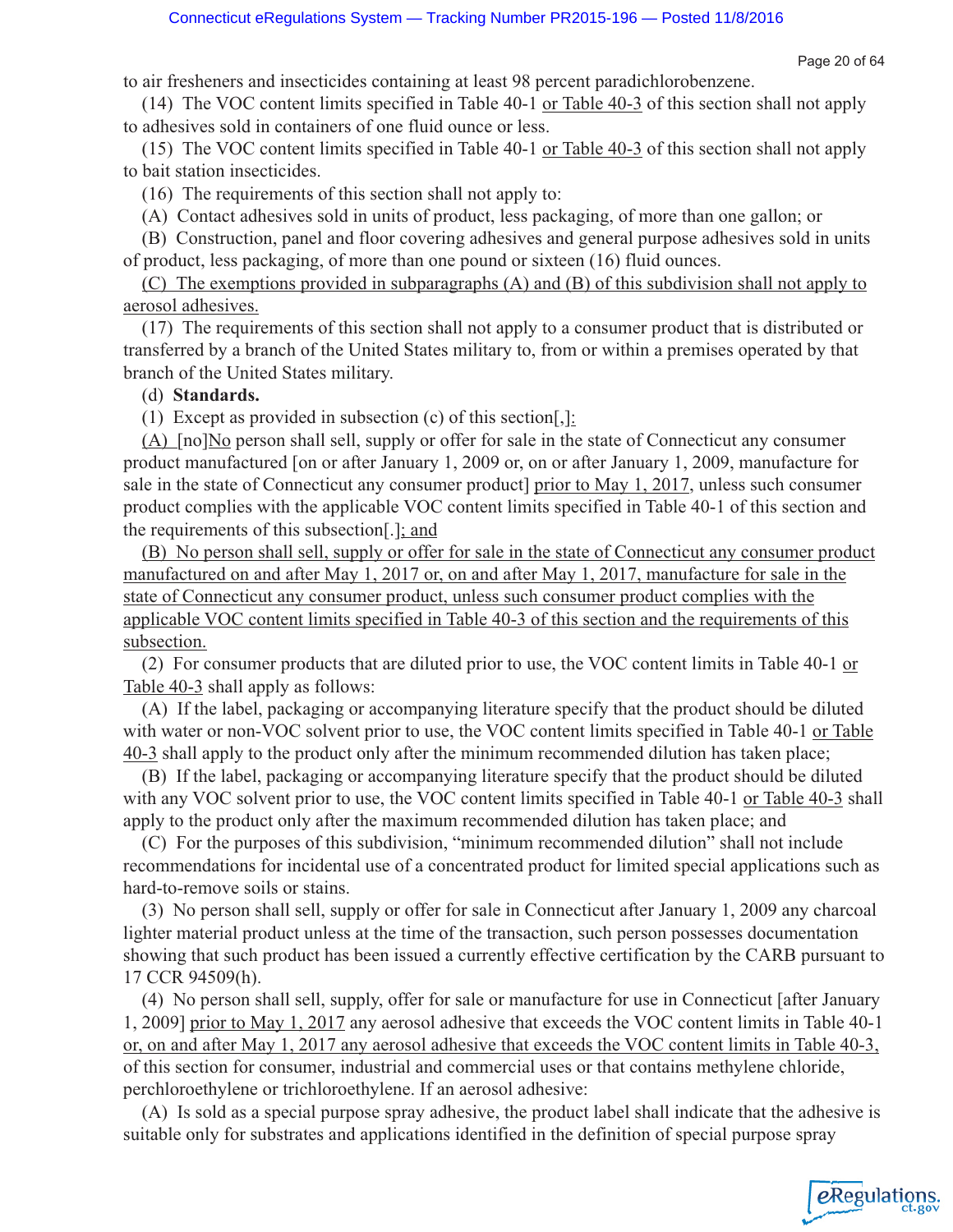Page 20 of 64

eRegulations

to air fresheners and insecticides containing at least 98 percent paradichlorobenzene.

(14) The VOC content limits specified in Table 40-1 or Table 40-3 of this section shall not apply to adhesives sold in containers of one fluid ounce or less.

(15) The VOC content limits specified in Table 40-1 or Table 40-3 of this section shall not apply to bait station insecticides.

(16) The requirements of this section shall not apply to:

(A) Contact adhesives sold in units of product, less packaging, of more than one gallon; or

(B) Construction, panel and floor covering adhesives and general purpose adhesives sold in units of product, less packaging, of more than one pound or sixteen (16) fluid ounces.

(C) The exemptions provided in subparagraphs (A) and (B) of this subdivision shall not apply to aerosol adhesives.

(17) The requirements of this section shall not apply to a consumer product that is distributed or transferred by a branch of the United States military to, from or within a premises operated by that branch of the United States military.

### (d) **Standards.**

(1) Except as provided in subsection (c) of this section  $[$ ,  $]$ :

 $(A)$  [no] $No$  person shall sell, supply or offer for sale in the state of Connecticut any consumer product manufactured [on or after January 1, 2009 or, on or after January 1, 2009, manufacture for sale in the state of Connecticut any consumer product] prior to May 1, 2017, unless such consumer product complies with the applicable VOC content limits specified in Table 40-1 of this section and the requirements of this subsection[.]; and

(B) No person shall sell, supply or offer for sale in the state of Connecticut any consumer product manufactured on and after May 1, 2017 or, on and after May 1, 2017, manufacture for sale in the state of Connecticut any consumer product, unless such consumer product complies with the applicable VOC content limits specified in Table 40-3 of this section and the requirements of this subsection.

(2) For consumer products that are diluted prior to use, the VOC content limits in Table 40-1 or Table 40-3 shall apply as follows:

(A) If the label, packaging or accompanying literature specify that the product should be diluted with water or non-VOC solvent prior to use, the VOC content limits specified in Table 40-1 or Table 40-3 shall apply to the product only after the minimum recommended dilution has taken place;

(B) If the label, packaging or accompanying literature specify that the product should be diluted with any VOC solvent prior to use, the VOC content limits specified in Table 40-1 or Table 40-3 shall apply to the product only after the maximum recommended dilution has taken place; and

(C) For the purposes of this subdivision, "minimum recommended dilution" shall not include recommendations for incidental use of a concentrated product for limited special applications such as hard-to-remove soils or stains.

(3) No person shall sell, supply or offer for sale in Connecticut after January 1, 2009 any charcoal lighter material product unless at the time of the transaction, such person possesses documentation showing that such product has been issued a currently effective certification by the CARB pursuant to 17 CCR 94509(h).

(4) No person shall sell, supply, offer for sale or manufacture for use in Connecticut [after January 1, 2009] prior to May 1, 2017 any aerosol adhesive that exceeds the VOC content limits in Table 40-1 or, on and after May 1, 2017 any aerosol adhesive that exceeds the VOC content limits in Table 40-3, of this section for consumer, industrial and commercial uses or that contains methylene chloride, perchloroethylene or trichloroethylene. If an aerosol adhesive:

(A) Is sold as a special purpose spray adhesive, the product label shall indicate that the adhesive is suitable only for substrates and applications identified in the definition of special purpose spray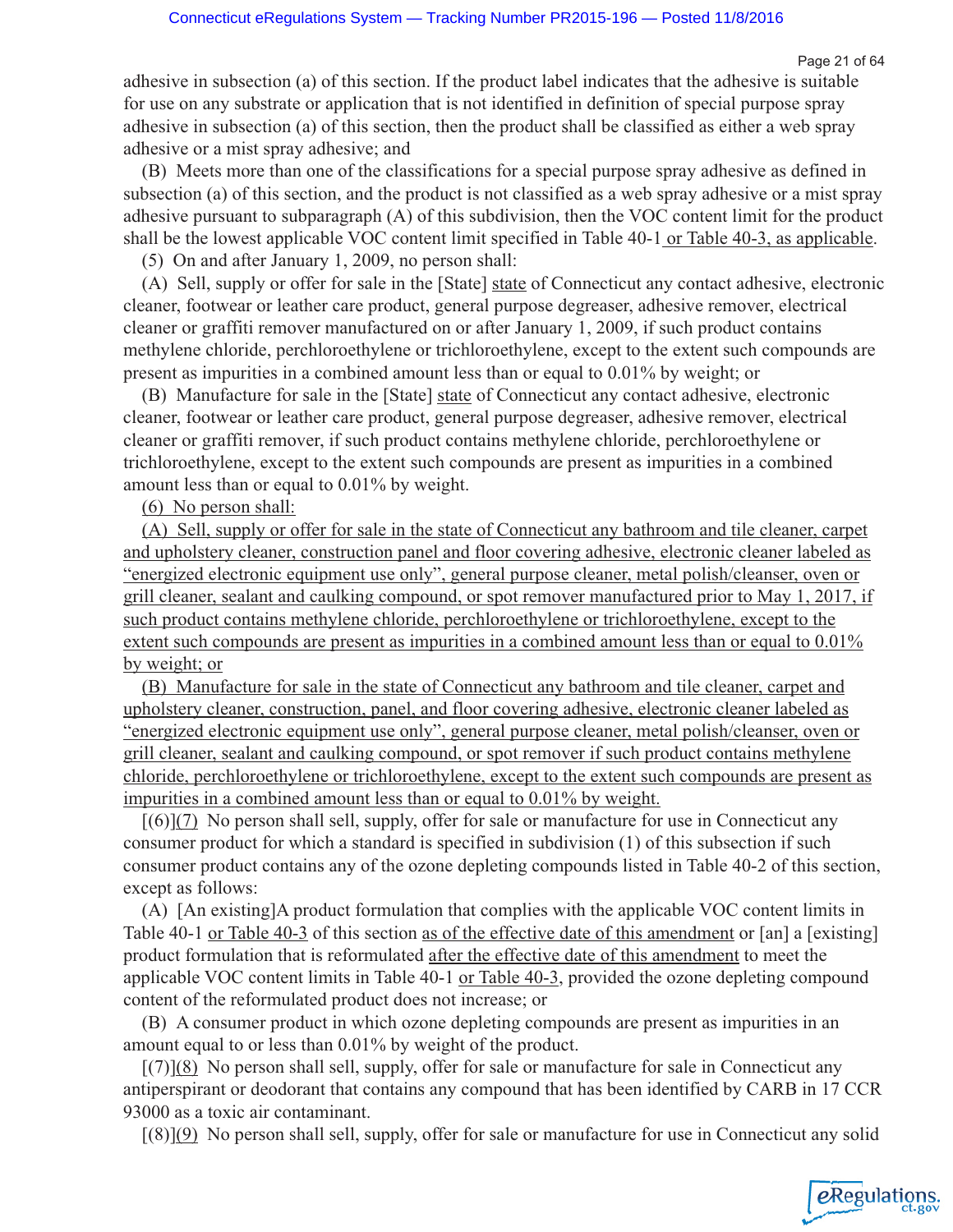Page 21 of 64

eRegulations

adhesive in subsection (a) of this section. If the product label indicates that the adhesive is suitable for use on any substrate or application that is not identified in definition of special purpose spray adhesive in subsection (a) of this section, then the product shall be classified as either a web spray adhesive or a mist spray adhesive; and

(B) Meets more than one of the classifications for a special purpose spray adhesive as defined in subsection (a) of this section, and the product is not classified as a web spray adhesive or a mist spray adhesive pursuant to subparagraph (A) of this subdivision, then the VOC content limit for the product shall be the lowest applicable VOC content limit specified in Table 40-1 or Table 40-3, as applicable.

(5) On and after January 1, 2009, no person shall:

(A) Sell, supply or offer for sale in the [State] state of Connecticut any contact adhesive, electronic cleaner, footwear or leather care product, general purpose degreaser, adhesive remover, electrical cleaner or graffiti remover manufactured on or after January 1, 2009, if such product contains methylene chloride, perchloroethylene or trichloroethylene, except to the extent such compounds are present as impurities in a combined amount less than or equal to 0.01% by weight; or

(B) Manufacture for sale in the [State] state of Connecticut any contact adhesive, electronic cleaner, footwear or leather care product, general purpose degreaser, adhesive remover, electrical cleaner or graffiti remover, if such product contains methylene chloride, perchloroethylene or trichloroethylene, except to the extent such compounds are present as impurities in a combined amount less than or equal to 0.01% by weight.

(6) No person shall:

(A) Sell, supply or offer for sale in the state of Connecticut any bathroom and tile cleaner, carpet and upholstery cleaner, construction panel and floor covering adhesive, electronic cleaner labeled as "energized electronic equipment use only", general purpose cleaner, metal polish/cleanser, oven or grill cleaner, sealant and caulking compound, or spot remover manufactured prior to May 1, 2017, if such product contains methylene chloride, perchloroethylene or trichloroethylene, except to the extent such compounds are present as impurities in a combined amount less than or equal to  $0.01\%$ by weight; or

(B) Manufacture for sale in the state of Connecticut any bathroom and tile cleaner, carpet and upholstery cleaner, construction, panel, and floor covering adhesive, electronic cleaner labeled as "energized electronic equipment use only", general purpose cleaner, metal polish/cleanser, oven or grill cleaner, sealant and caulking compound, or spot remover if such product contains methylene chloride, perchloroethylene or trichloroethylene, except to the extent such compounds are present as impurities in a combined amount less than or equal to 0.01% by weight.

[(6)](7) No person shall sell, supply, offer for sale or manufacture for use in Connecticut any consumer product for which a standard is specified in subdivision (1) of this subsection if such consumer product contains any of the ozone depleting compounds listed in Table 40-2 of this section, except as follows:

(A) [An existing]A product formulation that complies with the applicable VOC content limits in Table 40-1 or Table 40-3 of this section as of the effective date of this amendment or [an] a [existing] product formulation that is reformulated after the effective date of this amendment to meet the applicable VOC content limits in Table 40-1 or Table 40-3, provided the ozone depleting compound content of the reformulated product does not increase; or

(B) A consumer product in which ozone depleting compounds are present as impurities in an amount equal to or less than 0.01% by weight of the product.

 $[(7)](8)$  No person shall sell, supply, offer for sale or manufacture for sale in Connecticut any antiperspirant or deodorant that contains any compound that has been identified by CARB in 17 CCR 93000 as a toxic air contaminant.

[(8)](9) No person shall sell, supply, offer for sale or manufacture for use in Connecticut any solid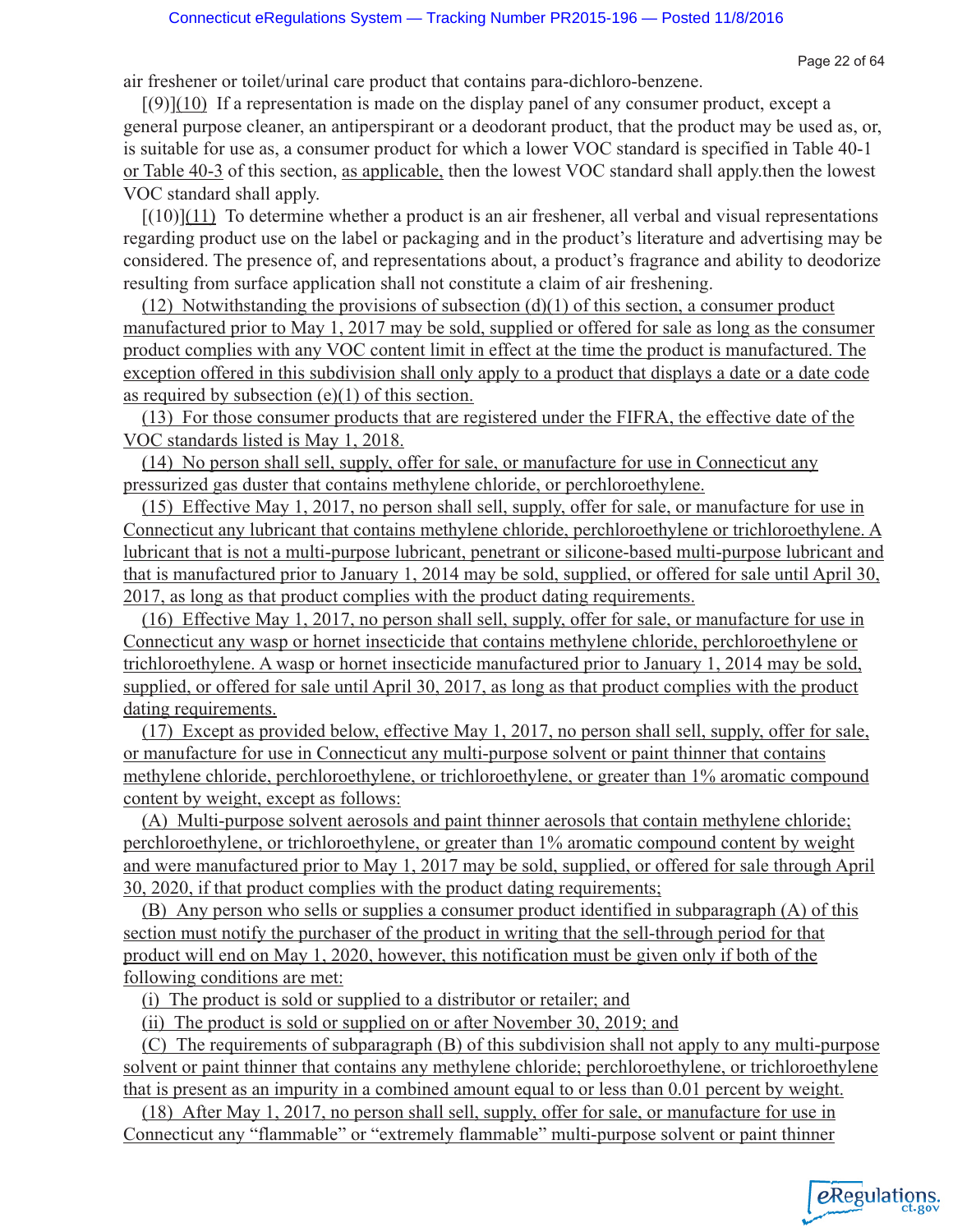Page 22 of 64

air freshener or toilet/urinal care product that contains para-dichloro-benzene.

 $[(9)](10)$  If a representation is made on the display panel of any consumer product, except a general purpose cleaner, an antiperspirant or a deodorant product, that the product may be used as, or, is suitable for use as, a consumer product for which a lower VOC standard is specified in Table 40-1 or Table 40-3 of this section, as applicable, then the lowest VOC standard shall apply.then the lowest VOC standard shall apply.

 $[(10)](11)$  To determine whether a product is an air freshener, all verbal and visual representations regarding product use on the label or packaging and in the product's literature and advertising may be considered. The presence of, and representations about, a product's fragrance and ability to deodorize resulting from surface application shall not constitute a claim of air freshening.

(12) Notwithstanding the provisions of subsection  $(d)(1)$  of this section, a consumer product manufactured prior to May 1, 2017 may be sold, supplied or offered for sale as long as the consumer product complies with any VOC content limit in effect at the time the product is manufactured. The exception offered in this subdivision shall only apply to a product that displays a date or a date code as required by subsection  $(e)(1)$  of this section.

(13) For those consumer products that are registered under the FIFRA, the effective date of the VOC standards listed is May 1, 2018.

(14) No person shall sell, supply, offer for sale, or manufacture for use in Connecticut any pressurized gas duster that contains methylene chloride, or perchloroethylene.

(15) Effective May 1, 2017, no person shall sell, supply, offer for sale, or manufacture for use in Connecticut any lubricant that contains methylene chloride, perchloroethylene or trichloroethylene. A lubricant that is not a multi-purpose lubricant, penetrant or silicone-based multi-purpose lubricant and that is manufactured prior to January 1, 2014 may be sold, supplied, or offered for sale until April 30, 2017, as long as that product complies with the product dating requirements.

(16) Effective May 1, 2017, no person shall sell, supply, offer for sale, or manufacture for use in Connecticut any wasp or hornet insecticide that contains methylene chloride, perchloroethylene or trichloroethylene. A wasp or hornet insecticide manufactured prior to January 1, 2014 may be sold, supplied, or offered for sale until April 30, 2017, as long as that product complies with the product dating requirements.

(17) Except as provided below, effective May 1, 2017, no person shall sell, supply, offer for sale, or manufacture for use in Connecticut any multi-purpose solvent or paint thinner that contains methylene chloride, perchloroethylene, or trichloroethylene, or greater than 1% aromatic compound content by weight, except as follows:

(A) Multi-purpose solvent aerosols and paint thinner aerosols that contain methylene chloride; perchloroethylene, or trichloroethylene, or greater than 1% aromatic compound content by weight and were manufactured prior to May 1, 2017 may be sold, supplied, or offered for sale through April 30, 2020, if that product complies with the product dating requirements;

(B) Any person who sells or supplies a consumer product identified in subparagraph (A) of this section must notify the purchaser of the product in writing that the sell-through period for that product will end on May 1, 2020, however, this notification must be given only if both of the following conditions are met:

(i) The product is sold or supplied to a distributor or retailer; and

(ii) The product is sold or supplied on or after November 30, 2019; and

(C) The requirements of subparagraph (B) of this subdivision shall not apply to any multi-purpose solvent or paint thinner that contains any methylene chloride; perchloroethylene, or trichloroethylene that is present as an impurity in a combined amount equal to or less than 0.01 percent by weight.

(18) After May 1, 2017, no person shall sell, supply, offer for sale, or manufacture for use in Connecticut any "flammable" or "extremely flammable" multi-purpose solvent or paint thinner

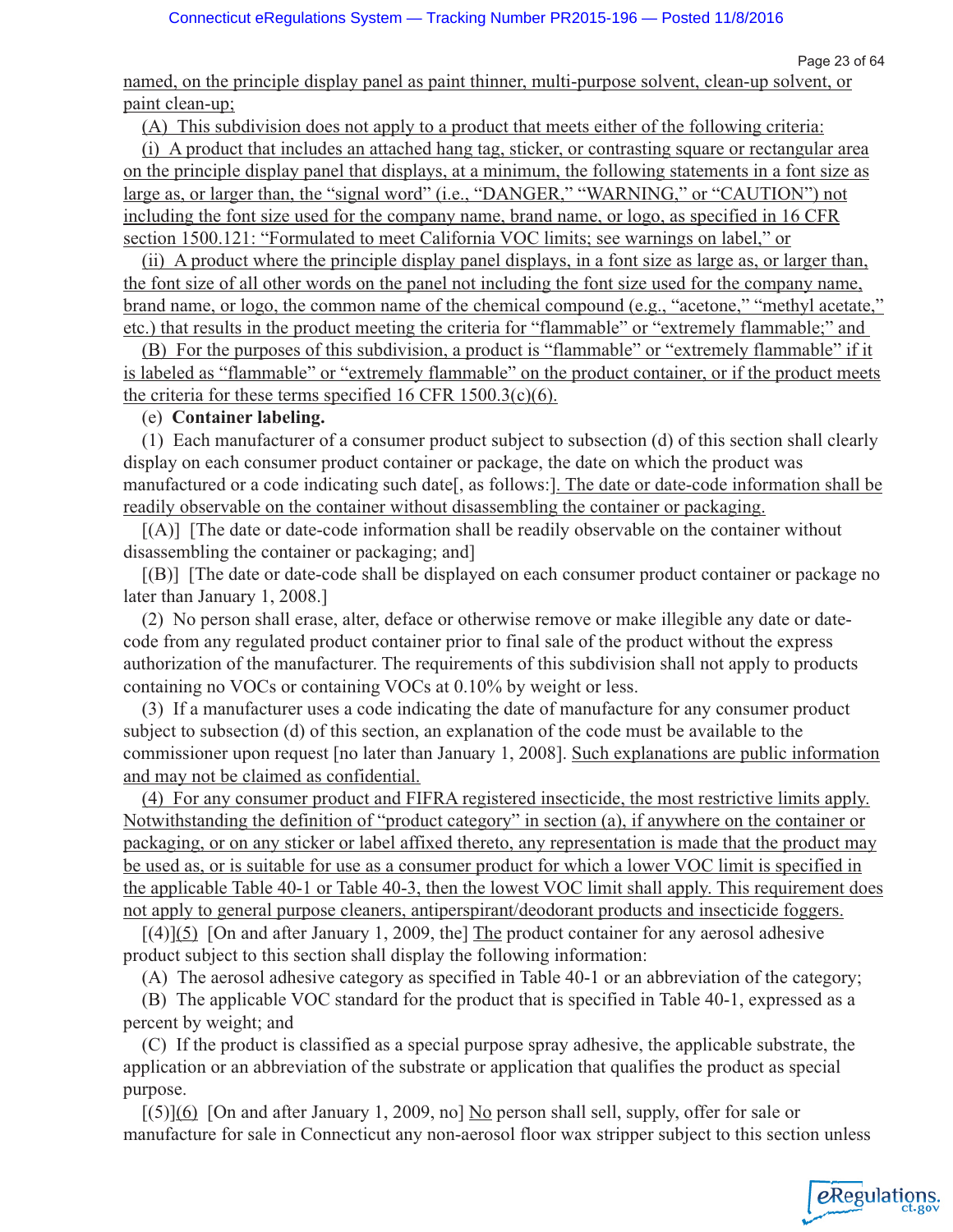eRegulations

named, on the principle display panel as paint thinner, multi-purpose solvent, clean-up solvent, or paint clean-up;

(A) This subdivision does not apply to a product that meets either of the following criteria:

(i) A product that includes an attached hang tag, sticker, or contrasting square or rectangular area on the principle display panel that displays, at a minimum, the following statements in a font size as large as, or larger than, the "signal word" (i.e., "DANGER," "WARNING," or "CAUTION") not including the font size used for the company name, brand name, or logo, as specified in 16 CFR section 1500.121: "Formulated to meet California VOC limits; see warnings on label," or

(ii) A product where the principle display panel displays, in a font size as large as, or larger than, the font size of all other words on the panel not including the font size used for the company name, brand name, or logo, the common name of the chemical compound (e.g., "acetone," "methyl acetate," etc.) that results in the product meeting the criteria for "flammable" or "extremely flammable;" and

(B) For the purposes of this subdivision, a product is "flammable" or "extremely flammable" if it is labeled as "flammable" or "extremely flammable" on the product container, or if the product meets the criteria for these terms specified 16 CFR 1500.3(c)(6).

## (e) **Container labeling.**

(1) Each manufacturer of a consumer product subject to subsection (d) of this section shall clearly display on each consumer product container or package, the date on which the product was manufactured or a code indicating such date[, as follows:]. The date or date-code information shall be readily observable on the container without disassembling the container or packaging.

[(A)] [The date or date-code information shall be readily observable on the container without disassembling the container or packaging; and]

[(B)] [The date or date-code shall be displayed on each consumer product container or package no later than January 1, 2008.]

(2) No person shall erase, alter, deface or otherwise remove or make illegible any date or datecode from any regulated product container prior to final sale of the product without the express authorization of the manufacturer. The requirements of this subdivision shall not apply to products containing no VOCs or containing VOCs at 0.10% by weight or less.

(3) If a manufacturer uses a code indicating the date of manufacture for any consumer product subject to subsection (d) of this section, an explanation of the code must be available to the commissioner upon request [no later than January 1, 2008]. Such explanations are public information and may not be claimed as confidential.

(4) For any consumer product and FIFRA registered insecticide, the most restrictive limits apply. Notwithstanding the definition of "product category" in section (a), if anywhere on the container or packaging, or on any sticker or label affixed thereto, any representation is made that the product may be used as, or is suitable for use as a consumer product for which a lower VOC limit is specified in the applicable Table 40-1 or Table 40-3, then the lowest VOC limit shall apply. This requirement does not apply to general purpose cleaners, antiperspirant/deodorant products and insecticide foggers.

 $[(4)](5)$  [On and after January 1, 2009, the] The product container for any aerosol adhesive product subject to this section shall display the following information:

(A) The aerosol adhesive category as specified in Table 40-1 or an abbreviation of the category;

(B) The applicable VOC standard for the product that is specified in Table 40-1, expressed as a percent by weight; and

(C) If the product is classified as a special purpose spray adhesive, the applicable substrate, the application or an abbreviation of the substrate or application that qualifies the product as special purpose.

[(5)](6) [On and after January 1, 2009, no] No person shall sell, supply, offer for sale or manufacture for sale in Connecticut any non-aerosol floor wax stripper subject to this section unless

Page 23 of 64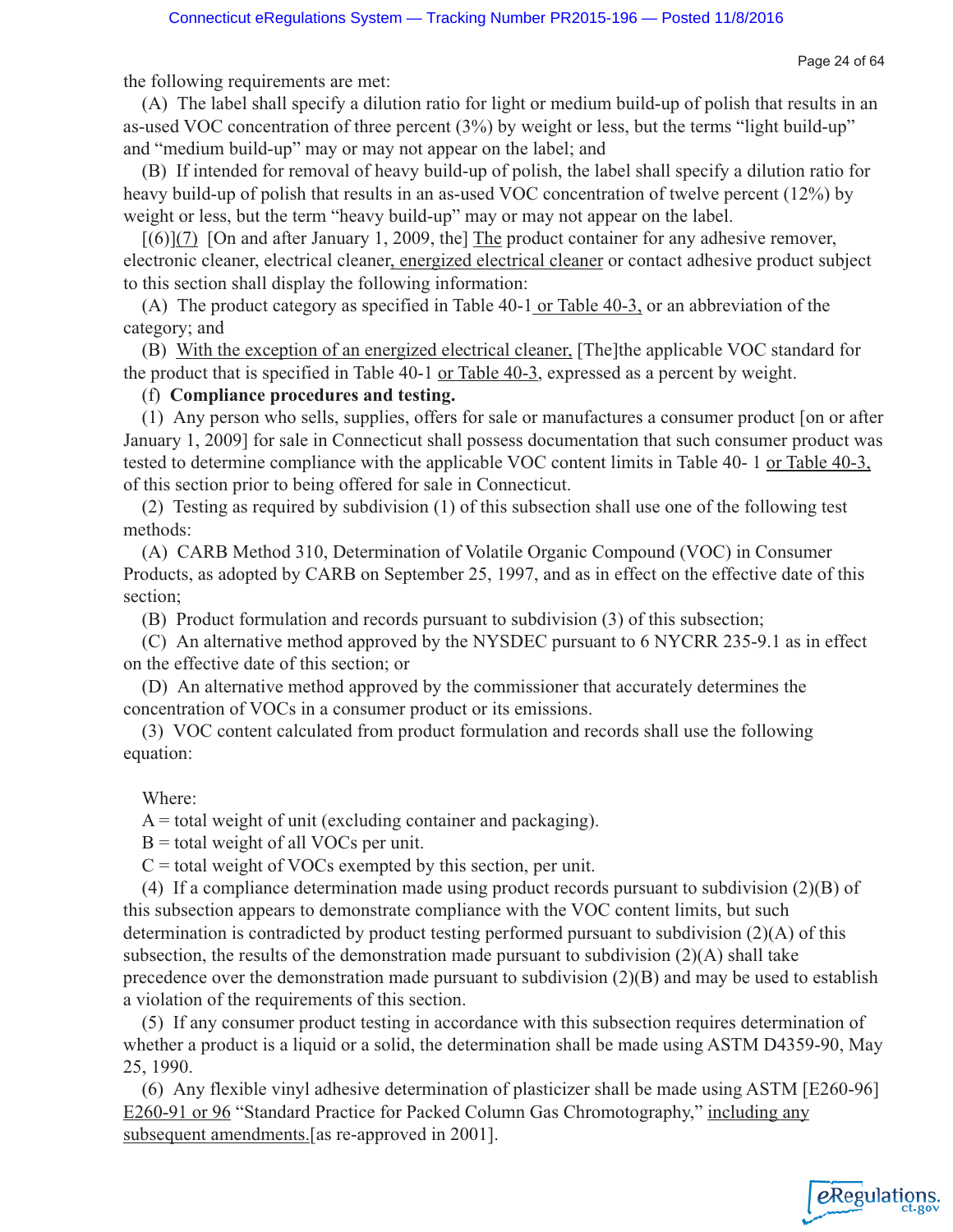Page 24 of 64

the following requirements are met:

(A) The label shall specify a dilution ratio for light or medium build-up of polish that results in an as-used VOC concentration of three percent (3%) by weight or less, but the terms "light build-up" and "medium build-up" may or may not appear on the label; and

(B) If intended for removal of heavy build-up of polish, the label shall specify a dilution ratio for heavy build-up of polish that results in an as-used VOC concentration of twelve percent (12%) by weight or less, but the term "heavy build-up" may or may not appear on the label.

 $[(6)](7)$  [On and after January 1, 2009, the] The product container for any adhesive remover, electronic cleaner, electrical cleaner, energized electrical cleaner or contact adhesive product subject to this section shall display the following information:

(A) The product category as specified in Table 40-1 or Table 40-3, or an abbreviation of the category; and

(B) With the exception of an energized electrical cleaner, [The]the applicable VOC standard for the product that is specified in Table 40-1 or Table 40-3, expressed as a percent by weight.

## (f) **Compliance procedures and testing.**

(1) Any person who sells, supplies, offers for sale or manufactures a consumer product [on or after January 1, 2009] for sale in Connecticut shall possess documentation that such consumer product was tested to determine compliance with the applicable VOC content limits in Table 40- 1 or Table 40-3, of this section prior to being offered for sale in Connecticut.

(2) Testing as required by subdivision (1) of this subsection shall use one of the following test methods:

(A) CARB Method 310, Determination of Volatile Organic Compound (VOC) in Consumer Products, as adopted by CARB on September 25, 1997, and as in effect on the effective date of this section;

(B) Product formulation and records pursuant to subdivision (3) of this subsection;

(C) An alternative method approved by the NYSDEC pursuant to 6 NYCRR 235-9.1 as in effect on the effective date of this section; or

(D) An alternative method approved by the commissioner that accurately determines the concentration of VOCs in a consumer product or its emissions.

(3) VOC content calculated from product formulation and records shall use the following equation:

### Where:

 $A =$  total weight of unit (excluding container and packaging).

 $B =$  total weight of all VOCs per unit.

 $C =$  total weight of VOCs exempted by this section, per unit.

(4) If a compliance determination made using product records pursuant to subdivision (2)(B) of this subsection appears to demonstrate compliance with the VOC content limits, but such determination is contradicted by product testing performed pursuant to subdivision (2)(A) of this subsection, the results of the demonstration made pursuant to subdivision  $(2)(A)$  shall take precedence over the demonstration made pursuant to subdivision (2)(B) and may be used to establish a violation of the requirements of this section.

(5) If any consumer product testing in accordance with this subsection requires determination of whether a product is a liquid or a solid, the determination shall be made using ASTM D4359-90, May 25, 1990.

(6) Any flexible vinyl adhesive determination of plasticizer shall be made using ASTM [E260-96] E260-91 or 96 "Standard Practice for Packed Column Gas Chromotography," including any subsequent amendments.[as re-approved in 2001].

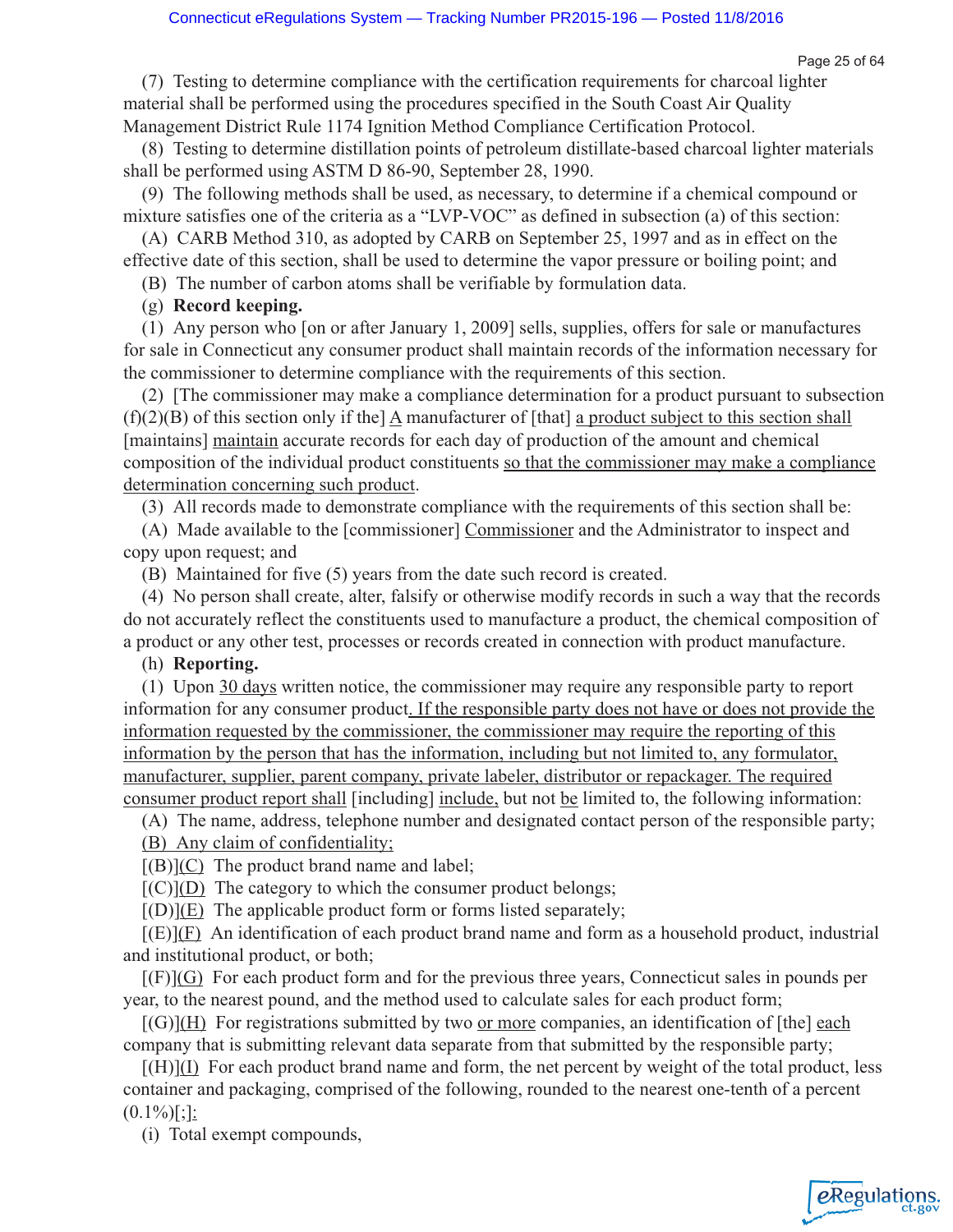eRegulations

(7) Testing to determine compliance with the certification requirements for charcoal lighter material shall be performed using the procedures specified in the South Coast Air Quality Management District Rule 1174 Ignition Method Compliance Certification Protocol.

(8) Testing to determine distillation points of petroleum distillate-based charcoal lighter materials shall be performed using ASTM D 86-90, September 28, 1990.

(9) The following methods shall be used, as necessary, to determine if a chemical compound or mixture satisfies one of the criteria as a "LVP-VOC" as defined in subsection (a) of this section:

(A) CARB Method 310, as adopted by CARB on September 25, 1997 and as in effect on the effective date of this section, shall be used to determine the vapor pressure or boiling point; and

(B) The number of carbon atoms shall be verifiable by formulation data.

(g) **Record keeping.**

(1) Any person who [on or after January 1, 2009] sells, supplies, offers for sale or manufactures for sale in Connecticut any consumer product shall maintain records of the information necessary for the commissioner to determine compliance with the requirements of this section.

(2) [The commissioner may make a compliance determination for a product pursuant to subsection  $(f)(2)(B)$  of this section only if the A manufacturer of [that] a product subject to this section shall [maintains] maintain accurate records for each day of production of the amount and chemical composition of the individual product constituents so that the commissioner may make a compliance determination concerning such product.

(3) All records made to demonstrate compliance with the requirements of this section shall be:

(A) Made available to the [commissioner] Commissioner and the Administrator to inspect and copy upon request; and

(B) Maintained for five (5) years from the date such record is created.

(4) No person shall create, alter, falsify or otherwise modify records in such a way that the records do not accurately reflect the constituents used to manufacture a product, the chemical composition of a product or any other test, processes or records created in connection with product manufacture.

## (h) **Reporting.**

(1) Upon 30 days written notice, the commissioner may require any responsible party to report information for any consumer product. If the responsible party does not have or does not provide the information requested by the commissioner, the commissioner may require the reporting of this information by the person that has the information, including but not limited to, any formulator, manufacturer, supplier, parent company, private labeler, distributor or repackager. The required consumer product report shall [including] include, but not be limited to, the following information:

(A) The name, address, telephone number and designated contact person of the responsible party;

(B) Any claim of confidentiality;

 $[(B)](C)$  The product brand name and label;

 $[(C)](D)$  The category to which the consumer product belongs;

 $[(D)](E)$  The applicable product form or forms listed separately;

 $[(E)](F)$  An identification of each product brand name and form as a household product, industrial and institutional product, or both;

 $[(F)](G)$  For each product form and for the previous three years, Connecticut sales in pounds per year, to the nearest pound, and the method used to calculate sales for each product form;

 $[(G)](H)$  For registrations submitted by two or more companies, an identification of [the] each company that is submitting relevant data separate from that submitted by the responsible party;

[(H)](I) For each product brand name and form, the net percent by weight of the total product, less container and packaging, comprised of the following, rounded to the nearest one-tenth of a percent  $(0.1\%)$ [;]:

(i) Total exempt compounds,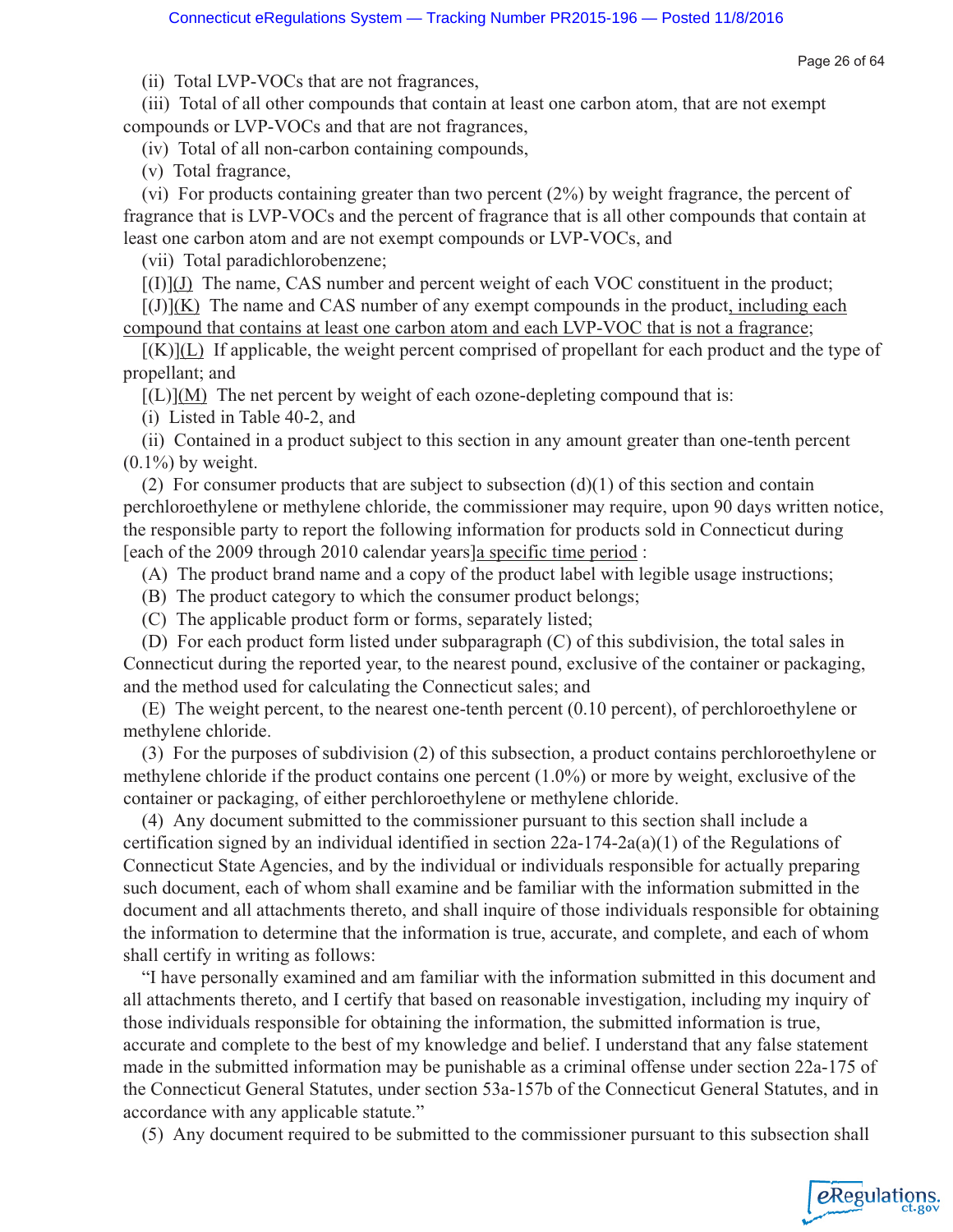Page 26 of 64

eRegulations

(ii) Total LVP-VOCs that are not fragrances,

(iii) Total of all other compounds that contain at least one carbon atom, that are not exempt compounds or LVP-VOCs and that are not fragrances,

(iv) Total of all non-carbon containing compounds,

(v) Total fragrance,

(vi) For products containing greater than two percent (2%) by weight fragrance, the percent of fragrance that is LVP-VOCs and the percent of fragrance that is all other compounds that contain at least one carbon atom and are not exempt compounds or LVP-VOCs, and

(vii) Total paradichlorobenzene;

 $[(1)](J)$  The name, CAS number and percent weight of each VOC constituent in the product;

 $[(J)](K)$  The name and CAS number of any exempt compounds in the product, including each compound that contains at least one carbon atom and each LVP-VOC that is not a fragrance;

 $[(K)](L)$  If applicable, the weight percent comprised of propellant for each product and the type of propellant; and

 $[(L)](M)$  The net percent by weight of each ozone-depleting compound that is:

(i) Listed in Table 40-2, and

(ii) Contained in a product subject to this section in any amount greater than one-tenth percent  $(0.1\%)$  by weight.

(2) For consumer products that are subject to subsection  $(d)(1)$  of this section and contain perchloroethylene or methylene chloride, the commissioner may require, upon 90 days written notice, the responsible party to report the following information for products sold in Connecticut during [each of the 2009 through 2010 calendar years]a specific time period :

(A) The product brand name and a copy of the product label with legible usage instructions;

(B) The product category to which the consumer product belongs;

(C) The applicable product form or forms, separately listed;

(D) For each product form listed under subparagraph (C) of this subdivision, the total sales in Connecticut during the reported year, to the nearest pound, exclusive of the container or packaging, and the method used for calculating the Connecticut sales; and

(E) The weight percent, to the nearest one-tenth percent (0.10 percent), of perchloroethylene or methylene chloride.

(3) For the purposes of subdivision (2) of this subsection, a product contains perchloroethylene or methylene chloride if the product contains one percent (1.0%) or more by weight, exclusive of the container or packaging, of either perchloroethylene or methylene chloride.

(4) Any document submitted to the commissioner pursuant to this section shall include a certification signed by an individual identified in section 22a-174-2a(a)(1) of the Regulations of Connecticut State Agencies, and by the individual or individuals responsible for actually preparing such document, each of whom shall examine and be familiar with the information submitted in the document and all attachments thereto, and shall inquire of those individuals responsible for obtaining the information to determine that the information is true, accurate, and complete, and each of whom shall certify in writing as follows:

"I have personally examined and am familiar with the information submitted in this document and all attachments thereto, and I certify that based on reasonable investigation, including my inquiry of those individuals responsible for obtaining the information, the submitted information is true, accurate and complete to the best of my knowledge and belief. I understand that any false statement made in the submitted information may be punishable as a criminal offense under section 22a-175 of the Connecticut General Statutes, under section 53a-157b of the Connecticut General Statutes, and in accordance with any applicable statute."

(5) Any document required to be submitted to the commissioner pursuant to this subsection shall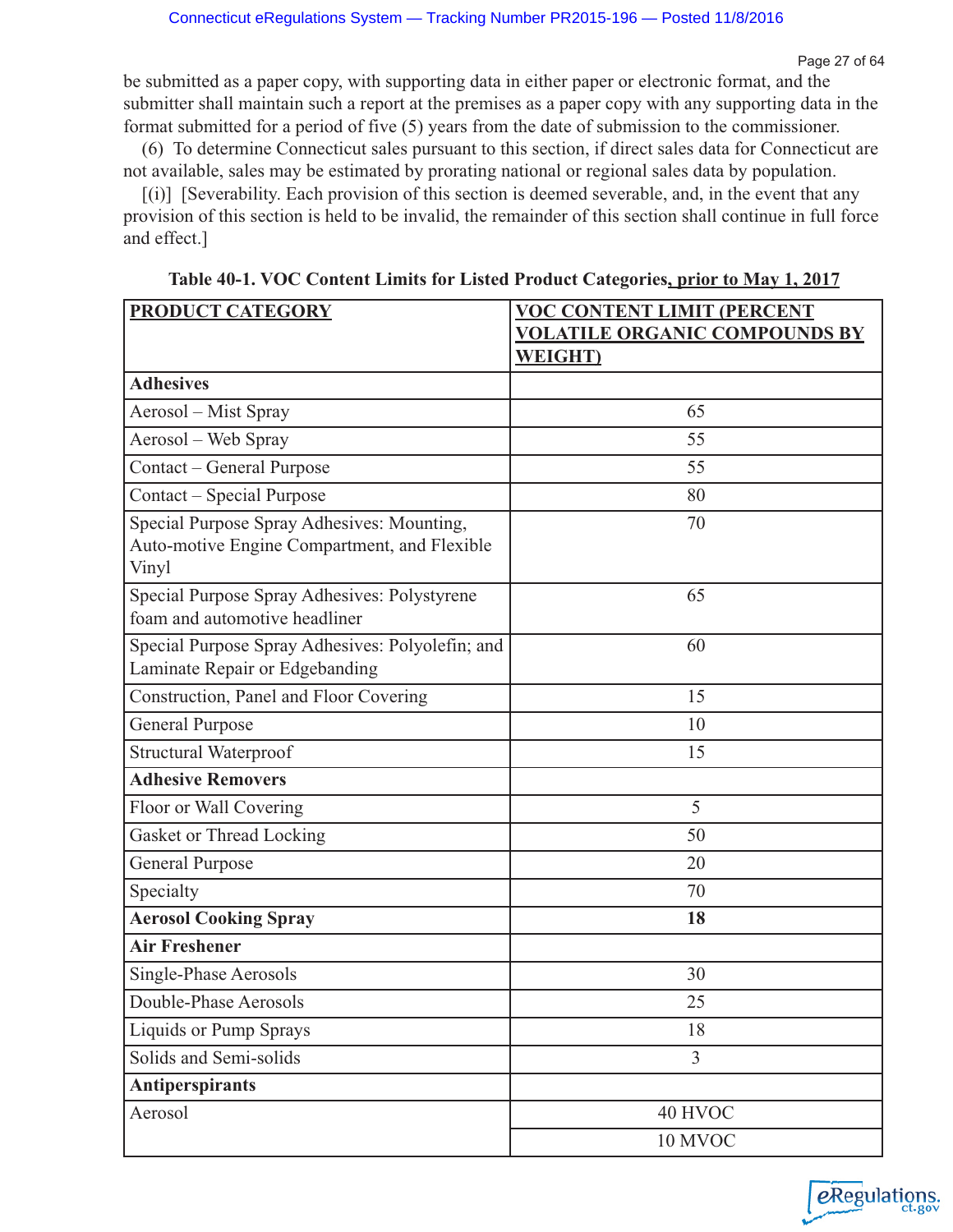be submitted as a paper copy, with supporting data in either paper or electronic format, and the submitter shall maintain such a report at the premises as a paper copy with any supporting data in the format submitted for a period of five (5) years from the date of submission to the commissioner.

(6) To determine Connecticut sales pursuant to this section, if direct sales data for Connecticut are not available, sales may be estimated by prorating national or regional sales data by population.

[(i)] [Severability. Each provision of this section is deemed severable, and, in the event that any provision of this section is held to be invalid, the remainder of this section shall continue in full force and effect.]

| <b>PRODUCT CATEGORY</b>                                                                             | <b>VOC CONTENT LIMIT (PERCENT</b>    |
|-----------------------------------------------------------------------------------------------------|--------------------------------------|
|                                                                                                     | <b>VOLATILE ORGANIC COMPOUNDS BY</b> |
|                                                                                                     | <b>WEIGHT</b> )                      |
| <b>Adhesives</b>                                                                                    |                                      |
| Aerosol – Mist Spray                                                                                | 65                                   |
| Aerosol – Web Spray                                                                                 | 55                                   |
| Contact – General Purpose                                                                           | 55                                   |
| Contact – Special Purpose                                                                           | 80                                   |
| Special Purpose Spray Adhesives: Mounting,<br>Auto-motive Engine Compartment, and Flexible<br>Vinyl | 70                                   |
| Special Purpose Spray Adhesives: Polystyrene<br>foam and automotive headliner                       | 65                                   |
| Special Purpose Spray Adhesives: Polyolefin; and<br>Laminate Repair or Edgebanding                  | 60                                   |
| Construction, Panel and Floor Covering                                                              | 15                                   |
| General Purpose                                                                                     | 10                                   |
| <b>Structural Waterproof</b>                                                                        | 15                                   |
| <b>Adhesive Removers</b>                                                                            |                                      |
| Floor or Wall Covering                                                                              | 5                                    |
| Gasket or Thread Locking                                                                            | 50                                   |
| <b>General Purpose</b>                                                                              | 20                                   |
| Specialty                                                                                           | 70                                   |
| <b>Aerosol Cooking Spray</b>                                                                        | 18                                   |
| <b>Air Freshener</b>                                                                                |                                      |
| Single-Phase Aerosols                                                                               | 30                                   |
| Double-Phase Aerosols                                                                               | 25                                   |
| Liquids or Pump Sprays                                                                              | 18                                   |
| Solids and Semi-solids                                                                              | $\overline{3}$                       |
| <b>Antiperspirants</b>                                                                              |                                      |
| Aerosol                                                                                             | 40 HVOC                              |
|                                                                                                     | 10 MVOC                              |

**Table 40-1. VOC Content Limits for Listed Product Categories, prior to May 1, 2017**

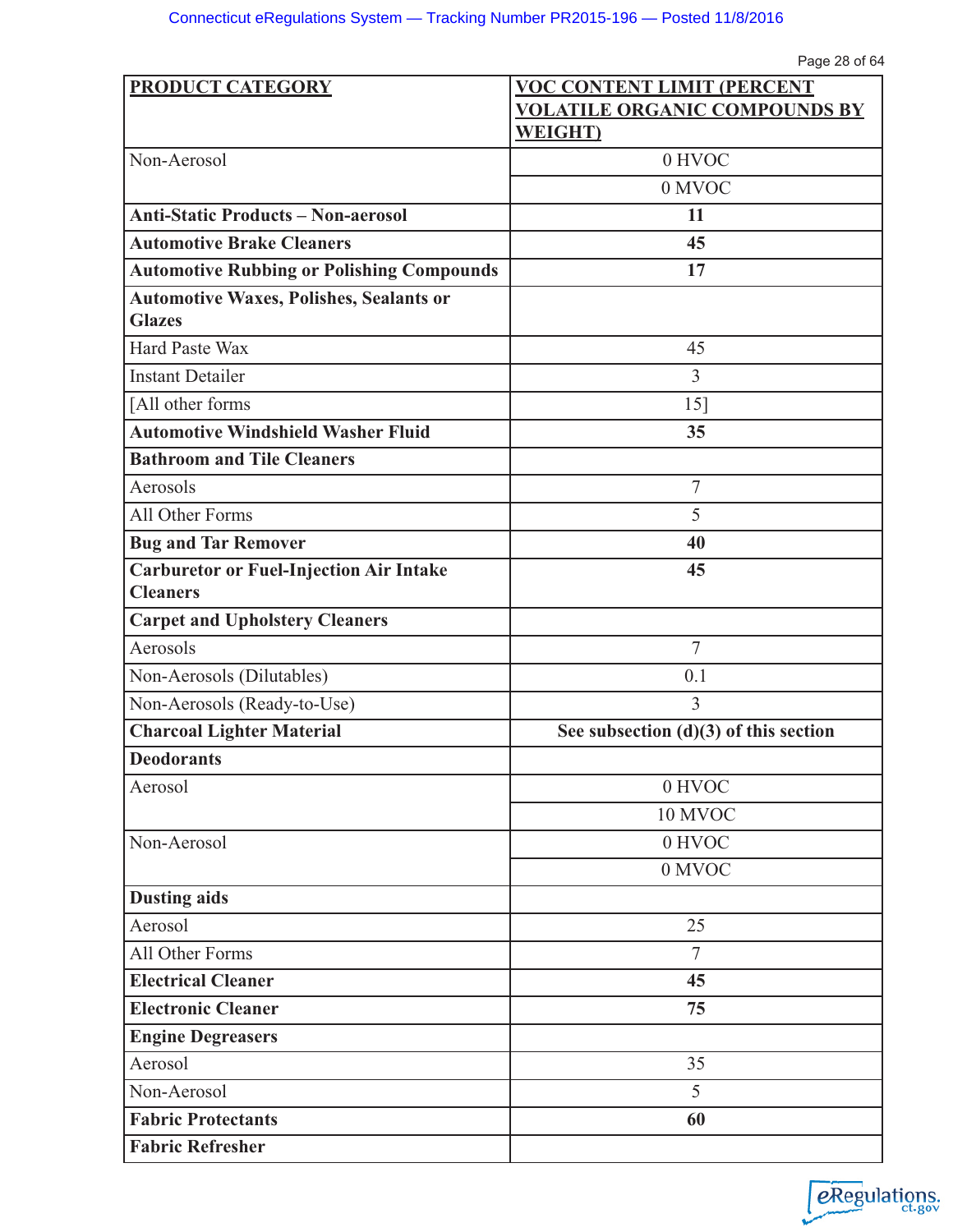| <b>PRODUCT CATEGORY</b>                                         | <b>VOC CONTENT LIMIT (PERCENT</b>       |
|-----------------------------------------------------------------|-----------------------------------------|
|                                                                 | <b>VOLATILE ORGANIC COMPOUNDS BY</b>    |
|                                                                 | <b>WEIGHT</b> )                         |
| Non-Aerosol                                                     | 0 HVOC                                  |
|                                                                 | 0 MVOC                                  |
| <b>Anti-Static Products - Non-aerosol</b>                       | 11                                      |
| <b>Automotive Brake Cleaners</b>                                | 45                                      |
| <b>Automotive Rubbing or Polishing Compounds</b>                | 17                                      |
| <b>Automotive Waxes, Polishes, Sealants or</b><br><b>Glazes</b> |                                         |
| <b>Hard Paste Wax</b>                                           | 45                                      |
| <b>Instant Detailer</b>                                         | 3                                       |
| [All other forms                                                | 15]                                     |
| <b>Automotive Windshield Washer Fluid</b>                       | 35                                      |
| <b>Bathroom and Tile Cleaners</b>                               |                                         |
| Aerosols                                                        | $\overline{7}$                          |
| All Other Forms                                                 | 5                                       |
| <b>Bug and Tar Remover</b>                                      | 40                                      |
| <b>Carburetor or Fuel-Injection Air Intake</b>                  | 45                                      |
| <b>Cleaners</b>                                                 |                                         |
| <b>Carpet and Upholstery Cleaners</b>                           |                                         |
| Aerosols                                                        | $\overline{7}$                          |
| Non-Aerosols (Dilutables)                                       | 0.1                                     |
| Non-Aerosols (Ready-to-Use)                                     | 3                                       |
| <b>Charcoal Lighter Material</b>                                | See subsection $(d)(3)$ of this section |
| <b>Deodorants</b>                                               |                                         |
| Aerosol                                                         | 0 HVOC                                  |
|                                                                 | 10 MVOC                                 |
| Non-Aerosol                                                     | 0 HVOC                                  |
|                                                                 | 0 MVOC                                  |
| <b>Dusting aids</b>                                             |                                         |
| Aerosol                                                         | 25                                      |
| All Other Forms                                                 | $\overline{7}$                          |
| <b>Electrical Cleaner</b>                                       | 45                                      |
| <b>Electronic Cleaner</b>                                       | 75                                      |
| <b>Engine Degreasers</b>                                        |                                         |
| Aerosol                                                         | 35                                      |
| Non-Aerosol                                                     | 5                                       |
| <b>Fabric Protectants</b>                                       | 60                                      |
| <b>Fabric Refresher</b>                                         |                                         |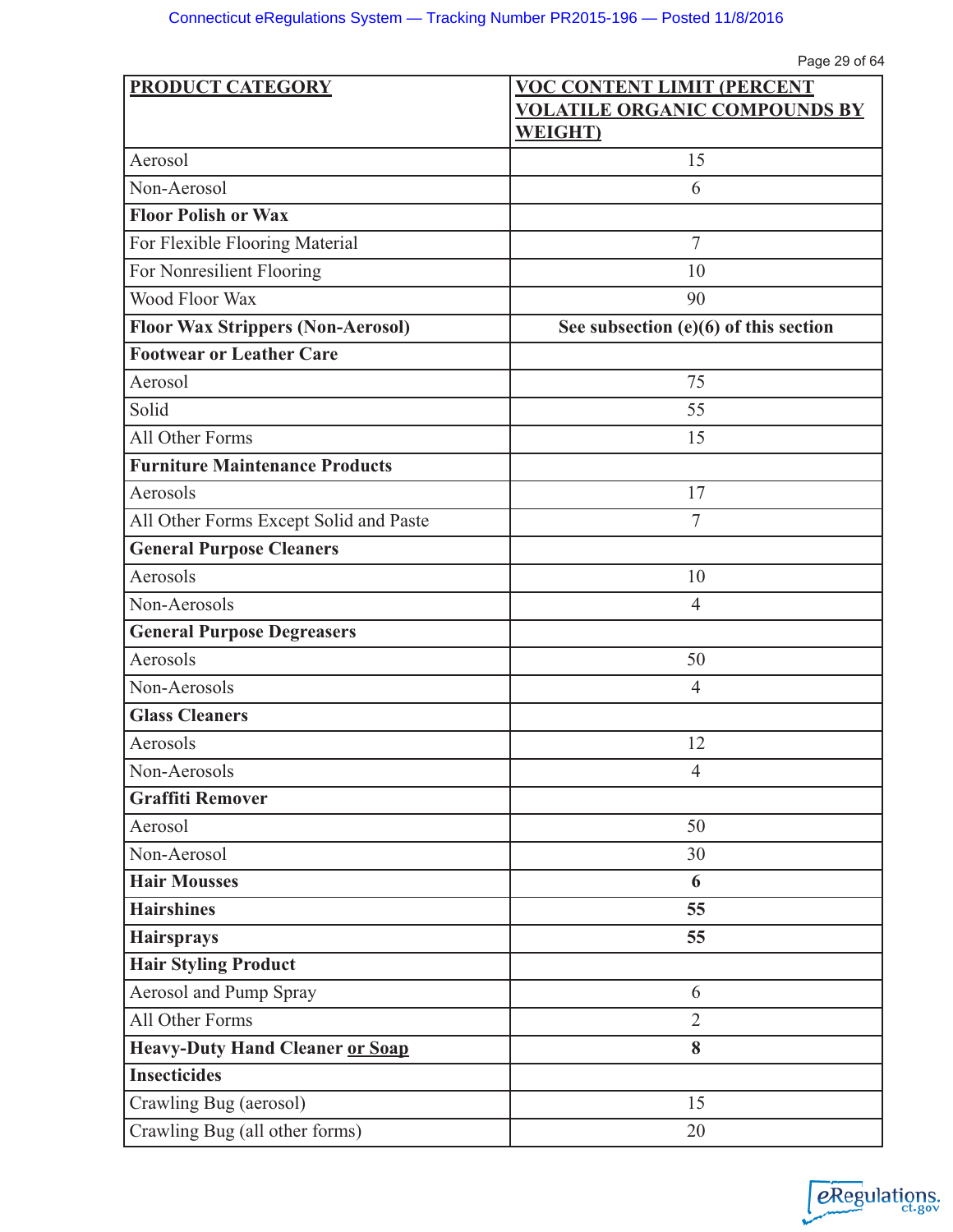| PRODUCT CATEGORY                         | <b>VOC CONTENT LIMIT (PERCENT</b>       |
|------------------------------------------|-----------------------------------------|
|                                          | <b>VOLATILE ORGANIC COMPOUNDS BY</b>    |
|                                          | <b>WEIGHT</b> )                         |
| Aerosol                                  | 15                                      |
| Non-Aerosol                              | 6                                       |
| <b>Floor Polish or Wax</b>               |                                         |
| For Flexible Flooring Material           | $\overline{7}$                          |
| For Nonresilient Flooring                | 10                                      |
| Wood Floor Wax                           | 90                                      |
| <b>Floor Wax Strippers (Non-Aerosol)</b> | See subsection $(e)(6)$ of this section |
| <b>Footwear or Leather Care</b>          |                                         |
| Aerosol                                  | 75                                      |
| Solid                                    | 55                                      |
| All Other Forms                          | 15                                      |
| <b>Furniture Maintenance Products</b>    |                                         |
| Aerosols                                 | 17                                      |
| All Other Forms Except Solid and Paste   | $\overline{7}$                          |
| <b>General Purpose Cleaners</b>          |                                         |
| Aerosols                                 | 10                                      |
| Non-Aerosols                             | $\overline{4}$                          |
| <b>General Purpose Degreasers</b>        |                                         |
| Aerosols                                 | 50                                      |
| Non-Aerosols                             | $\overline{4}$                          |
| <b>Glass Cleaners</b>                    |                                         |
| Aerosols                                 | 12                                      |
| Non-Aerosols                             | $\overline{4}$                          |
| <b>Graffiti Remover</b>                  |                                         |
| Aerosol                                  | 50                                      |
| Non-Aerosol                              | 30                                      |
| <b>Hair Mousses</b>                      | 6                                       |
| <b>Hairshines</b>                        | 55                                      |
| <b>Hairsprays</b>                        | 55                                      |
| <b>Hair Styling Product</b>              |                                         |
| <b>Aerosol and Pump Spray</b>            | 6                                       |
| All Other Forms                          | $\overline{2}$                          |
| <b>Heavy-Duty Hand Cleaner or Soap</b>   | 8                                       |
| <b>Insecticides</b>                      |                                         |
| Crawling Bug (aerosol)                   | 15                                      |
| Crawling Bug (all other forms)           | 20                                      |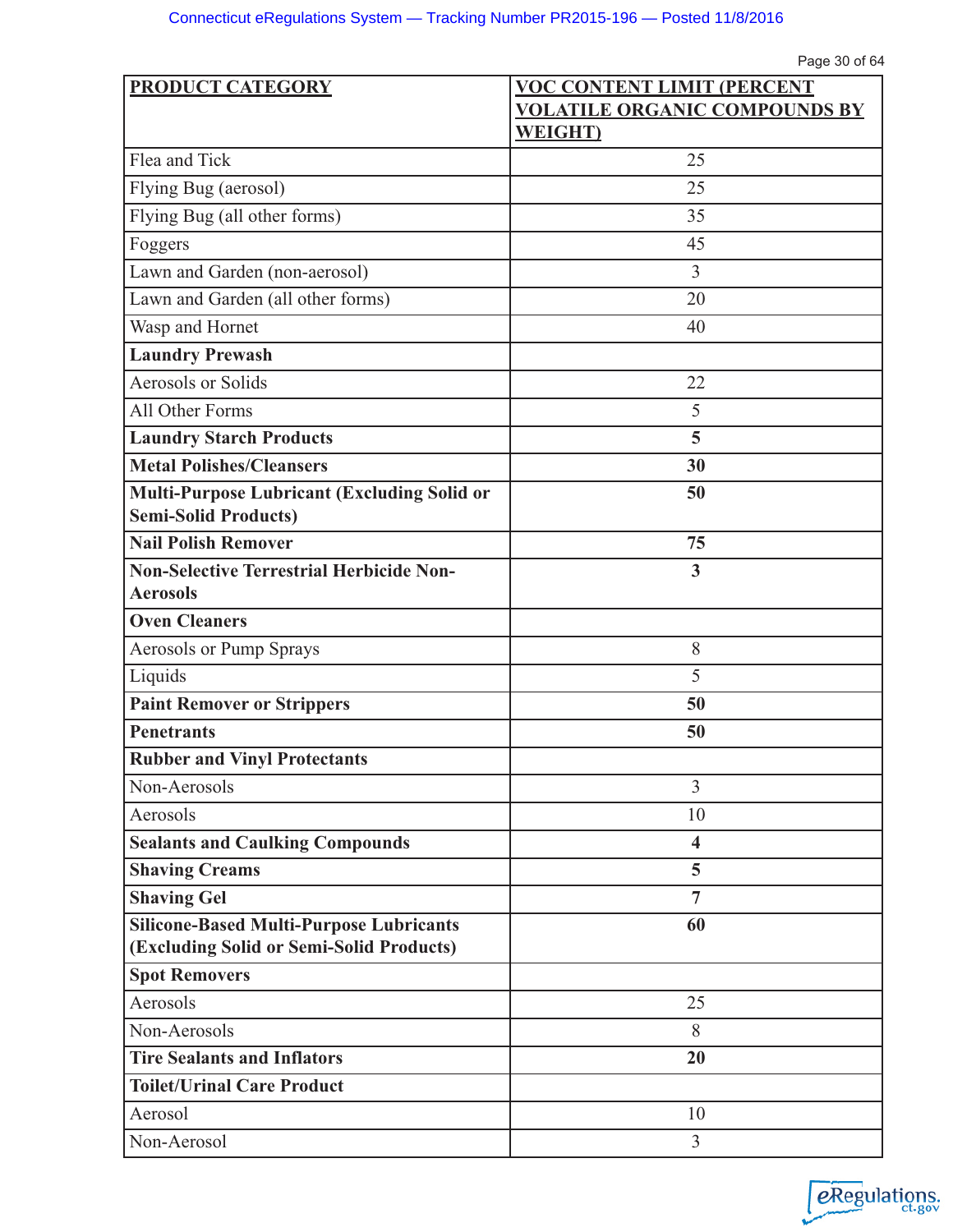| <b>PRODUCT CATEGORY</b>                            | <b>VOC CONTENT LIMIT (PERCENT</b>    |
|----------------------------------------------------|--------------------------------------|
|                                                    | <b>VOLATILE ORGANIC COMPOUNDS BY</b> |
|                                                    | <b>WEIGHT</b> )                      |
| Flea and Tick                                      | 25                                   |
| Flying Bug (aerosol)                               | 25                                   |
| Flying Bug (all other forms)                       | 35                                   |
| Foggers                                            | 45                                   |
| Lawn and Garden (non-aerosol)                      | 3                                    |
| Lawn and Garden (all other forms)                  | 20                                   |
| Wasp and Hornet                                    | 40                                   |
| <b>Laundry Prewash</b>                             |                                      |
| <b>Aerosols or Solids</b>                          | 22                                   |
| All Other Forms                                    | 5                                    |
| <b>Laundry Starch Products</b>                     | 5                                    |
| <b>Metal Polishes/Cleansers</b>                    | 30                                   |
| <b>Multi-Purpose Lubricant (Excluding Solid or</b> | 50                                   |
| <b>Semi-Solid Products)</b>                        |                                      |
| <b>Nail Polish Remover</b>                         | 75                                   |
| <b>Non-Selective Terrestrial Herbicide Non-</b>    | 3                                    |
| <b>Aerosols</b>                                    |                                      |
| <b>Oven Cleaners</b>                               |                                      |
| Aerosols or Pump Sprays                            | 8                                    |
| Liquids                                            | 5                                    |
| <b>Paint Remover or Strippers</b>                  | 50                                   |
| <b>Penetrants</b>                                  | 50                                   |
| <b>Rubber and Vinyl Protectants</b>                |                                      |
| Non-Aerosols                                       | $\overline{3}$                       |
| Aerosols                                           | 10                                   |
| <b>Sealants and Caulking Compounds</b>             | $\overline{\mathbf{4}}$              |
| <b>Shaving Creams</b>                              | 5                                    |
| <b>Shaving Gel</b>                                 | $\overline{7}$                       |
| <b>Silicone-Based Multi-Purpose Lubricants</b>     | 60                                   |
| (Excluding Solid or Semi-Solid Products)           |                                      |
| <b>Spot Removers</b>                               |                                      |
| Aerosols                                           | 25                                   |
| Non-Aerosols                                       | 8                                    |
| <b>Tire Sealants and Inflators</b>                 | 20                                   |
| <b>Toilet/Urinal Care Product</b>                  |                                      |
| Aerosol                                            | 10                                   |
| Non-Aerosol                                        | 3                                    |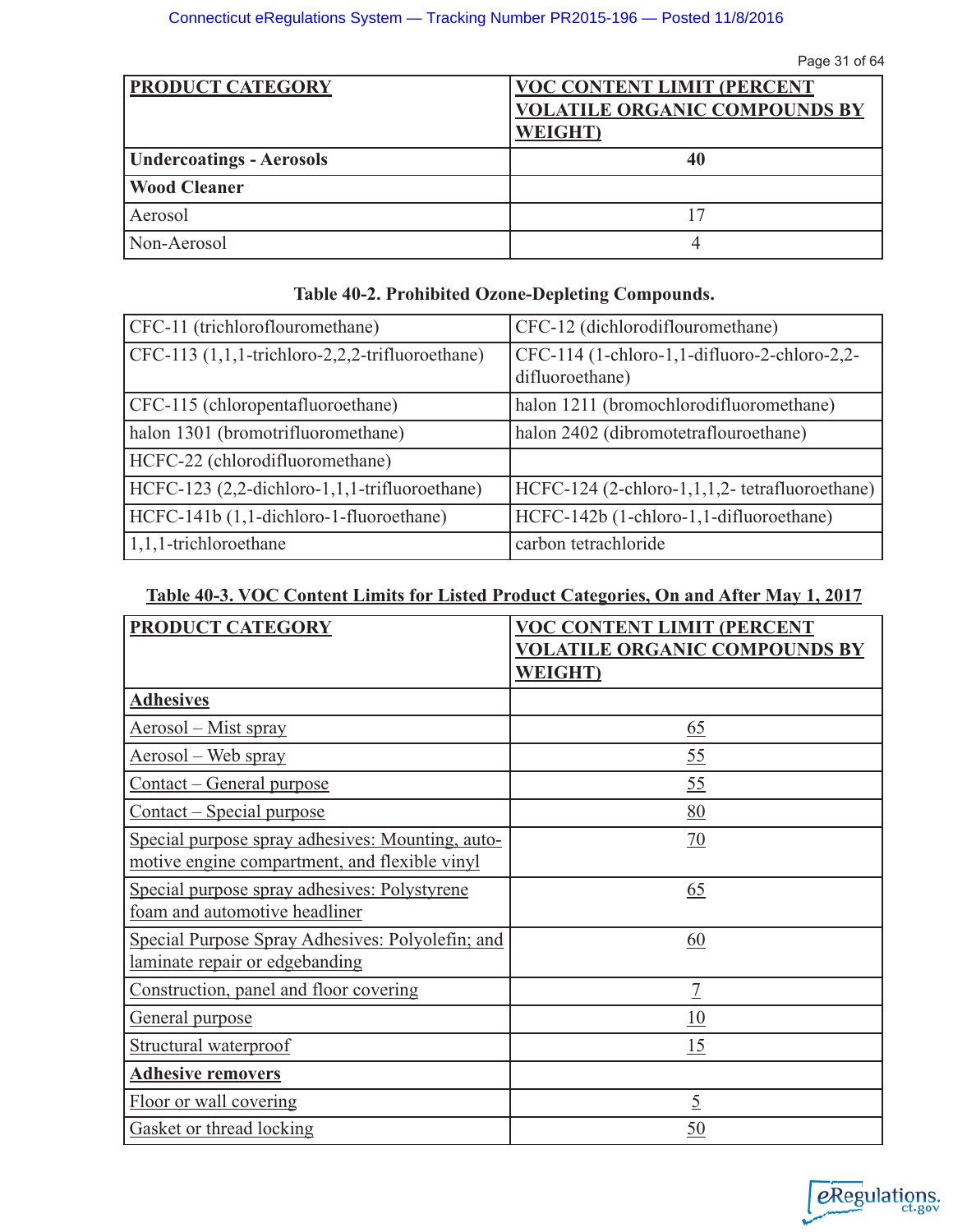| <b>PRODUCT CATEGORY</b>         | <b>VOC CONTENT LIMIT (PERCENT)</b><br><b>VOLATILE ORGANIC COMPOUNDS BY</b><br><b>WEIGHT</b> ) |
|---------------------------------|-----------------------------------------------------------------------------------------------|
| <b>Undercoatings - Aerosols</b> | 40                                                                                            |
| <b>Wood Cleaner</b>             |                                                                                               |
| Aerosol                         | 17                                                                                            |
| Non-Aerosol                     |                                                                                               |

| Table 40-2. Prohibited Ozone-Depleting Compounds. |  |  |
|---------------------------------------------------|--|--|
|---------------------------------------------------|--|--|

| CFC-11 (trichloroflouromethane)                 | CFC-12 (dichlorodiflouromethane)                                |
|-------------------------------------------------|-----------------------------------------------------------------|
| CFC-113 (1,1,1-trichloro-2,2,2-trifluoroethane) | CFC-114 (1-chloro-1,1-difluoro-2-chloro-2,2-<br>difluoroethane) |
| CFC-115 (chloropentafluoroethane)               | halon 1211 (bromochlorodifluoromethane)                         |
| halon 1301 (bromotrifluoromethane)              | halon 2402 (dibromotetraflouroethane)                           |
| HCFC-22 (chlorodifluoromethane)                 |                                                                 |
| HCFC-123 (2,2-dichloro-1,1,1-trifluoroethane)   | HCFC-124 (2-chloro-1,1,1,2- tetrafluoroethane)                  |
| HCFC-141b (1,1-dichloro-1-fluoroethane)         | HCFC-142b (1-chloro-1,1-difluoroethane)                         |
| $ 1,1,1$ -trichloroethane                       | carbon tetrachloride                                            |

# **Table 40-3. VOC Content Limits for Listed Product Categories, On and After May 1, 2017**

| <b>PRODUCT CATEGORY</b>                                                                           | <b>VOC CONTENT LIMIT (PERCENT</b><br><b>VOLATILE ORGANIC COMPOUNDS BY</b><br><b>WEIGHT</b> |
|---------------------------------------------------------------------------------------------------|--------------------------------------------------------------------------------------------|
| <b>Adhesives</b>                                                                                  |                                                                                            |
| <u> Aerosol – Mist spray</u>                                                                      | 65                                                                                         |
| <u>Aerosol – Web spray</u>                                                                        | 55                                                                                         |
| <u>Contact – General purpose</u>                                                                  | 55                                                                                         |
| <u>Contact – Special purpose</u>                                                                  | 80                                                                                         |
| Special purpose spray adhesives: Mounting, auto-<br>motive engine compartment, and flexible vinyl | 70                                                                                         |
| Special purpose spray adhesives: Polystyrene<br>foam and automotive headliner                     | 65                                                                                         |
| Special Purpose Spray Adhesives: Polyolefin; and<br>laminate repair or edgebanding                | 60                                                                                         |
| Construction, panel and floor covering                                                            | $\overline{1}$                                                                             |
| General purpose                                                                                   | 10                                                                                         |
| Structural waterproof                                                                             | 15                                                                                         |
| <b>Adhesive removers</b>                                                                          |                                                                                            |
| Floor or wall covering                                                                            | $\overline{5}$                                                                             |
| Gasket or thread locking                                                                          | 50                                                                                         |

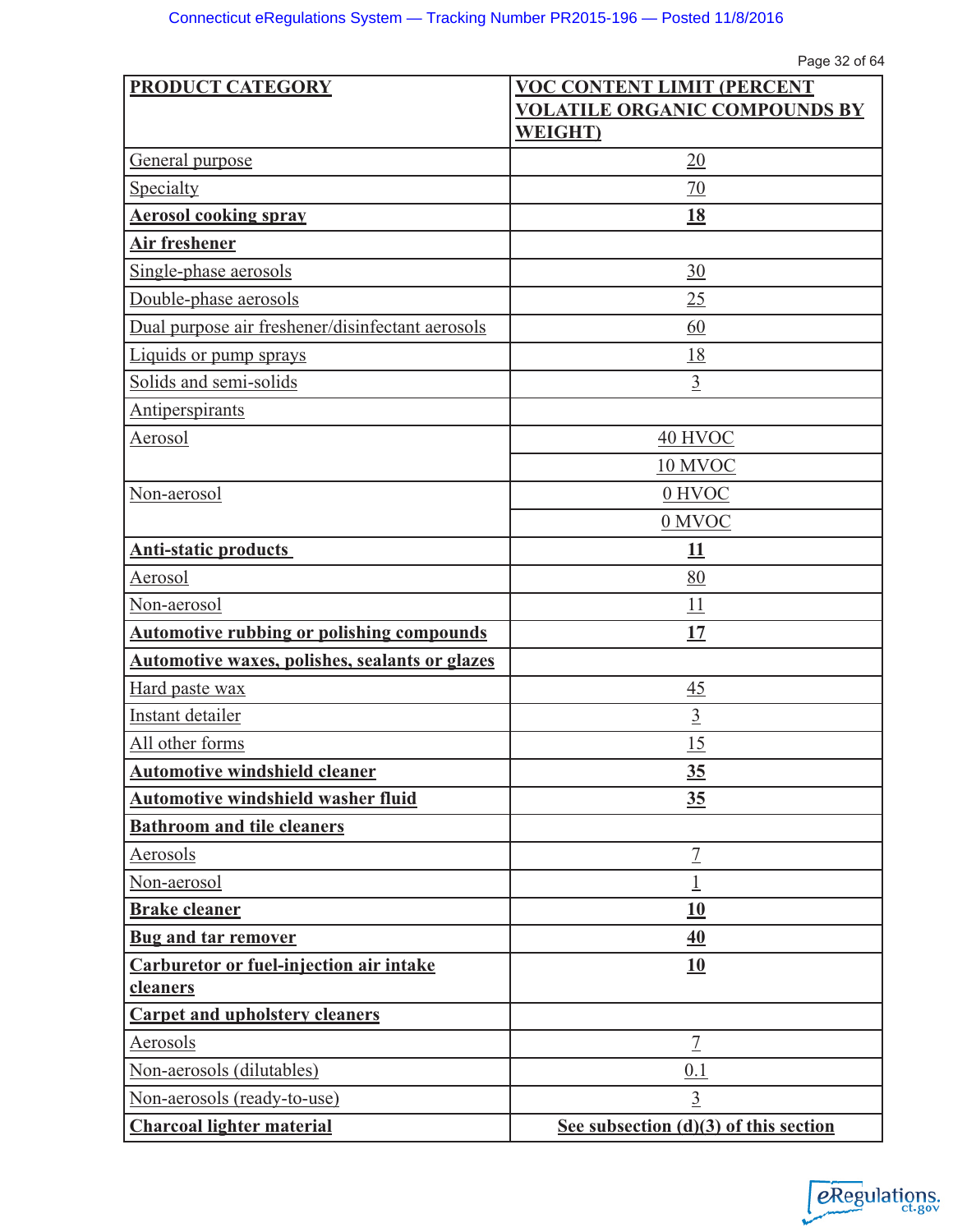Page 32 of 64

| PRODUCT CATEGORY                                 | <b>VOC CONTENT LIMIT (PERCENT</b>       |
|--------------------------------------------------|-----------------------------------------|
|                                                  | <b>VOLATILE ORGANIC COMPOUNDS BY</b>    |
|                                                  | <b>WEIGHT</b> )                         |
| General purpose                                  | 20                                      |
| Specialty                                        | 70                                      |
| <b>Aerosol cooking spray</b>                     | <u>18</u>                               |
| <b>Air freshener</b>                             |                                         |
| Single-phase aerosols                            | 30                                      |
| Double-phase aerosols                            | 25                                      |
| Dual purpose air freshener/disinfectant aerosols | 60                                      |
| Liquids or pump sprays                           | 18                                      |
| Solids and semi-solids                           | $\overline{3}$                          |
| <b>Antiperspirants</b>                           |                                         |
| Aerosol                                          | 40 HVOC                                 |
|                                                  | 10 MVOC                                 |
| Non-aerosol                                      | 0 HVOC                                  |
|                                                  | 0 MVOC                                  |
| <b>Anti-static products</b>                      | 11                                      |
| Aerosol                                          | 80                                      |
| Non-aerosol                                      | 11                                      |
| <b>Automotive rubbing or polishing compounds</b> | 17                                      |
| Automotive waxes, polishes, sealants or glazes   |                                         |
| Hard paste wax                                   | 45                                      |
| Instant detailer                                 | $\overline{3}$                          |
| All other forms                                  | 15                                      |
| <b>Automotive windshield cleaner</b>             | <u>35</u>                               |
| <b>Automotive windshield washer fluid</b>        | 35                                      |
| <b>Bathroom and tile cleaners</b>                |                                         |
| Aerosols                                         | $\overline{1}$                          |
| Non-aerosol                                      | $\overline{1}$                          |
| <b>Brake cleaner</b>                             | <b>10</b>                               |
| <b>Bug and tar remover</b>                       | 40                                      |
| Carburetor or fuel-injection air intake          | <b>10</b>                               |
| cleaners                                         |                                         |
| <b>Carpet and upholstery cleaners</b>            |                                         |
| Aerosols                                         | $\overline{1}$                          |
| Non-aerosols (dilutables)                        | 0.1                                     |
| Non-aerosols (ready-to-use)                      | $\overline{3}$                          |
| <b>Charcoal lighter material</b>                 | See subsection $(d)(3)$ of this section |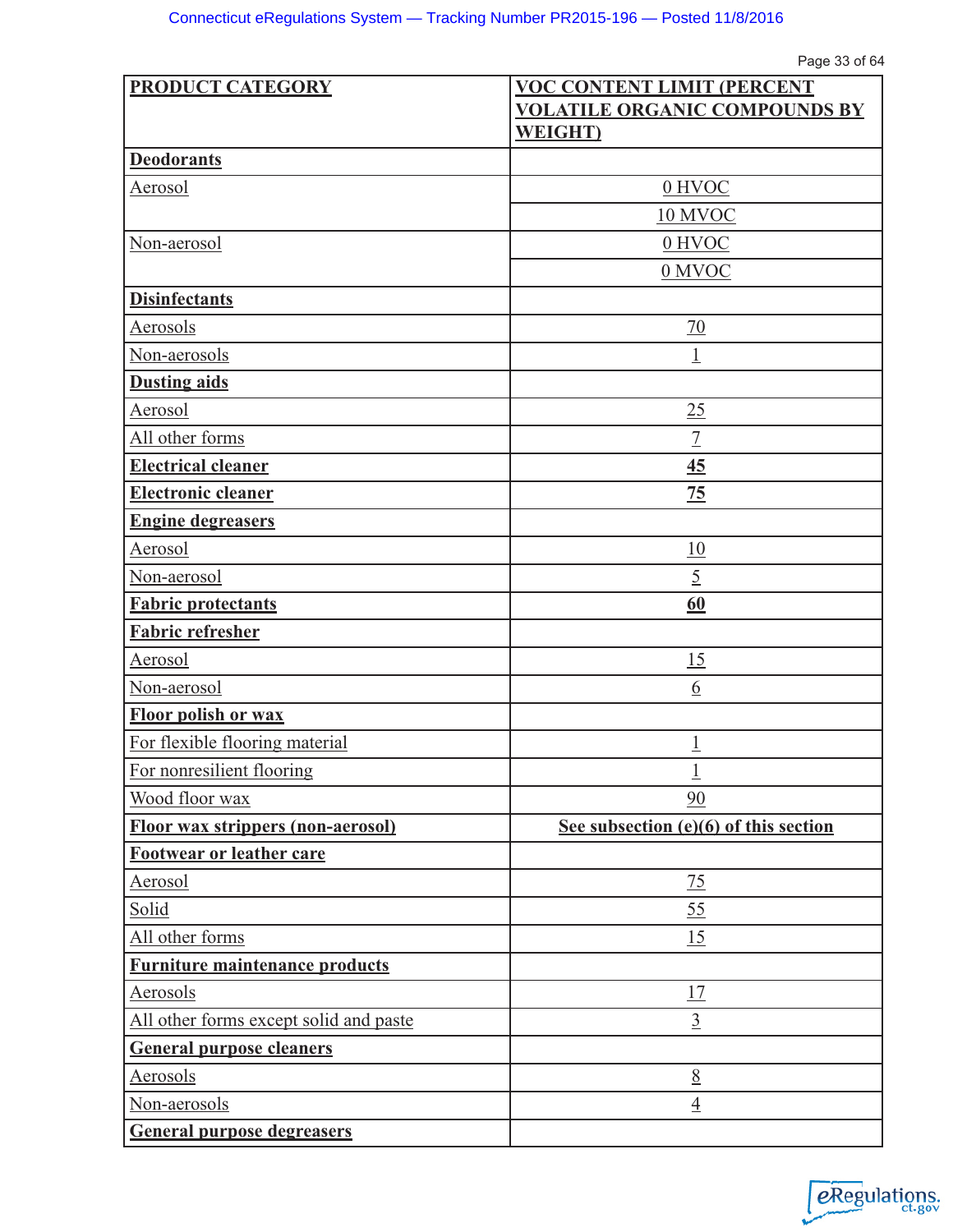Page 33 of 64

| <b>PRODUCT CATEGORY</b>                  | <b>VOC CONTENT LIMIT (PERCENT</b>     |  |
|------------------------------------------|---------------------------------------|--|
|                                          | <b>VOLATILE ORGANIC COMPOUNDS BY</b>  |  |
|                                          | <b>WEIGHT</b>                         |  |
| <b>Deodorants</b>                        |                                       |  |
| Aerosol                                  | 0 HVOC                                |  |
|                                          | 10 MVOC                               |  |
| Non-aerosol                              | 0 HVOC                                |  |
|                                          | 0 MVOC                                |  |
| <b>Disinfectants</b>                     |                                       |  |
| Aerosols                                 | $\overline{70}$                       |  |
| Non-aerosols                             | $\overline{\mathbb{1}}$               |  |
| <b>Dusting aids</b>                      |                                       |  |
| Aerosol                                  | 25                                    |  |
| All other forms                          | $\overline{1}$                        |  |
| <b>Electrical cleaner</b>                | 45                                    |  |
| <b>Electronic cleaner</b>                | 75                                    |  |
| <b>Engine degreasers</b>                 |                                       |  |
| Aerosol                                  | 10                                    |  |
| Non-aerosol                              | $\overline{5}$                        |  |
| <b>Fabric protectants</b>                | 60                                    |  |
| <b>Fabric refresher</b>                  |                                       |  |
| Aerosol                                  | 15                                    |  |
| Non-aerosol                              | $6\overline{6}$                       |  |
| <b>Floor polish or wax</b>               |                                       |  |
| For flexible flooring material           | $\overline{1}$                        |  |
| For nonresilient flooring                | $\mathbf 1$                           |  |
| Wood floor wax                           | 90                                    |  |
| <b>Floor wax strippers (non-aerosol)</b> | See subsection (e)(6) of this section |  |
| Footwear or leather care                 |                                       |  |
| <b>Aerosol</b>                           | 75                                    |  |
| Solid                                    | 55                                    |  |
| All other forms                          | 15                                    |  |
| <b>Furniture maintenance products</b>    |                                       |  |
| Aerosols                                 | 17                                    |  |
| All other forms except solid and paste   | $\overline{3}$                        |  |
| <b>General purpose cleaners</b>          |                                       |  |
| Aerosols                                 | 8                                     |  |
| Non-aerosols                             | $\overline{4}$                        |  |
| <b>General purpose degreasers</b>        |                                       |  |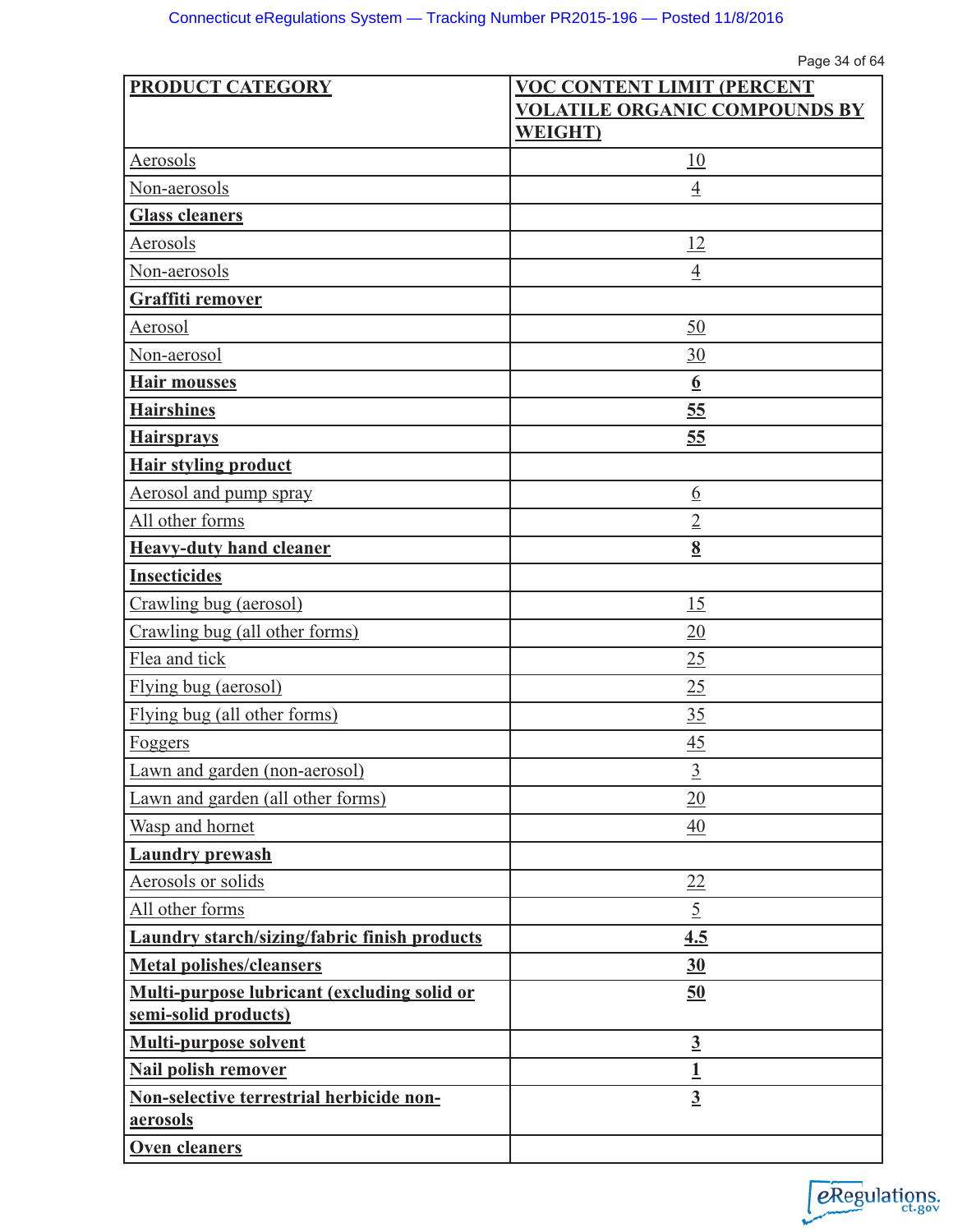| <b>PRODUCT CATEGORY</b>                              | <b>VOC CONTENT LIMIT (PERCENT</b>    |
|------------------------------------------------------|--------------------------------------|
|                                                      | <b>VOLATILE ORGANIC COMPOUNDS BY</b> |
|                                                      | <b>WEIGHT</b>                        |
| Aerosols                                             | 10                                   |
| Non-aerosols                                         | $\overline{4}$                       |
| <b>Glass cleaners</b>                                |                                      |
| Aerosols                                             | 12                                   |
| Non-aerosols                                         | $\overline{4}$                       |
| Graffiti remover                                     |                                      |
| Aerosol                                              | 50                                   |
| Non-aerosol                                          | 30                                   |
| <b>Hair mousses</b>                                  | $\underline{6}$                      |
| <b>Hairshines</b>                                    | 55                                   |
| <b>Hairsprays</b>                                    | 55                                   |
| <b>Hair styling product</b>                          |                                      |
| <b>Aerosol and pump spray</b>                        | $\underline{6}$                      |
| All other forms                                      | $\overline{2}$                       |
| <b>Heavy-duty hand cleaner</b>                       | $\underline{8}$                      |
| <b>Insecticides</b>                                  |                                      |
| Crawling bug (aerosol)                               | 15                                   |
| Crawling bug (all other forms)                       | 20                                   |
| Flea and tick                                        | 25                                   |
| Flying bug (aerosol)                                 | 25                                   |
| Flying bug (all other forms)                         | 35                                   |
| Foggers                                              | 45                                   |
| Lawn and garden (non-aerosol)                        | $\overline{3}$                       |
| Lawn and garden (all other forms)                    | 20                                   |
| Wasp and hornet                                      | $\overline{40}$                      |
| <b>Laundry prewash</b>                               |                                      |
| Aerosols or solids                                   | 22                                   |
| All other forms                                      | $\overline{5}$                       |
| <b>Laundry starch/sizing/fabric finish products</b>  | 4.5                                  |
| <b>Metal polishes/cleansers</b>                      | 30                                   |
| Multi-purpose lubricant (excluding solid or          | 50                                   |
| semi-solid products)                                 |                                      |
| <b>Multi-purpose solvent</b>                         | $\overline{3}$                       |
| <b>Nail polish remover</b>                           | $\overline{1}$                       |
| Non-selective terrestrial herbicide non-<br>aerosols | $\overline{3}$                       |
| Oven cleaners                                        |                                      |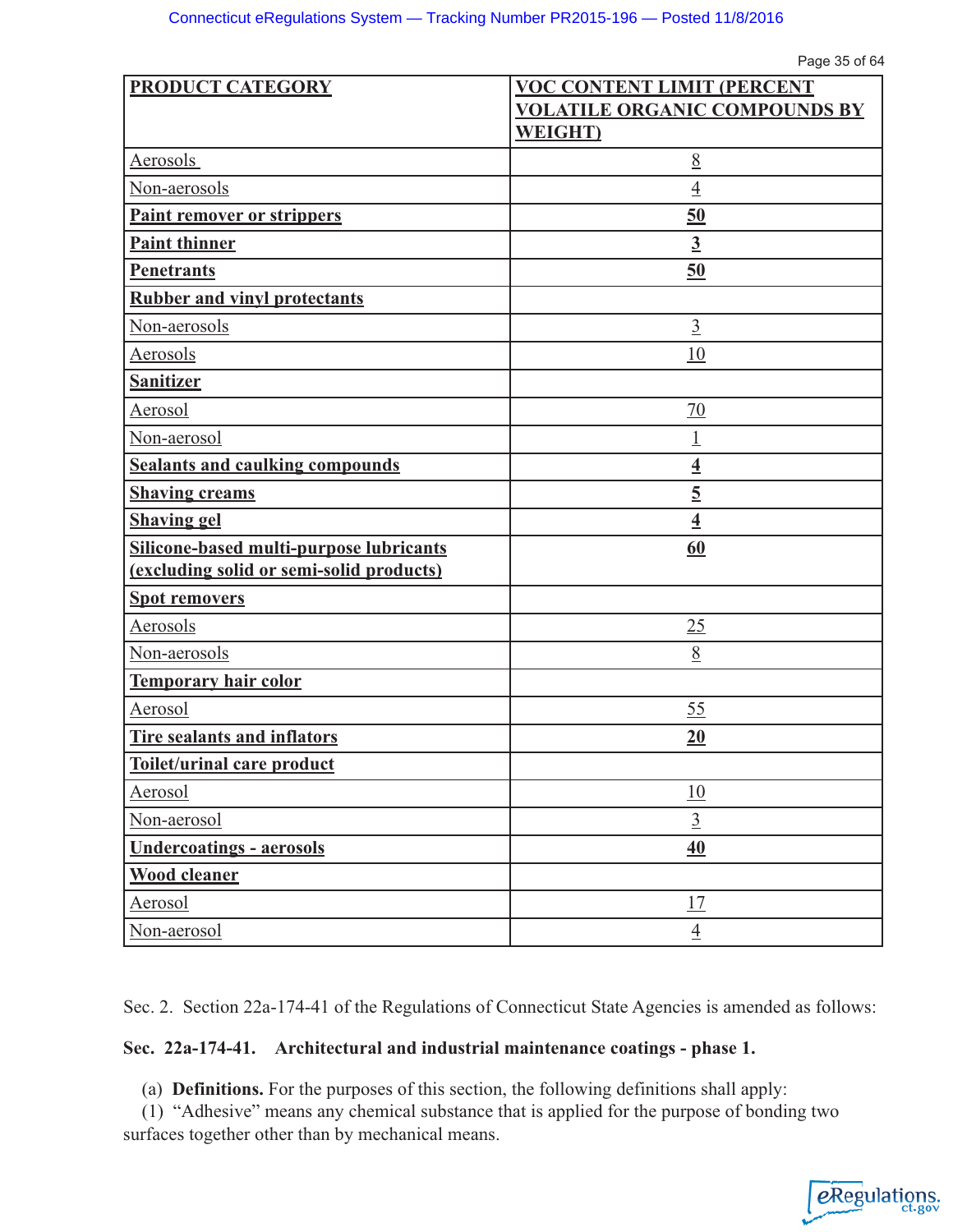Page 35 of 64

| <b>PRODUCT CATEGORY</b>                                                             | <b>VOC CONTENT LIMIT (PERCENT</b>    |
|-------------------------------------------------------------------------------------|--------------------------------------|
|                                                                                     | <b>VOLATILE ORGANIC COMPOUNDS BY</b> |
|                                                                                     | <b>WEIGHT</b>                        |
| Aerosols                                                                            | 8                                    |
| Non-aerosols                                                                        | $\overline{4}$                       |
| Paint remover or strippers                                                          | 50                                   |
| <b>Paint thinner</b>                                                                | $\overline{3}$                       |
| <b>Penetrants</b>                                                                   | 50                                   |
| <b>Rubber and vinyl protectants</b>                                                 |                                      |
| Non-aerosols                                                                        | $\overline{3}$                       |
| Aerosols                                                                            | 10                                   |
| <b>Sanitizer</b>                                                                    |                                      |
| Aerosol                                                                             | 70                                   |
| Non-aerosol                                                                         | 1                                    |
| <b>Sealants and caulking compounds</b>                                              | $\overline{4}$                       |
| <b>Shaving creams</b>                                                               | $\overline{5}$                       |
| <b>Shaving gel</b>                                                                  | $\overline{4}$                       |
| Silicone-based multi-purpose lubricants<br>(excluding solid or semi-solid products) | 60                                   |
|                                                                                     |                                      |
| <b>Spot removers</b>                                                                |                                      |
| Aerosols                                                                            | 25                                   |
| Non-aerosols                                                                        | 8                                    |
| <b>Temporary hair color</b>                                                         |                                      |
| Aerosol                                                                             | 55                                   |
| Tire sealants and inflators                                                         | 20                                   |
| Toilet/urinal care product                                                          |                                      |
| Aerosol                                                                             | 10                                   |
| Non-aerosol                                                                         | $\overline{3}$                       |
| <b>Undercoatings - aerosols</b>                                                     | 40                                   |
| <b>Wood cleaner</b>                                                                 |                                      |
| <b>Aerosol</b>                                                                      | 17                                   |
| Non-aerosol                                                                         | $\overline{4}$                       |

Sec. 2. Section 22a-174-41 of the Regulations of Connecticut State Agencies is amended as follows:

## **Sec. 22a-174-41. Architectural and industrial maintenance coatings - phase 1.**

(a) **Definitions.** For the purposes of this section, the following definitions shall apply:

(1) "Adhesive" means any chemical substance that is applied for the purpose of bonding two surfaces together other than by mechanical means.

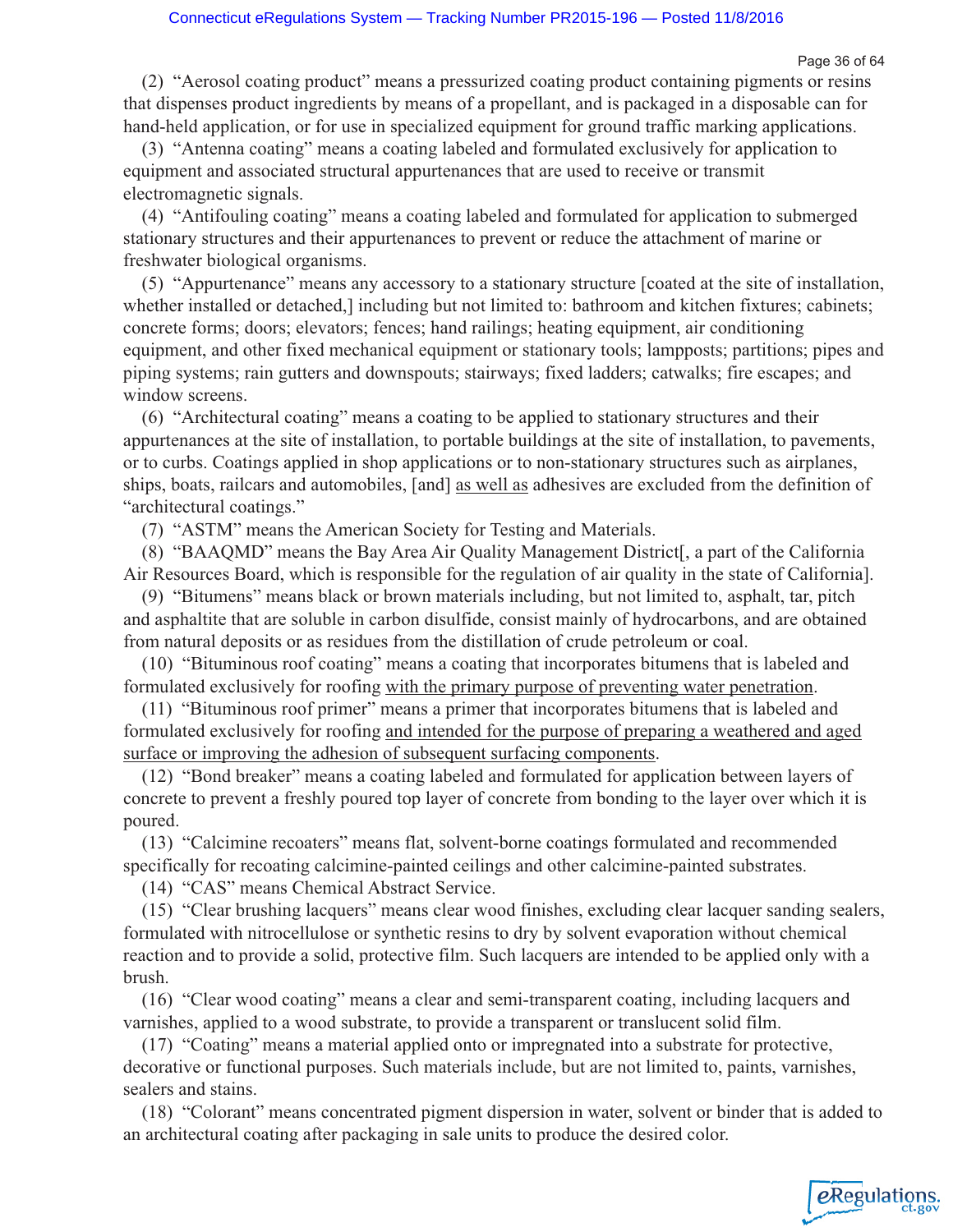Page 36 of 64

(2) "Aerosol coating product" means a pressurized coating product containing pigments or resins that dispenses product ingredients by means of a propellant, and is packaged in a disposable can for hand-held application, or for use in specialized equipment for ground traffic marking applications.

(3) "Antenna coating" means a coating labeled and formulated exclusively for application to equipment and associated structural appurtenances that are used to receive or transmit electromagnetic signals.

(4) "Antifouling coating" means a coating labeled and formulated for application to submerged stationary structures and their appurtenances to prevent or reduce the attachment of marine or freshwater biological organisms.

(5) "Appurtenance" means any accessory to a stationary structure [coated at the site of installation, whether installed or detached,] including but not limited to: bathroom and kitchen fixtures; cabinets; concrete forms; doors; elevators; fences; hand railings; heating equipment, air conditioning equipment, and other fixed mechanical equipment or stationary tools; lampposts; partitions; pipes and piping systems; rain gutters and downspouts; stairways; fixed ladders; catwalks; fire escapes; and window screens.

(6) "Architectural coating" means a coating to be applied to stationary structures and their appurtenances at the site of installation, to portable buildings at the site of installation, to pavements, or to curbs. Coatings applied in shop applications or to non-stationary structures such as airplanes, ships, boats, railcars and automobiles, [and] as well as adhesives are excluded from the definition of "architectural coatings."

(7) "ASTM" means the American Society for Testing and Materials.

(8) "BAAQMD" means the Bay Area Air Quality Management District[, a part of the California Air Resources Board, which is responsible for the regulation of air quality in the state of California].

(9) "Bitumens" means black or brown materials including, but not limited to, asphalt, tar, pitch and asphaltite that are soluble in carbon disulfide, consist mainly of hydrocarbons, and are obtained from natural deposits or as residues from the distillation of crude petroleum or coal.

(10) "Bituminous roof coating" means a coating that incorporates bitumens that is labeled and formulated exclusively for roofing with the primary purpose of preventing water penetration.

(11) "Bituminous roof primer" means a primer that incorporates bitumens that is labeled and formulated exclusively for roofing and intended for the purpose of preparing a weathered and aged surface or improving the adhesion of subsequent surfacing components.

(12) "Bond breaker" means a coating labeled and formulated for application between layers of concrete to prevent a freshly poured top layer of concrete from bonding to the layer over which it is poured.

(13) "Calcimine recoaters" means flat, solvent-borne coatings formulated and recommended specifically for recoating calcimine-painted ceilings and other calcimine-painted substrates.

(14) "CAS" means Chemical Abstract Service.

(15) "Clear brushing lacquers" means clear wood finishes, excluding clear lacquer sanding sealers, formulated with nitrocellulose or synthetic resins to dry by solvent evaporation without chemical reaction and to provide a solid, protective film. Such lacquers are intended to be applied only with a brush.

(16) "Clear wood coating" means a clear and semi-transparent coating, including lacquers and varnishes, applied to a wood substrate, to provide a transparent or translucent solid film.

(17) "Coating" means a material applied onto or impregnated into a substrate for protective, decorative or functional purposes. Such materials include, but are not limited to, paints, varnishes, sealers and stains.

(18) "Colorant" means concentrated pigment dispersion in water, solvent or binder that is added to an architectural coating after packaging in sale units to produce the desired color.

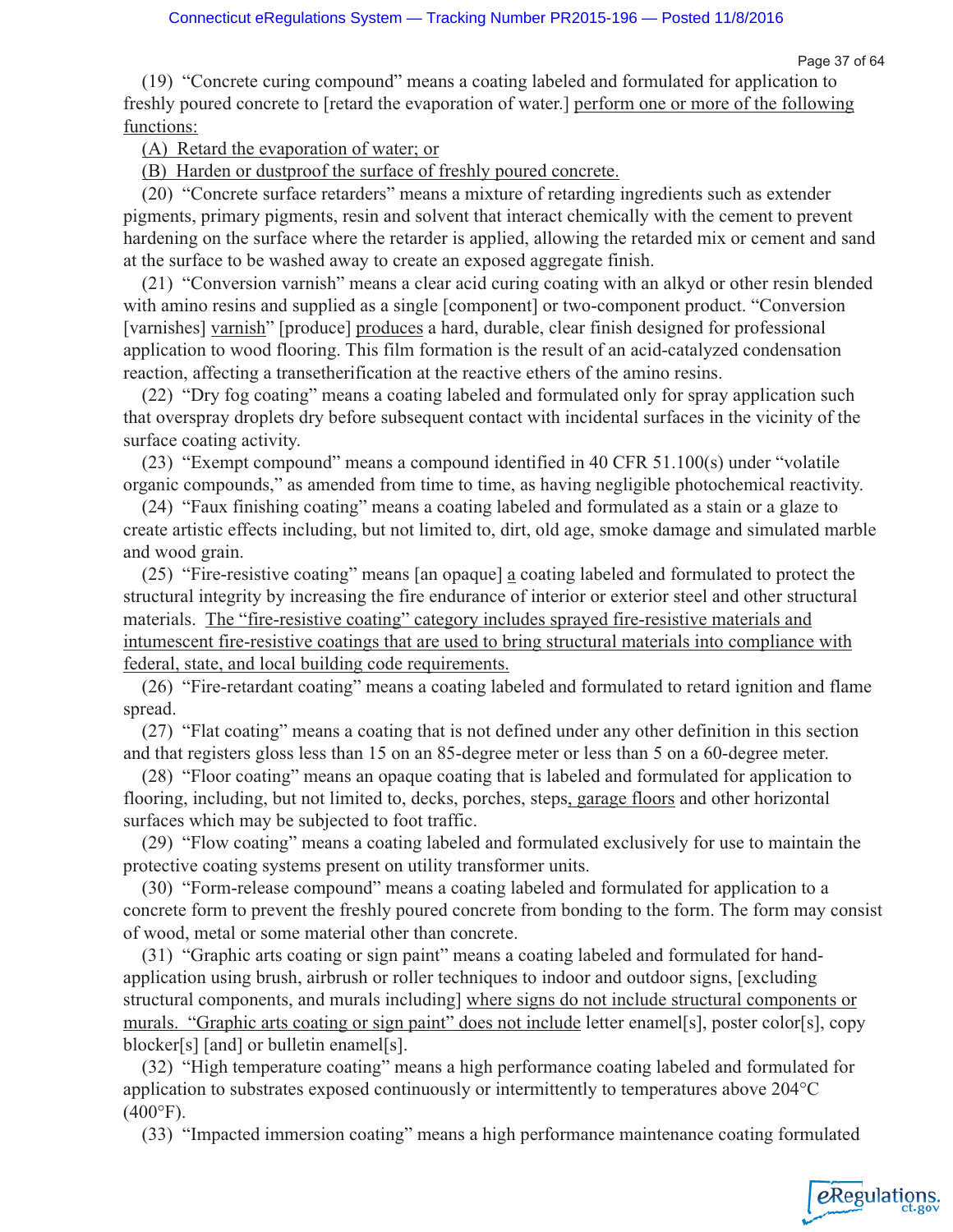eRegulations

(19) "Concrete curing compound" means a coating labeled and formulated for application to freshly poured concrete to [retard the evaporation of water.] perform one or more of the following functions:

(A) Retard the evaporation of water; or

(B) Harden or dustproof the surface of freshly poured concrete.

(20) "Concrete surface retarders" means a mixture of retarding ingredients such as extender pigments, primary pigments, resin and solvent that interact chemically with the cement to prevent hardening on the surface where the retarder is applied, allowing the retarded mix or cement and sand at the surface to be washed away to create an exposed aggregate finish.

(21) "Conversion varnish" means a clear acid curing coating with an alkyd or other resin blended with amino resins and supplied as a single [component] or two-component product. "Conversion [varnishes] varnish" [produce] produces a hard, durable, clear finish designed for professional application to wood flooring. This film formation is the result of an acid-catalyzed condensation reaction, affecting a transetherification at the reactive ethers of the amino resins.

(22) "Dry fog coating" means a coating labeled and formulated only for spray application such that overspray droplets dry before subsequent contact with incidental surfaces in the vicinity of the surface coating activity.

(23) "Exempt compound" means a compound identified in 40 CFR 51.100(s) under "volatile organic compounds," as amended from time to time, as having negligible photochemical reactivity.

(24) "Faux finishing coating" means a coating labeled and formulated as a stain or a glaze to create artistic effects including, but not limited to, dirt, old age, smoke damage and simulated marble and wood grain.

(25) "Fire-resistive coating" means [an opaque] a coating labeled and formulated to protect the structural integrity by increasing the fire endurance of interior or exterior steel and other structural materials. The "fire-resistive coating" category includes sprayed fire-resistive materials and intumescent fire-resistive coatings that are used to bring structural materials into compliance with federal, state, and local building code requirements.

(26) "Fire-retardant coating" means a coating labeled and formulated to retard ignition and flame spread.

(27) "Flat coating" means a coating that is not defined under any other definition in this section and that registers gloss less than 15 on an 85-degree meter or less than 5 on a 60-degree meter.

(28) "Floor coating" means an opaque coating that is labeled and formulated for application to flooring, including, but not limited to, decks, porches, steps, garage floors and other horizontal surfaces which may be subjected to foot traffic.

(29) "Flow coating" means a coating labeled and formulated exclusively for use to maintain the protective coating systems present on utility transformer units.

(30) "Form-release compound" means a coating labeled and formulated for application to a concrete form to prevent the freshly poured concrete from bonding to the form. The form may consist of wood, metal or some material other than concrete.

(31) "Graphic arts coating or sign paint" means a coating labeled and formulated for handapplication using brush, airbrush or roller techniques to indoor and outdoor signs, [excluding structural components, and murals including] where signs do not include structural components or murals. "Graphic arts coating or sign paint" does not include letter enamel[s], poster color[s], copy blocker[s] [and] or bulletin enamel[s].

(32) "High temperature coating" means a high performance coating labeled and formulated for application to substrates exposed continuously or intermittently to temperatures above 204°C  $(400^{\circ}F).$ 

(33) "Impacted immersion coating" means a high performance maintenance coating formulated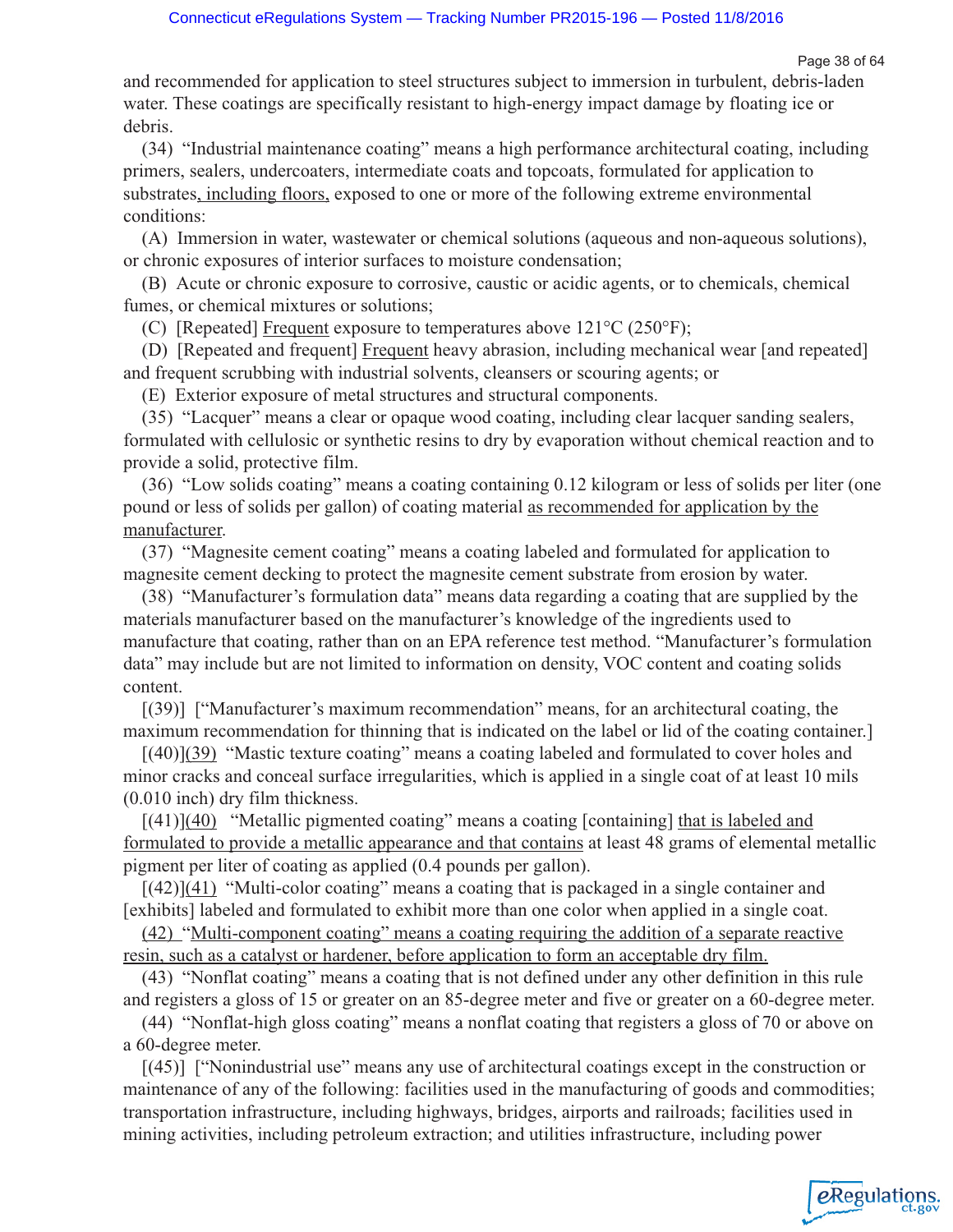*e*Regulations

and recommended for application to steel structures subject to immersion in turbulent, debris-laden water. These coatings are specifically resistant to high-energy impact damage by floating ice or debris.

(34) "Industrial maintenance coating" means a high performance architectural coating, including primers, sealers, undercoaters, intermediate coats and topcoats, formulated for application to substrates, including floors, exposed to one or more of the following extreme environmental conditions:

(A) Immersion in water, wastewater or chemical solutions (aqueous and non-aqueous solutions), or chronic exposures of interior surfaces to moisture condensation;

(B) Acute or chronic exposure to corrosive, caustic or acidic agents, or to chemicals, chemical fumes, or chemical mixtures or solutions;

(C) [Repeated] Frequent exposure to temperatures above  $121^{\circ}C(250^{\circ}F)$ ;

(D) [Repeated and frequent] Frequent heavy abrasion, including mechanical wear [and repeated] and frequent scrubbing with industrial solvents, cleansers or scouring agents; or

(E) Exterior exposure of metal structures and structural components.

(35) "Lacquer" means a clear or opaque wood coating, including clear lacquer sanding sealers, formulated with cellulosic or synthetic resins to dry by evaporation without chemical reaction and to provide a solid, protective film.

(36) "Low solids coating" means a coating containing 0.12 kilogram or less of solids per liter (one pound or less of solids per gallon) of coating material as recommended for application by the manufacturer.

(37) "Magnesite cement coating" means a coating labeled and formulated for application to magnesite cement decking to protect the magnesite cement substrate from erosion by water.

(38) "Manufacturer's formulation data" means data regarding a coating that are supplied by the materials manufacturer based on the manufacturer's knowledge of the ingredients used to manufacture that coating, rather than on an EPA reference test method. "Manufacturer's formulation data" may include but are not limited to information on density, VOC content and coating solids content.

[(39)] ["Manufacturer's maximum recommendation" means, for an architectural coating, the maximum recommendation for thinning that is indicated on the label or lid of the coating container.]

[(40)](39) "Mastic texture coating" means a coating labeled and formulated to cover holes and minor cracks and conceal surface irregularities, which is applied in a single coat of at least 10 mils (0.010 inch) dry film thickness.

 $[(41)]$ (40) "Metallic pigmented coating" means a coating [containing] that is labeled and formulated to provide a metallic appearance and that contains at least 48 grams of elemental metallic pigment per liter of coating as applied (0.4 pounds per gallon).

 $[(42)](41)$  "Multi-color coating" means a coating that is packaged in a single container and [exhibits] labeled and formulated to exhibit more than one color when applied in a single coat.

(42) "Multi-component coating" means a coating requiring the addition of a separate reactive resin, such as a catalyst or hardener, before application to form an acceptable dry film.

(43) "Nonflat coating" means a coating that is not defined under any other definition in this rule and registers a gloss of 15 or greater on an 85-degree meter and five or greater on a 60-degree meter.

(44) "Nonflat-high gloss coating" means a nonflat coating that registers a gloss of 70 or above on a 60-degree meter.

[(45)] ["Nonindustrial use" means any use of architectural coatings except in the construction or maintenance of any of the following: facilities used in the manufacturing of goods and commodities; transportation infrastructure, including highways, bridges, airports and railroads; facilities used in mining activities, including petroleum extraction; and utilities infrastructure, including power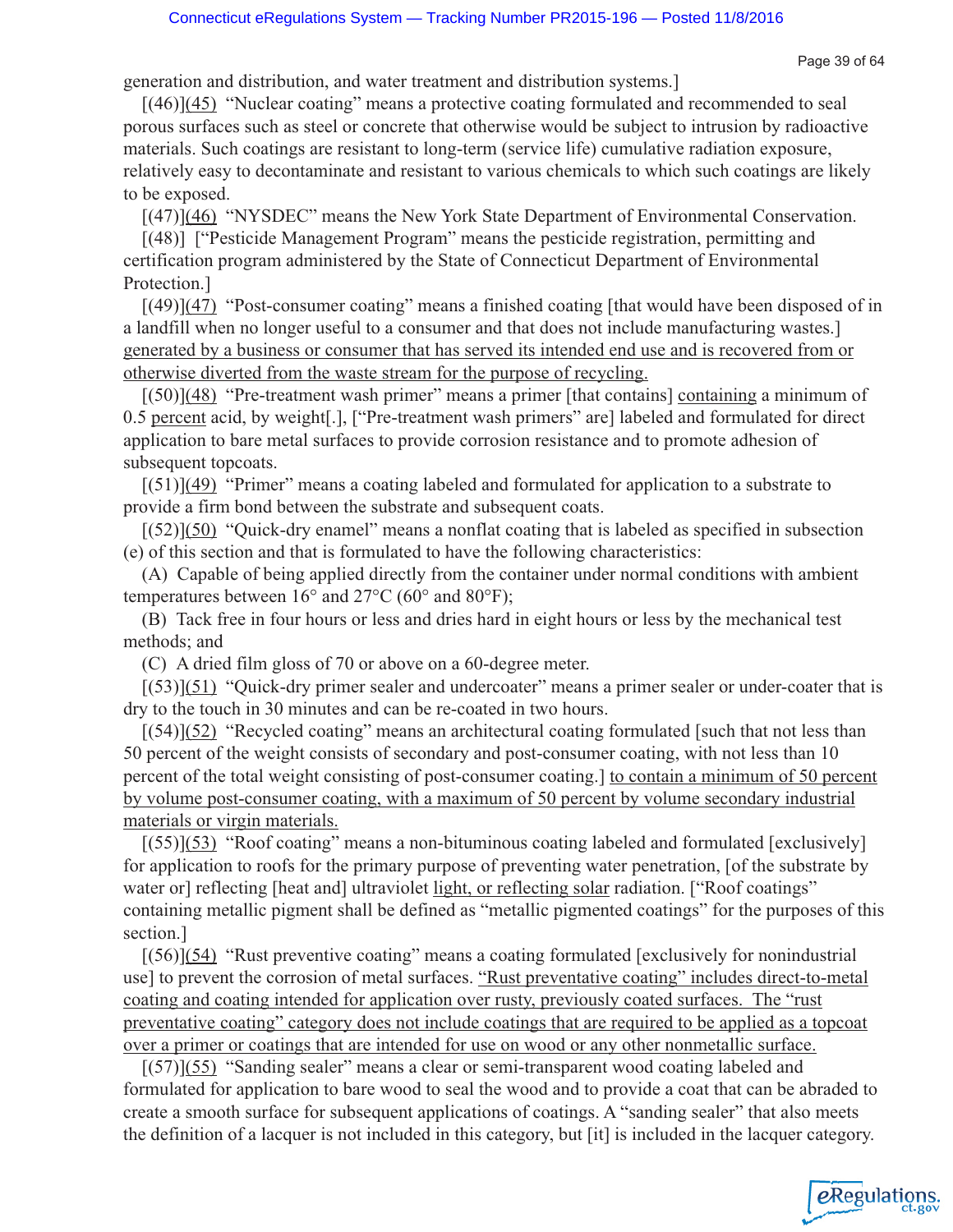eRegulations

generation and distribution, and water treatment and distribution systems.]

[(46)](45) "Nuclear coating" means a protective coating formulated and recommended to seal porous surfaces such as steel or concrete that otherwise would be subject to intrusion by radioactive materials. Such coatings are resistant to long-term (service life) cumulative radiation exposure, relatively easy to decontaminate and resistant to various chemicals to which such coatings are likely to be exposed.

[(47)](46) "NYSDEC" means the New York State Department of Environmental Conservation.

[(48)] ["Pesticide Management Program" means the pesticide registration, permitting and certification program administered by the State of Connecticut Department of Environmental Protection.]

 $[(49)](47)$  "Post-consumer coating" means a finished coating [that would have been disposed of in a landfill when no longer useful to a consumer and that does not include manufacturing wastes.] generated by a business or consumer that has served its intended end use and is recovered from or otherwise diverted from the waste stream for the purpose of recycling.

 $[(50)]$ (48) "Pre-treatment wash primer" means a primer [that contains] containing a minimum of 0.5 percent acid, by weight[.], ["Pre-treatment wash primers" are] labeled and formulated for direct application to bare metal surfaces to provide corrosion resistance and to promote adhesion of subsequent topcoats.

 $[(51)](49)$  "Primer" means a coating labeled and formulated for application to a substrate to provide a firm bond between the substrate and subsequent coats.

 $[(52)](50)$  "Quick-dry enamel" means a nonflat coating that is labeled as specified in subsection (e) of this section and that is formulated to have the following characteristics:

(A) Capable of being applied directly from the container under normal conditions with ambient temperatures between 16° and 27°C (60° and 80°F);

(B) Tack free in four hours or less and dries hard in eight hours or less by the mechanical test methods; and

(C) A dried film gloss of 70 or above on a 60-degree meter.

[(53)](51) "Quick-dry primer sealer and undercoater" means a primer sealer or under-coater that is dry to the touch in 30 minutes and can be re-coated in two hours.

 $[(54)](52)$  "Recycled coating" means an architectural coating formulated [such that not less than 50 percent of the weight consists of secondary and post-consumer coating, with not less than 10 percent of the total weight consisting of post-consumer coating.] to contain a minimum of 50 percent by volume post-consumer coating, with a maximum of 50 percent by volume secondary industrial materials or virgin materials.

 $[(55)]$ (53) "Roof coating" means a non-bituminous coating labeled and formulated [exclusively] for application to roofs for the primary purpose of preventing water penetration, [of the substrate by water or reflecting [heat and] ultraviolet light, or reflecting solar radiation. ["Roof coatings" containing metallic pigment shall be defined as "metallic pigmented coatings" for the purposes of this section.]

 $[(56)](54)$  "Rust preventive coating" means a coating formulated [exclusively for nonindustrial use] to prevent the corrosion of metal surfaces. "Rust preventative coating" includes direct-to-metal coating and coating intended for application over rusty, previously coated surfaces. The "rust preventative coating" category does not include coatings that are required to be applied as a topcoat over a primer or coatings that are intended for use on wood or any other nonmetallic surface.

 $[(57)]$ (55) "Sanding sealer" means a clear or semi-transparent wood coating labeled and formulated for application to bare wood to seal the wood and to provide a coat that can be abraded to create a smooth surface for subsequent applications of coatings. A "sanding sealer" that also meets the definition of a lacquer is not included in this category, but [it] is included in the lacquer category.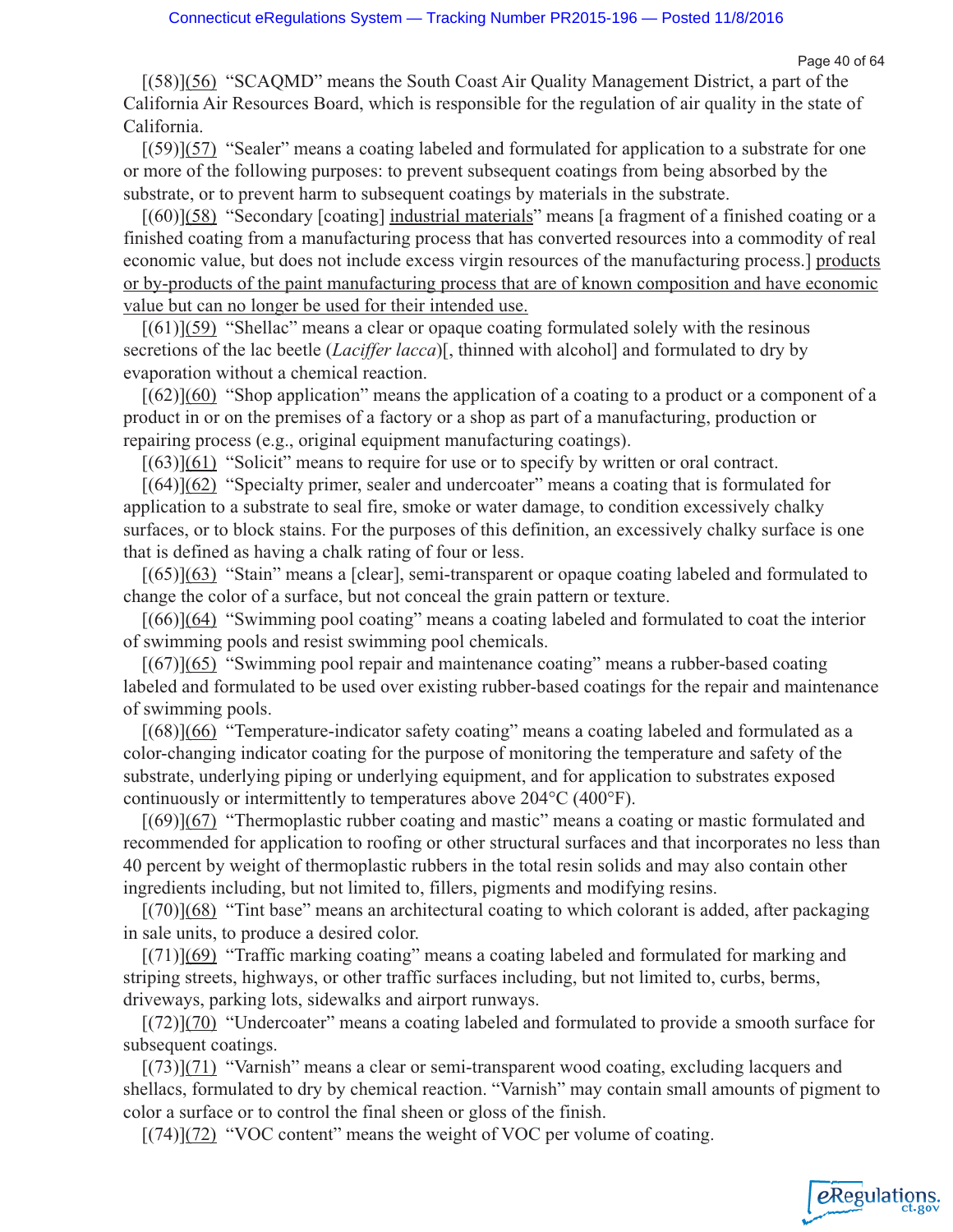Page 40 of 64

eRegulations

[(58)](56) "SCAQMD" means the South Coast Air Quality Management District, a part of the California Air Resources Board, which is responsible for the regulation of air quality in the state of California.

 $[(59)](57)$  "Sealer" means a coating labeled and formulated for application to a substrate for one or more of the following purposes: to prevent subsequent coatings from being absorbed by the substrate, or to prevent harm to subsequent coatings by materials in the substrate.

[(60)](58) "Secondary [coating] industrial materials" means [a fragment of a finished coating or a finished coating from a manufacturing process that has converted resources into a commodity of real economic value, but does not include excess virgin resources of the manufacturing process.] products or by-products of the paint manufacturing process that are of known composition and have economic value but can no longer be used for their intended use.

 $[(61)](59)$  "Shellac" means a clear or opaque coating formulated solely with the resinous secretions of the lac beetle (*Laciffer lacca*)[, thinned with alcohol] and formulated to dry by evaporation without a chemical reaction.

 $[(62)](60)$  "Shop application" means the application of a coating to a product or a component of a product in or on the premises of a factory or a shop as part of a manufacturing, production or repairing process (e.g., original equipment manufacturing coatings).

[(63)](61) "Solicit" means to require for use or to specify by written or oral contract.

[(64)](62) "Specialty primer, sealer and undercoater" means a coating that is formulated for application to a substrate to seal fire, smoke or water damage, to condition excessively chalky surfaces, or to block stains. For the purposes of this definition, an excessively chalky surface is one that is defined as having a chalk rating of four or less.

[(65)](63) "Stain" means a [clear], semi-transparent or opaque coating labeled and formulated to change the color of a surface, but not conceal the grain pattern or texture.

[(66)](64) "Swimming pool coating" means a coating labeled and formulated to coat the interior of swimming pools and resist swimming pool chemicals.

 $[(67)](65)$  "Swimming pool repair and maintenance coating" means a rubber-based coating labeled and formulated to be used over existing rubber-based coatings for the repair and maintenance of swimming pools.

[(68)](66) "Temperature-indicator safety coating" means a coating labeled and formulated as a color-changing indicator coating for the purpose of monitoring the temperature and safety of the substrate, underlying piping or underlying equipment, and for application to substrates exposed continuously or intermittently to temperatures above 204°C (400°F).

 $[(69)](67)$  "Thermoplastic rubber coating and mastic" means a coating or mastic formulated and recommended for application to roofing or other structural surfaces and that incorporates no less than 40 percent by weight of thermoplastic rubbers in the total resin solids and may also contain other ingredients including, but not limited to, fillers, pigments and modifying resins.

[(70)](68) "Tint base" means an architectural coating to which colorant is added, after packaging in sale units, to produce a desired color.

[(71)](69) "Traffic marking coating" means a coating labeled and formulated for marking and striping streets, highways, or other traffic surfaces including, but not limited to, curbs, berms, driveways, parking lots, sidewalks and airport runways.

[(72)](70) "Undercoater" means a coating labeled and formulated to provide a smooth surface for subsequent coatings.

 $[(73)](71)$  "Varnish" means a clear or semi-transparent wood coating, excluding lacquers and shellacs, formulated to dry by chemical reaction. "Varnish" may contain small amounts of pigment to color a surface or to control the final sheen or gloss of the finish.

 $[(74)](72)$  "VOC content" means the weight of VOC per volume of coating.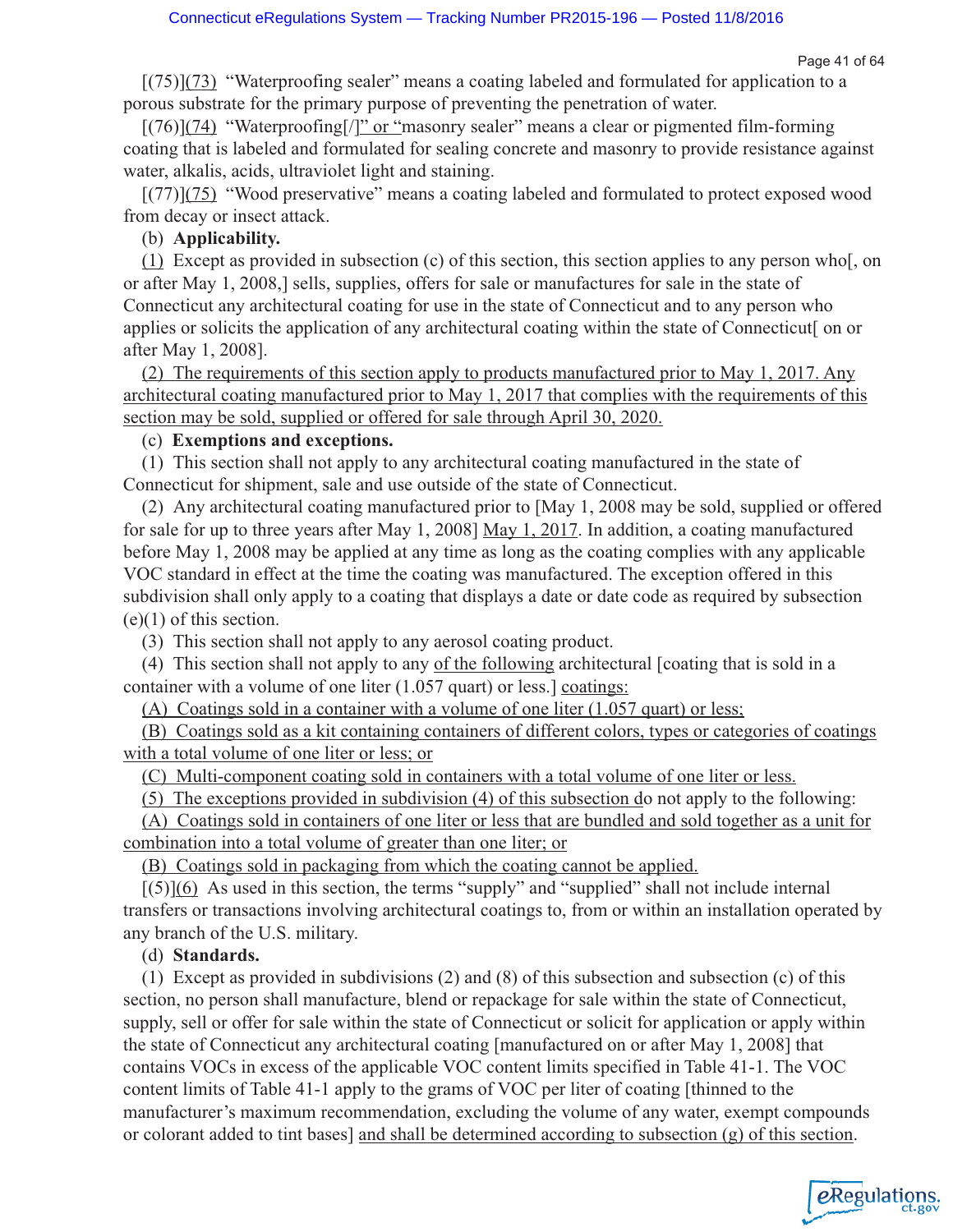eRegulations

 $[(75)](73)$  "Waterproofing sealer" means a coating labeled and formulated for application to a porous substrate for the primary purpose of preventing the penetration of water.

 $[(76)](74)$  "Waterproofing[/]" or "masonry sealer" means a clear or pigmented film-forming coating that is labeled and formulated for sealing concrete and masonry to provide resistance against water, alkalis, acids, ultraviolet light and staining.

[(77)](75) "Wood preservative" means a coating labeled and formulated to protect exposed wood from decay or insect attack.

## (b) **Applicability.**

(1) Except as provided in subsection (c) of this section, this section applies to any person who[, on or after May 1, 2008,] sells, supplies, offers for sale or manufactures for sale in the state of Connecticut any architectural coating for use in the state of Connecticut and to any person who applies or solicits the application of any architectural coating within the state of Connecticut[ on or after May 1, 2008].

(2) The requirements of this section apply to products manufactured prior to May 1, 2017. Any architectural coating manufactured prior to May 1, 2017 that complies with the requirements of this section may be sold, supplied or offered for sale through April 30, 2020.

## (c) **Exemptions and exceptions.**

(1) This section shall not apply to any architectural coating manufactured in the state of Connecticut for shipment, sale and use outside of the state of Connecticut.

(2) Any architectural coating manufactured prior to [May 1, 2008 may be sold, supplied or offered for sale for up to three years after May 1, 2008] May 1, 2017. In addition, a coating manufactured before May 1, 2008 may be applied at any time as long as the coating complies with any applicable VOC standard in effect at the time the coating was manufactured. The exception offered in this subdivision shall only apply to a coating that displays a date or date code as required by subsection  $(e)(1)$  of this section.

(3) This section shall not apply to any aerosol coating product.

(4) This section shall not apply to any of the following architectural [coating that is sold in a container with a volume of one liter (1.057 quart) or less.] coatings:

(A) Coatings sold in a container with a volume of one liter (1.057 quart) or less;

(B) Coatings sold as a kit containing containers of different colors, types or categories of coatings with a total volume of one liter or less; or

(C) Multi-component coating sold in containers with a total volume of one liter or less.

(5) The exceptions provided in subdivision (4) of this subsection do not apply to the following:

(A) Coatings sold in containers of one liter or less that are bundled and sold together as a unit for combination into a total volume of greater than one liter; or

(B) Coatings sold in packaging from which the coating cannot be applied.

 $[(5)](6)$  As used in this section, the terms "supply" and "supplied" shall not include internal transfers or transactions involving architectural coatings to, from or within an installation operated by any branch of the U.S. military.

## (d) **Standards.**

(1) Except as provided in subdivisions (2) and (8) of this subsection and subsection (c) of this section, no person shall manufacture, blend or repackage for sale within the state of Connecticut, supply, sell or offer for sale within the state of Connecticut or solicit for application or apply within the state of Connecticut any architectural coating [manufactured on or after May 1, 2008] that contains VOCs in excess of the applicable VOC content limits specified in Table 41-1. The VOC content limits of Table 41-1 apply to the grams of VOC per liter of coating [thinned to the manufacturer's maximum recommendation, excluding the volume of any water, exempt compounds or colorant added to tint bases] and shall be determined according to subsection (g) of this section.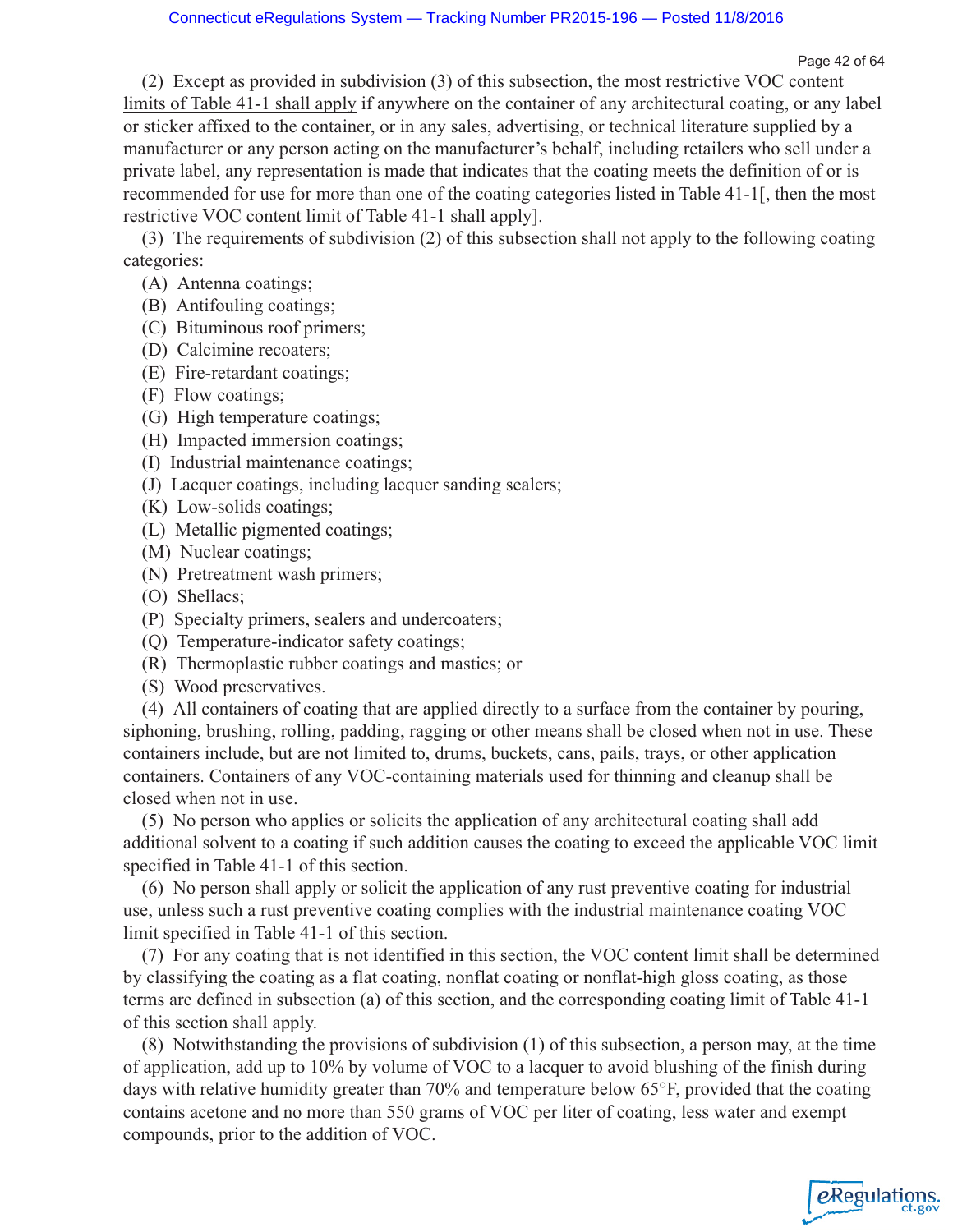Page 42 of 64

(2) Except as provided in subdivision (3) of this subsection, the most restrictive VOC content limits of Table 41-1 shall apply if anywhere on the container of any architectural coating, or any label or sticker affixed to the container, or in any sales, advertising, or technical literature supplied by a manufacturer or any person acting on the manufacturer's behalf, including retailers who sell under a private label, any representation is made that indicates that the coating meets the definition of or is recommended for use for more than one of the coating categories listed in Table 41-1[, then the most restrictive VOC content limit of Table 41-1 shall apply].

(3) The requirements of subdivision (2) of this subsection shall not apply to the following coating categories:

- (A) Antenna coatings;
- (B) Antifouling coatings;
- (C) Bituminous roof primers;
- (D) Calcimine recoaters;
- (E) Fire-retardant coatings;
- (F) Flow coatings;
- (G) High temperature coatings;
- (H) Impacted immersion coatings;
- (I) Industrial maintenance coatings;
- (J) Lacquer coatings, including lacquer sanding sealers;
- (K) Low-solids coatings;
- (L) Metallic pigmented coatings;
- (M) Nuclear coatings;
- (N) Pretreatment wash primers;
- (O) Shellacs;
- (P) Specialty primers, sealers and undercoaters;
- (Q) Temperature-indicator safety coatings;
- (R) Thermoplastic rubber coatings and mastics; or
- (S) Wood preservatives.

(4) All containers of coating that are applied directly to a surface from the container by pouring, siphoning, brushing, rolling, padding, ragging or other means shall be closed when not in use. These containers include, but are not limited to, drums, buckets, cans, pails, trays, or other application containers. Containers of any VOC-containing materials used for thinning and cleanup shall be closed when not in use.

(5) No person who applies or solicits the application of any architectural coating shall add additional solvent to a coating if such addition causes the coating to exceed the applicable VOC limit specified in Table 41-1 of this section.

(6) No person shall apply or solicit the application of any rust preventive coating for industrial use, unless such a rust preventive coating complies with the industrial maintenance coating VOC limit specified in Table 41-1 of this section.

(7) For any coating that is not identified in this section, the VOC content limit shall be determined by classifying the coating as a flat coating, nonflat coating or nonflat-high gloss coating, as those terms are defined in subsection (a) of this section, and the corresponding coating limit of Table 41-1 of this section shall apply.

(8) Notwithstanding the provisions of subdivision (1) of this subsection, a person may, at the time of application, add up to 10% by volume of VOC to a lacquer to avoid blushing of the finish during days with relative humidity greater than 70% and temperature below 65°F, provided that the coating contains acetone and no more than 550 grams of VOC per liter of coating, less water and exempt compounds, prior to the addition of VOC.

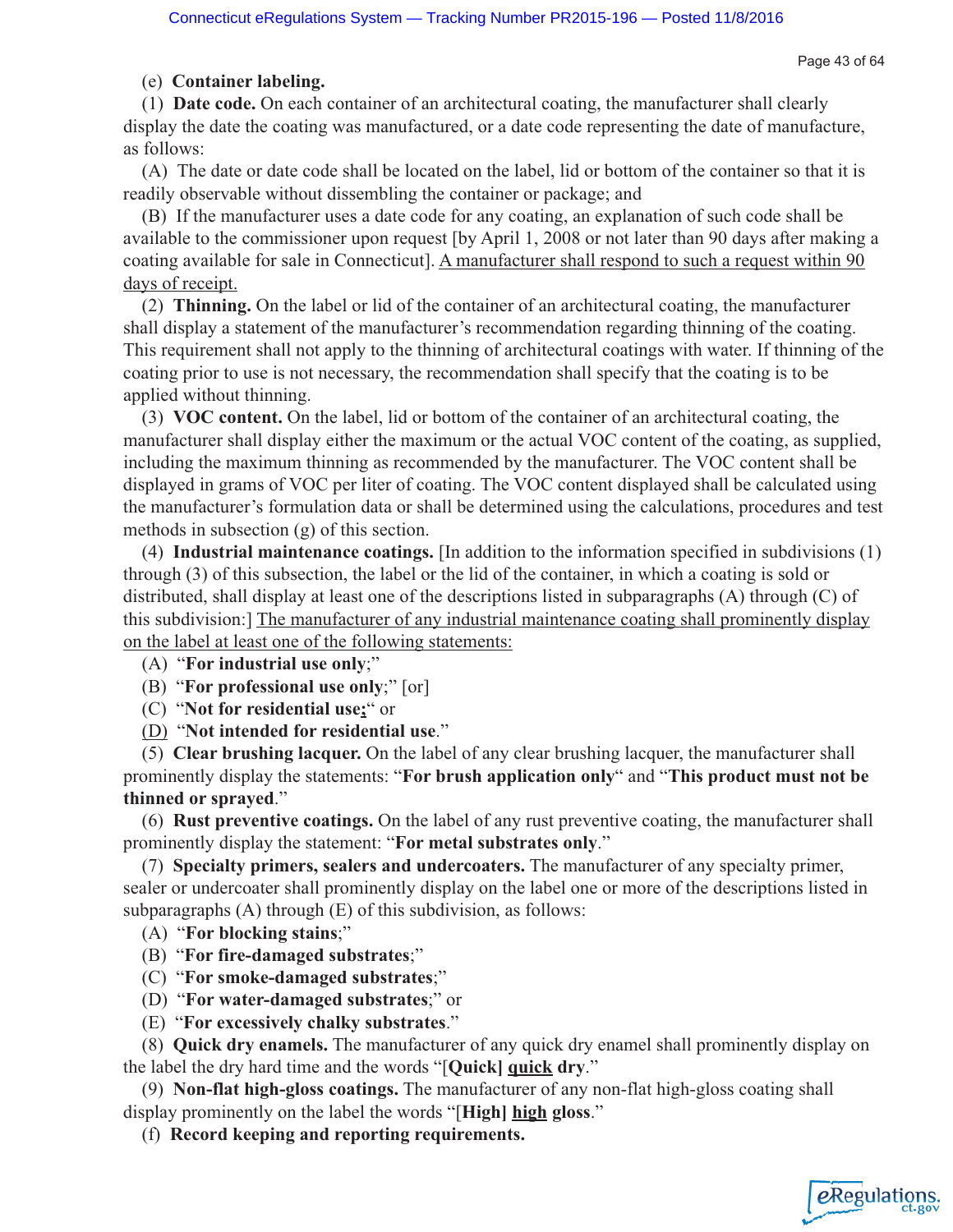Page 43 of 64

eRegulations

## (e) **Container labeling.**

(1) **Date code.** On each container of an architectural coating, the manufacturer shall clearly display the date the coating was manufactured, or a date code representing the date of manufacture, as follows:

(A) The date or date code shall be located on the label, lid or bottom of the container so that it is readily observable without dissembling the container or package; and

(B) If the manufacturer uses a date code for any coating, an explanation of such code shall be available to the commissioner upon request [by April 1, 2008 or not later than 90 days after making a coating available for sale in Connecticut]. A manufacturer shall respond to such a request within 90 days of receipt.

(2) **Thinning.** On the label or lid of the container of an architectural coating, the manufacturer shall display a statement of the manufacturer's recommendation regarding thinning of the coating. This requirement shall not apply to the thinning of architectural coatings with water. If thinning of the coating prior to use is not necessary, the recommendation shall specify that the coating is to be applied without thinning.

(3) **VOC content.** On the label, lid or bottom of the container of an architectural coating, the manufacturer shall display either the maximum or the actual VOC content of the coating, as supplied, including the maximum thinning as recommended by the manufacturer. The VOC content shall be displayed in grams of VOC per liter of coating. The VOC content displayed shall be calculated using the manufacturer's formulation data or shall be determined using the calculations, procedures and test methods in subsection (g) of this section.

(4) **Industrial maintenance coatings.** [In addition to the information specified in subdivisions (1) through (3) of this subsection, the label or the lid of the container, in which a coating is sold or distributed, shall display at least one of the descriptions listed in subparagraphs (A) through (C) of this subdivision:] The manufacturer of any industrial maintenance coating shall prominently display on the label at least one of the following statements:

(A) "**For industrial use only**;"

- (B) "**For professional use only**;" [or]
- (C) "**Not for residential use;**" or
- (D) "**Not intended for residential use**."

(5) **Clear brushing lacquer.** On the label of any clear brushing lacquer, the manufacturer shall prominently display the statements: "**For brush application only**" and "**This product must not be thinned or sprayed**."

(6) **Rust preventive coatings.** On the label of any rust preventive coating, the manufacturer shall prominently display the statement: "**For metal substrates only**."

(7) **Specialty primers, sealers and undercoaters.** The manufacturer of any specialty primer, sealer or undercoater shall prominently display on the label one or more of the descriptions listed in subparagraphs (A) through (E) of this subdivision, as follows:

- (A) "**For blocking stains**;"
- (B) "**For fire-damaged substrates**;"
- (C) "**For smoke-damaged substrates**;"
- (D) "**For water-damaged substrates**;" or
- (E) "**For excessively chalky substrates**."

(8) **Quick dry enamels.** The manufacturer of any quick dry enamel shall prominently display on the label the dry hard time and the words "[**Quick] quick dry**."

(9) **Non-flat high-gloss coatings.** The manufacturer of any non-flat high-gloss coating shall display prominently on the label the words "[**High] high gloss**."

(f) **Record keeping and reporting requirements.**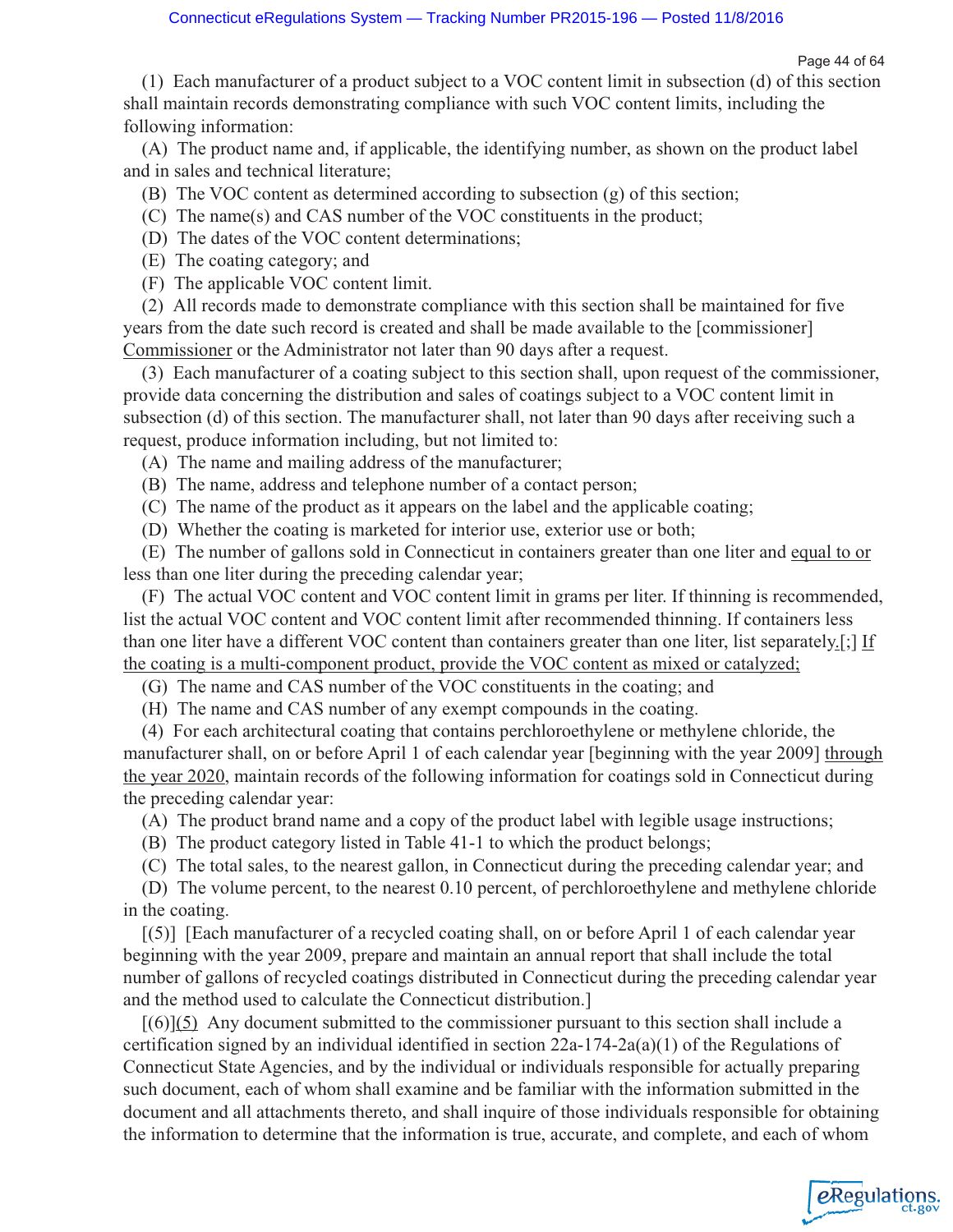Page 44 of 64

eRegulations

(1) Each manufacturer of a product subject to a VOC content limit in subsection (d) of this section shall maintain records demonstrating compliance with such VOC content limits, including the following information:

(A) The product name and, if applicable, the identifying number, as shown on the product label and in sales and technical literature;

- (B) The VOC content as determined according to subsection (g) of this section;
- (C) The name(s) and CAS number of the VOC constituents in the product;
- (D) The dates of the VOC content determinations;
- (E) The coating category; and
- (F) The applicable VOC content limit.

(2) All records made to demonstrate compliance with this section shall be maintained for five years from the date such record is created and shall be made available to the [commissioner] Commissioner or the Administrator not later than 90 days after a request.

(3) Each manufacturer of a coating subject to this section shall, upon request of the commissioner, provide data concerning the distribution and sales of coatings subject to a VOC content limit in subsection (d) of this section. The manufacturer shall, not later than 90 days after receiving such a request, produce information including, but not limited to:

- (A) The name and mailing address of the manufacturer;
- (B) The name, address and telephone number of a contact person;
- (C) The name of the product as it appears on the label and the applicable coating;
- (D) Whether the coating is marketed for interior use, exterior use or both;

(E) The number of gallons sold in Connecticut in containers greater than one liter and equal to or less than one liter during the preceding calendar year;

(F) The actual VOC content and VOC content limit in grams per liter. If thinning is recommended, list the actual VOC content and VOC content limit after recommended thinning. If containers less than one liter have a different VOC content than containers greater than one liter, list separately.[;] If the coating is a multi-component product, provide the VOC content as mixed or catalyzed;

(G) The name and CAS number of the VOC constituents in the coating; and

(H) The name and CAS number of any exempt compounds in the coating.

(4) For each architectural coating that contains perchloroethylene or methylene chloride, the manufacturer shall, on or before April 1 of each calendar year [beginning with the year 2009] through the year 2020, maintain records of the following information for coatings sold in Connecticut during the preceding calendar year:

(A) The product brand name and a copy of the product label with legible usage instructions;

(B) The product category listed in Table 41-1 to which the product belongs;

(C) The total sales, to the nearest gallon, in Connecticut during the preceding calendar year; and

(D) The volume percent, to the nearest 0.10 percent, of perchloroethylene and methylene chloride in the coating.

[(5)] [Each manufacturer of a recycled coating shall, on or before April 1 of each calendar year beginning with the year 2009, prepare and maintain an annual report that shall include the total number of gallons of recycled coatings distributed in Connecticut during the preceding calendar year and the method used to calculate the Connecticut distribution.]

 $[(6)](5)$  Any document submitted to the commissioner pursuant to this section shall include a certification signed by an individual identified in section  $22a-174-2a(a)(1)$  of the Regulations of Connecticut State Agencies, and by the individual or individuals responsible for actually preparing such document, each of whom shall examine and be familiar with the information submitted in the document and all attachments thereto, and shall inquire of those individuals responsible for obtaining the information to determine that the information is true, accurate, and complete, and each of whom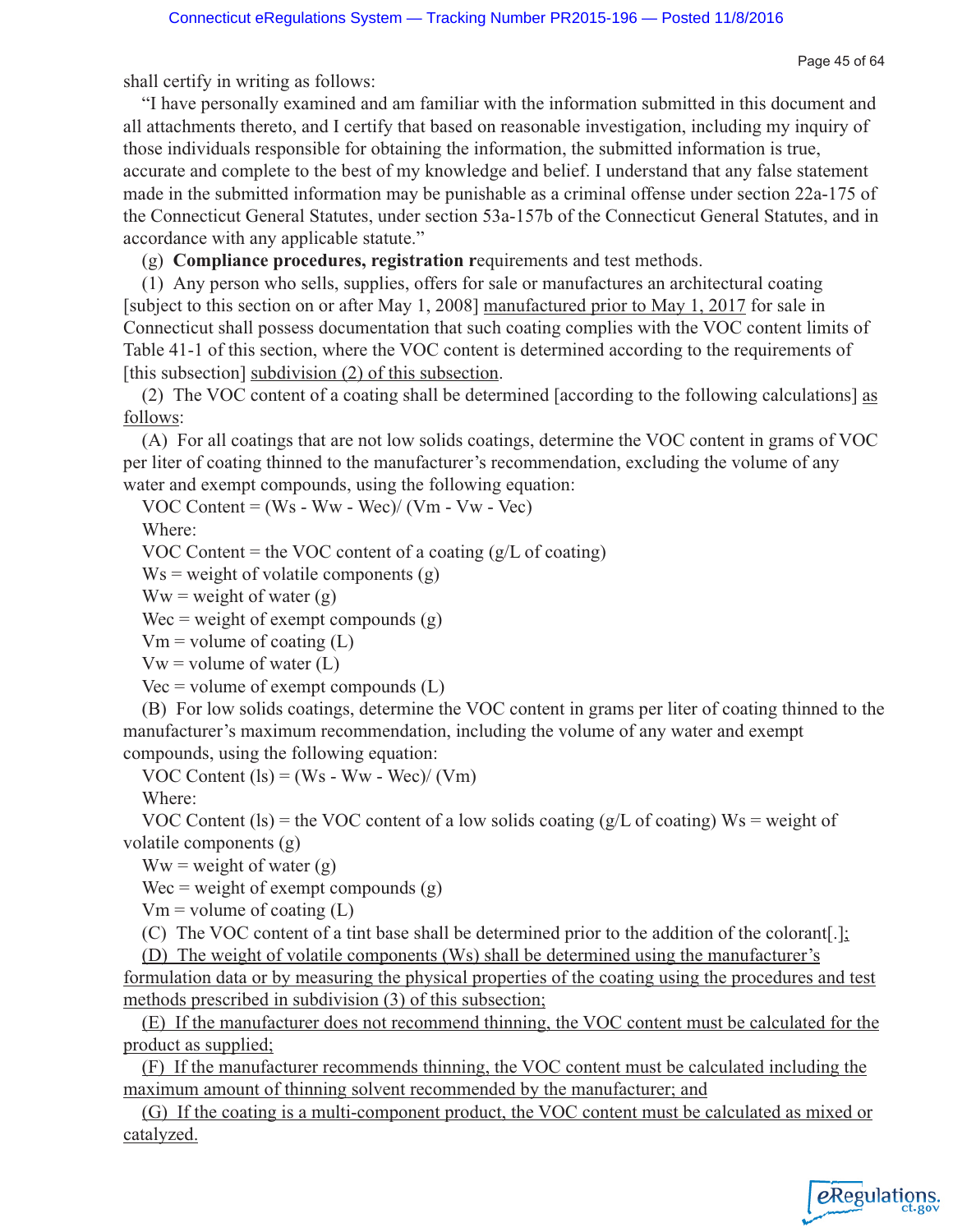Page 45 of 64

shall certify in writing as follows:

"I have personally examined and am familiar with the information submitted in this document and all attachments thereto, and I certify that based on reasonable investigation, including my inquiry of those individuals responsible for obtaining the information, the submitted information is true, accurate and complete to the best of my knowledge and belief. I understand that any false statement made in the submitted information may be punishable as a criminal offense under section 22a-175 of the Connecticut General Statutes, under section 53a-157b of the Connecticut General Statutes, and in accordance with any applicable statute."

(g) **Compliance procedures, registration r**equirements and test methods.

(1) Any person who sells, supplies, offers for sale or manufactures an architectural coating [subject to this section on or after May 1, 2008] manufactured prior to May 1, 2017 for sale in Connecticut shall possess documentation that such coating complies with the VOC content limits of Table 41-1 of this section, where the VOC content is determined according to the requirements of [this subsection] subdivision (2) of this subsection.

(2) The VOC content of a coating shall be determined [according to the following calculations] as follows:

(A) For all coatings that are not low solids coatings, determine the VOC content in grams of VOC per liter of coating thinned to the manufacturer's recommendation, excluding the volume of any water and exempt compounds, using the following equation:

VOC Content = (Ws - Ww - Wec)/ (Vm - Vw - Vec)

Where:

VOC Content = the VOC content of a coating  $(g/L \text{ of coating})$ 

 $Ws$  = weight of volatile components (g)

 $Ww = weight of water(g)$ 

Wec = weight of exempt compounds  $(g)$ 

 $Vm = volume$  of coating (L)

 $Vw = volume of water (L)$ 

 $Vec = volume of$  exempt compounds  $(L)$ 

(B) For low solids coatings, determine the VOC content in grams per liter of coating thinned to the manufacturer's maximum recommendation, including the volume of any water and exempt compounds, using the following equation:

VOC Content  $(1s) = (Ws - Ww - Wec)/(Vm)$ 

Where:

VOC Content (ls) = the VOC content of a low solids coating ( $g/L$  of coating) Ws = weight of volatile components (g)

 $Ww = weight of water(g)$ 

Wec = weight of exempt compounds  $(g)$ 

 $Vm = volume$  of coating (L)

(C) The VOC content of a tint base shall be determined prior to the addition of the colorant[.];

(D) The weight of volatile components (Ws) shall be determined using the manufacturer's

formulation data or by measuring the physical properties of the coating using the procedures and test methods prescribed in subdivision (3) of this subsection;

(E) If the manufacturer does not recommend thinning, the VOC content must be calculated for the product as supplied;

(F) If the manufacturer recommends thinning, the VOC content must be calculated including the maximum amount of thinning solvent recommended by the manufacturer; and

(G) If the coating is a multi-component product, the VOC content must be calculated as mixed or catalyzed.

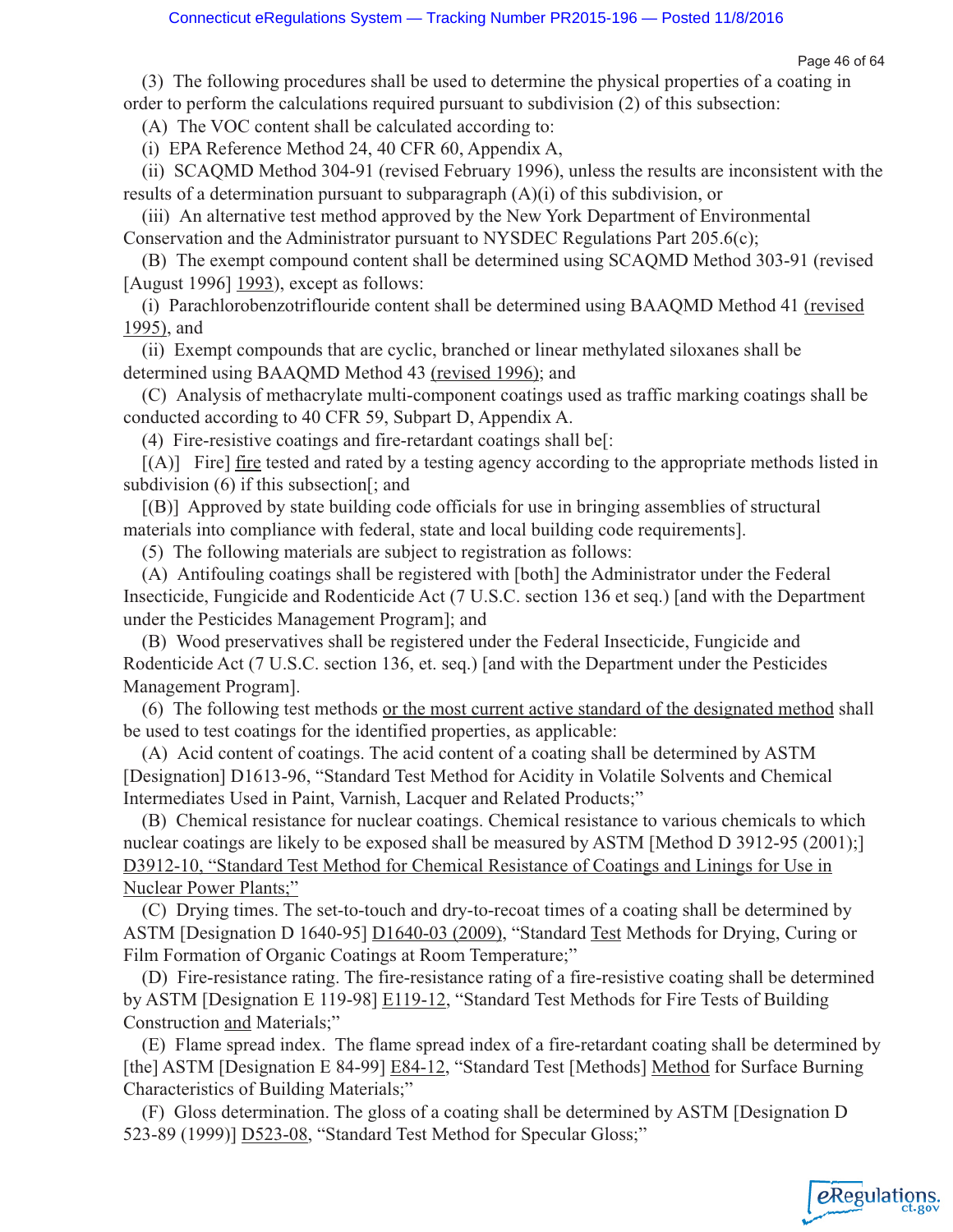Page 46 of 64

(3) The following procedures shall be used to determine the physical properties of a coating in order to perform the calculations required pursuant to subdivision (2) of this subsection:

(A) The VOC content shall be calculated according to:

(i) EPA Reference Method 24, 40 CFR 60, Appendix A,

(ii) SCAQMD Method 304-91 (revised February 1996), unless the results are inconsistent with the results of a determination pursuant to subparagraph (A)(i) of this subdivision, or

(iii) An alternative test method approved by the New York Department of Environmental Conservation and the Administrator pursuant to NYSDEC Regulations Part 205.6(c);

(B) The exempt compound content shall be determined using SCAQMD Method 303-91 (revised [August 1996] 1993), except as follows:

(i) Parachlorobenzotriflouride content shall be determined using BAAQMD Method 41 (revised 1995), and

(ii) Exempt compounds that are cyclic, branched or linear methylated siloxanes shall be determined using BAAQMD Method 43 (revised 1996); and

(C) Analysis of methacrylate multi-component coatings used as traffic marking coatings shall be conducted according to 40 CFR 59, Subpart D, Appendix A.

(4) Fire-resistive coatings and fire-retardant coatings shall be[:

[(A)] Fire] fire tested and rated by a testing agency according to the appropriate methods listed in subdivision (6) if this subsection[; and

[(B)] Approved by state building code officials for use in bringing assemblies of structural materials into compliance with federal, state and local building code requirements].

(5) The following materials are subject to registration as follows:

(A) Antifouling coatings shall be registered with [both] the Administrator under the Federal Insecticide, Fungicide and Rodenticide Act (7 U.S.C. section 136 et seq.) [and with the Department under the Pesticides Management Program]; and

(B) Wood preservatives shall be registered under the Federal Insecticide, Fungicide and Rodenticide Act (7 U.S.C. section 136, et. seq.) [and with the Department under the Pesticides Management Program].

(6) The following test methods or the most current active standard of the designated method shall be used to test coatings for the identified properties, as applicable:

(A) Acid content of coatings. The acid content of a coating shall be determined by ASTM [Designation] D1613-96, "Standard Test Method for Acidity in Volatile Solvents and Chemical Intermediates Used in Paint, Varnish, Lacquer and Related Products;"

(B) Chemical resistance for nuclear coatings. Chemical resistance to various chemicals to which nuclear coatings are likely to be exposed shall be measured by ASTM [Method D 3912-95 (2001);] D3912-10, "Standard Test Method for Chemical Resistance of Coatings and Linings for Use in Nuclear Power Plants;"

(C) Drying times. The set-to-touch and dry-to-recoat times of a coating shall be determined by ASTM [Designation D 1640-95] D1640-03 (2009), "Standard Test Methods for Drying, Curing or Film Formation of Organic Coatings at Room Temperature;"

(D) Fire-resistance rating. The fire-resistance rating of a fire-resistive coating shall be determined by ASTM [Designation E 119-98] E119-12, "Standard Test Methods for Fire Tests of Building Construction and Materials;"

(E) Flame spread index. The flame spread index of a fire-retardant coating shall be determined by [the] ASTM [Designation E 84-99] E84-12, "Standard Test [Methods] Method for Surface Burning Characteristics of Building Materials;"

(F) Gloss determination. The gloss of a coating shall be determined by ASTM [Designation D 523-89 (1999)] D523-08, "Standard Test Method for Specular Gloss;"

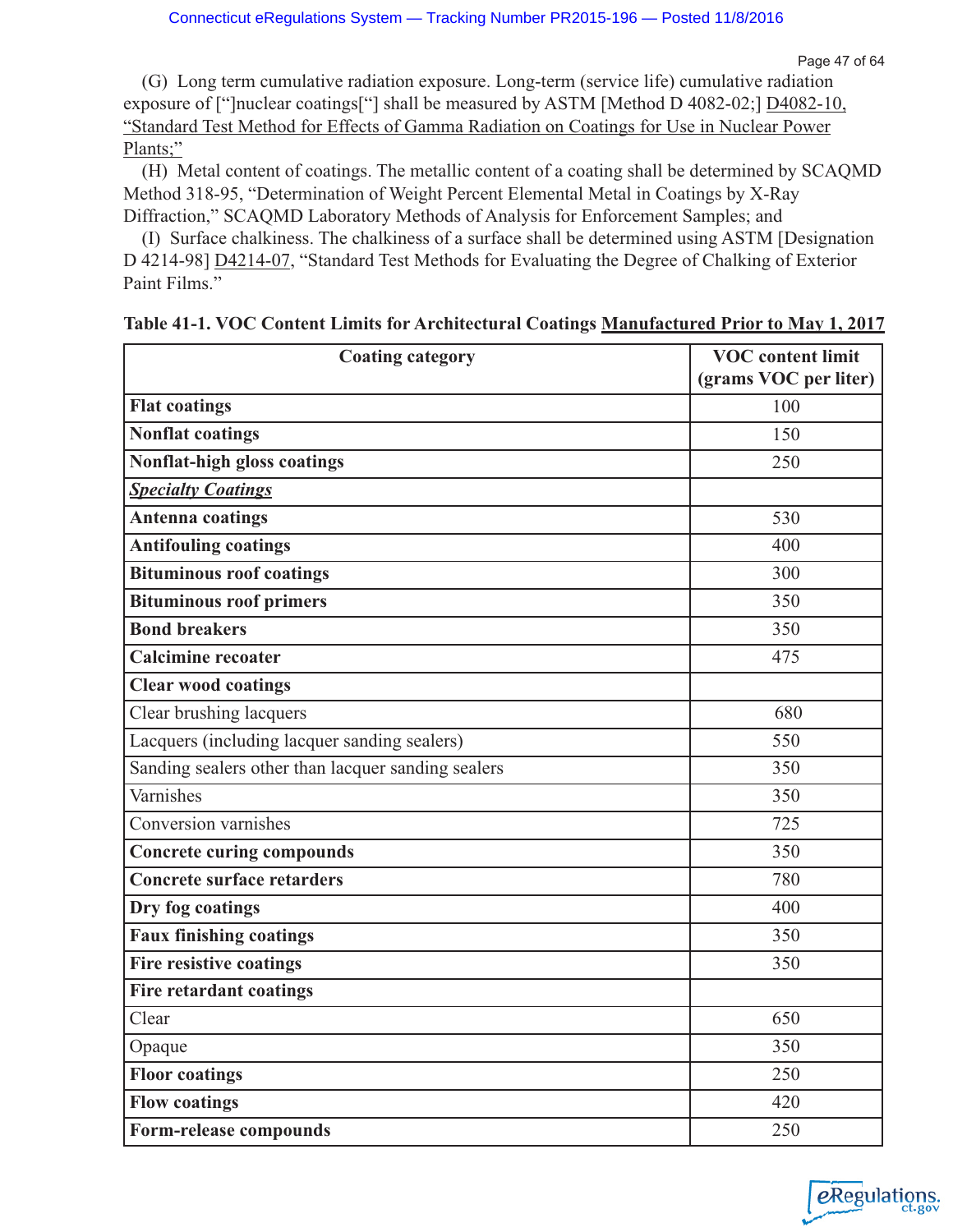(G) Long term cumulative radiation exposure. Long-term (service life) cumulative radiation exposure of ["]nuclear coatings["] shall be measured by ASTM [Method D 4082-02;] D4082-10, "Standard Test Method for Effects of Gamma Radiation on Coatings for Use in Nuclear Power Plants;"

(H) Metal content of coatings. The metallic content of a coating shall be determined by SCAQMD Method 318-95, "Determination of Weight Percent Elemental Metal in Coatings by X-Ray Diffraction," SCAQMD Laboratory Methods of Analysis for Enforcement Samples; and

(I) Surface chalkiness. The chalkiness of a surface shall be determined using ASTM [Designation D 4214-98] D4214-07, "Standard Test Methods for Evaluating the Degree of Chalking of Exterior Paint Films."

| <b>Coating category</b>                            | <b>VOC</b> content limit |
|----------------------------------------------------|--------------------------|
|                                                    | (grams VOC per liter)    |
| <b>Flat coatings</b>                               | 100                      |
| <b>Nonflat coatings</b>                            | 150                      |
| Nonflat-high gloss coatings                        | 250                      |
| <b>Specialty Coatings</b>                          |                          |
| <b>Antenna coatings</b>                            | 530                      |
| <b>Antifouling coatings</b>                        | 400                      |
| <b>Bituminous roof coatings</b>                    | 300                      |
| <b>Bituminous roof primers</b>                     | 350                      |
| <b>Bond breakers</b>                               | 350                      |
| <b>Calcimine recoater</b>                          | 475                      |
| <b>Clear wood coatings</b>                         |                          |
| Clear brushing lacquers                            | 680                      |
| Lacquers (including lacquer sanding sealers)       | 550                      |
| Sanding sealers other than lacquer sanding sealers | 350                      |
| Varnishes                                          | 350                      |
| Conversion varnishes                               | 725                      |
| <b>Concrete curing compounds</b>                   | 350                      |
| <b>Concrete surface retarders</b>                  | 780                      |
| Dry fog coatings                                   | 400                      |
| <b>Faux finishing coatings</b>                     | 350                      |
| <b>Fire resistive coatings</b>                     | 350                      |
| <b>Fire retardant coatings</b>                     |                          |
| Clear                                              | 650                      |
| Opaque                                             | 350                      |
| <b>Floor coatings</b>                              | 250                      |
| <b>Flow coatings</b>                               | 420                      |
| Form-release compounds                             | 250                      |

| Table 41-1. VOC Content Limits for Architectural Coatings Manufactured Prior to May 1, 2017 |
|---------------------------------------------------------------------------------------------|
|---------------------------------------------------------------------------------------------|

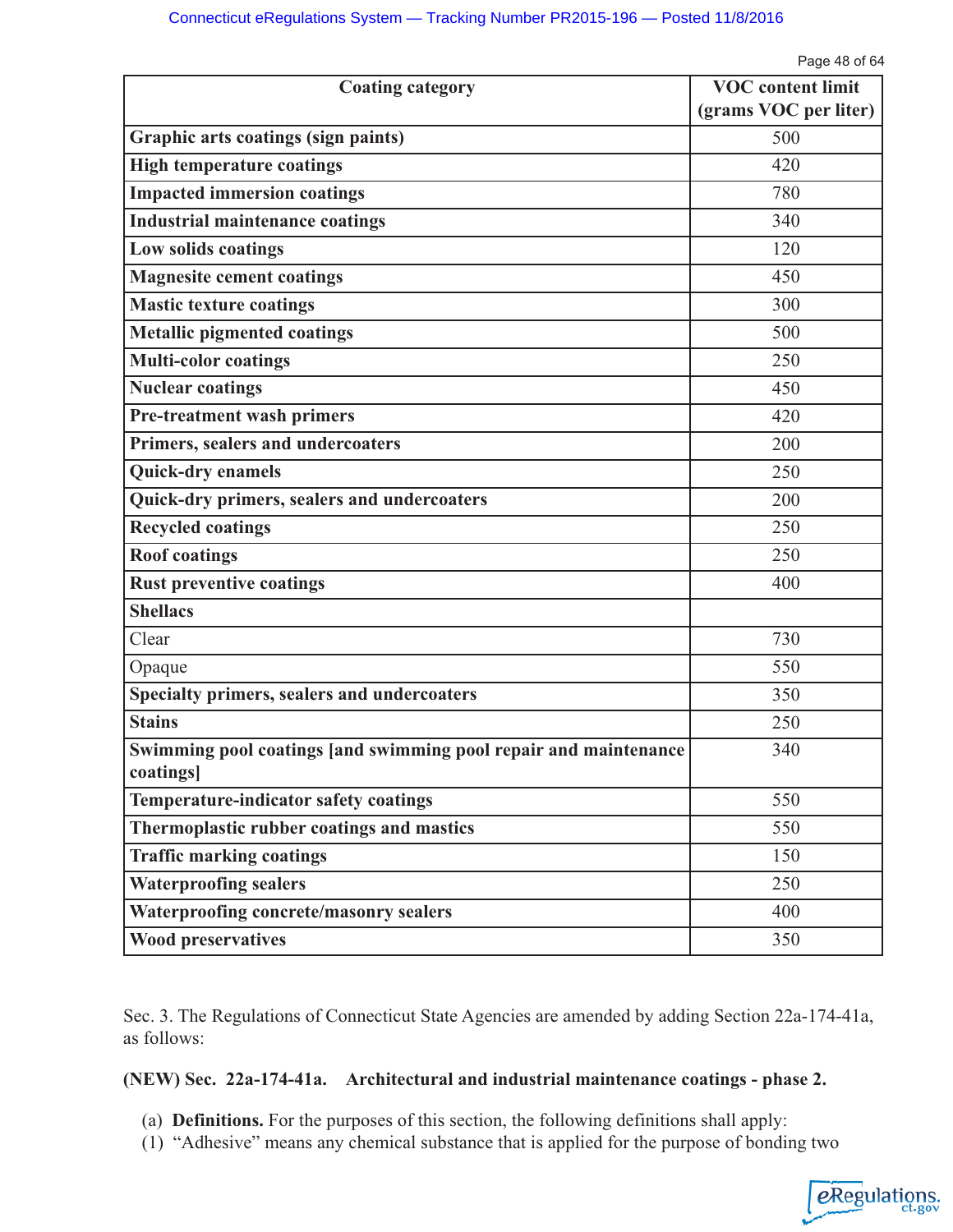Page 48 of 64

| <b>Coating category</b>                                                       | <b>VOC</b> content limit |
|-------------------------------------------------------------------------------|--------------------------|
|                                                                               | (grams VOC per liter)    |
| Graphic arts coatings (sign paints)                                           | 500                      |
| <b>High temperature coatings</b>                                              | 420                      |
| <b>Impacted immersion coatings</b>                                            | 780                      |
| <b>Industrial maintenance coatings</b>                                        | 340                      |
| Low solids coatings                                                           | 120                      |
| <b>Magnesite cement coatings</b>                                              | 450                      |
| <b>Mastic texture coatings</b>                                                | 300                      |
| <b>Metallic pigmented coatings</b>                                            | 500                      |
| <b>Multi-color coatings</b>                                                   | 250                      |
| <b>Nuclear coatings</b>                                                       | 450                      |
| <b>Pre-treatment wash primers</b>                                             | 420                      |
| Primers, sealers and undercoaters                                             | 200                      |
| <b>Quick-dry enamels</b>                                                      | 250                      |
| Quick-dry primers, sealers and undercoaters                                   | 200                      |
| <b>Recycled coatings</b>                                                      | 250                      |
| <b>Roof coatings</b>                                                          | 250                      |
| <b>Rust preventive coatings</b>                                               | 400                      |
| <b>Shellacs</b>                                                               |                          |
| Clear                                                                         | 730                      |
| Opaque                                                                        | 550                      |
| Specialty primers, sealers and undercoaters                                   | 350                      |
| <b>Stains</b>                                                                 | 250                      |
| Swimming pool coatings [and swimming pool repair and maintenance<br>coatings] | 340                      |
| Temperature-indicator safety coatings                                         | 550                      |
| Thermoplastic rubber coatings and mastics                                     | 550                      |
| <b>Traffic marking coatings</b>                                               | 150                      |
| <b>Waterproofing sealers</b>                                                  | 250                      |
| <b>Waterproofing concrete/masonry sealers</b>                                 | 400                      |
| <b>Wood preservatives</b>                                                     | 350                      |

Sec. 3. The Regulations of Connecticut State Agencies are amended by adding Section 22a-174-41a, as follows:

## **(NEW) Sec. 22a-174-41a. Architectural and industrial maintenance coatings - phase 2.**

- (a) **Definitions.** For the purposes of this section, the following definitions shall apply:
- (1) "Adhesive" means any chemical substance that is applied for the purpose of bonding two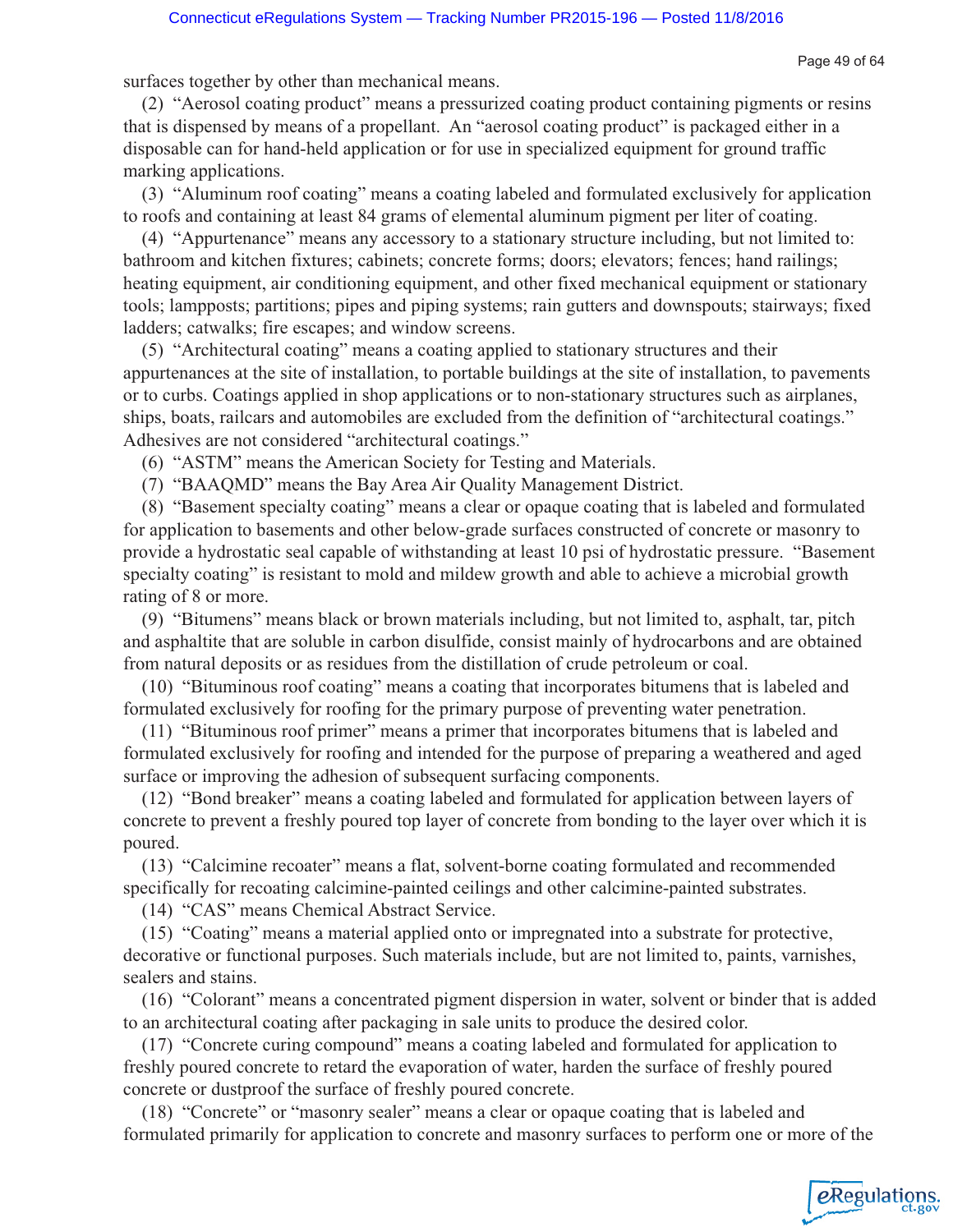eRegulations

surfaces together by other than mechanical means.

(2) "Aerosol coating product" means a pressurized coating product containing pigments or resins that is dispensed by means of a propellant. An "aerosol coating product" is packaged either in a disposable can for hand-held application or for use in specialized equipment for ground traffic marking applications.

(3) "Aluminum roof coating" means a coating labeled and formulated exclusively for application to roofs and containing at least 84 grams of elemental aluminum pigment per liter of coating.

(4) "Appurtenance" means any accessory to a stationary structure including, but not limited to: bathroom and kitchen fixtures; cabinets; concrete forms; doors; elevators; fences; hand railings; heating equipment, air conditioning equipment, and other fixed mechanical equipment or stationary tools; lampposts; partitions; pipes and piping systems; rain gutters and downspouts; stairways; fixed ladders; catwalks; fire escapes; and window screens.

(5) "Architectural coating" means a coating applied to stationary structures and their appurtenances at the site of installation, to portable buildings at the site of installation, to pavements or to curbs. Coatings applied in shop applications or to non-stationary structures such as airplanes, ships, boats, railcars and automobiles are excluded from the definition of "architectural coatings." Adhesives are not considered "architectural coatings."

(6) "ASTM" means the American Society for Testing and Materials.

(7) "BAAQMD" means the Bay Area Air Quality Management District.

(8) "Basement specialty coating" means a clear or opaque coating that is labeled and formulated for application to basements and other below-grade surfaces constructed of concrete or masonry to provide a hydrostatic seal capable of withstanding at least 10 psi of hydrostatic pressure. "Basement specialty coating" is resistant to mold and mildew growth and able to achieve a microbial growth rating of 8 or more.

(9) "Bitumens" means black or brown materials including, but not limited to, asphalt, tar, pitch and asphaltite that are soluble in carbon disulfide, consist mainly of hydrocarbons and are obtained from natural deposits or as residues from the distillation of crude petroleum or coal.

(10) "Bituminous roof coating" means a coating that incorporates bitumens that is labeled and formulated exclusively for roofing for the primary purpose of preventing water penetration.

(11) "Bituminous roof primer" means a primer that incorporates bitumens that is labeled and formulated exclusively for roofing and intended for the purpose of preparing a weathered and aged surface or improving the adhesion of subsequent surfacing components.

(12) "Bond breaker" means a coating labeled and formulated for application between layers of concrete to prevent a freshly poured top layer of concrete from bonding to the layer over which it is poured.

(13) "Calcimine recoater" means a flat, solvent-borne coating formulated and recommended specifically for recoating calcimine-painted ceilings and other calcimine-painted substrates.

(14) "CAS" means Chemical Abstract Service.

(15) "Coating" means a material applied onto or impregnated into a substrate for protective, decorative or functional purposes. Such materials include, but are not limited to, paints, varnishes, sealers and stains.

(16) "Colorant" means a concentrated pigment dispersion in water, solvent or binder that is added to an architectural coating after packaging in sale units to produce the desired color.

(17) "Concrete curing compound" means a coating labeled and formulated for application to freshly poured concrete to retard the evaporation of water, harden the surface of freshly poured concrete or dustproof the surface of freshly poured concrete.

(18) "Concrete" or "masonry sealer" means a clear or opaque coating that is labeled and formulated primarily for application to concrete and masonry surfaces to perform one or more of the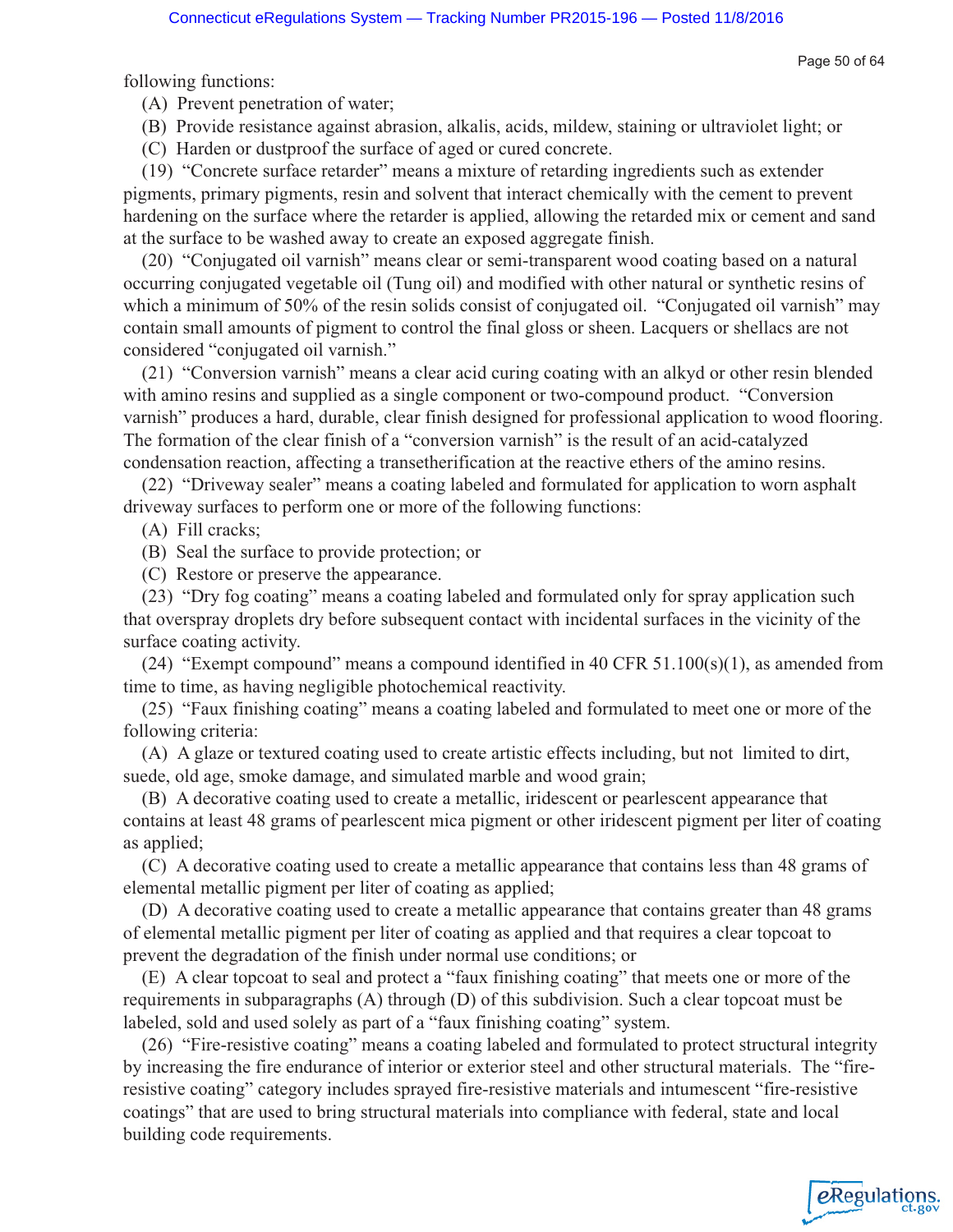Page 50 of 64

following functions:

(A) Prevent penetration of water;

(B) Provide resistance against abrasion, alkalis, acids, mildew, staining or ultraviolet light; or

(C) Harden or dustproof the surface of aged or cured concrete.

(19) "Concrete surface retarder" means a mixture of retarding ingredients such as extender pigments, primary pigments, resin and solvent that interact chemically with the cement to prevent hardening on the surface where the retarder is applied, allowing the retarded mix or cement and sand at the surface to be washed away to create an exposed aggregate finish.

(20) "Conjugated oil varnish" means clear or semi-transparent wood coating based on a natural occurring conjugated vegetable oil (Tung oil) and modified with other natural or synthetic resins of which a minimum of 50% of the resin solids consist of conjugated oil. "Conjugated oil varnish" may contain small amounts of pigment to control the final gloss or sheen. Lacquers or shellacs are not considered "conjugated oil varnish."

(21) "Conversion varnish" means a clear acid curing coating with an alkyd or other resin blended with amino resins and supplied as a single component or two-compound product. "Conversion varnish" produces a hard, durable, clear finish designed for professional application to wood flooring. The formation of the clear finish of a "conversion varnish" is the result of an acid-catalyzed condensation reaction, affecting a transetherification at the reactive ethers of the amino resins.

(22) "Driveway sealer" means a coating labeled and formulated for application to worn asphalt driveway surfaces to perform one or more of the following functions:

(A) Fill cracks;

(B) Seal the surface to provide protection; or

(C) Restore or preserve the appearance.

(23) "Dry fog coating" means a coating labeled and formulated only for spray application such that overspray droplets dry before subsequent contact with incidental surfaces in the vicinity of the surface coating activity.

(24) "Exempt compound" means a compound identified in 40 CFR  $51.100(s)(1)$ , as amended from time to time, as having negligible photochemical reactivity.

(25) "Faux finishing coating" means a coating labeled and formulated to meet one or more of the following criteria:

(A) A glaze or textured coating used to create artistic effects including, but not limited to dirt, suede, old age, smoke damage, and simulated marble and wood grain;

(B) A decorative coating used to create a metallic, iridescent or pearlescent appearance that contains at least 48 grams of pearlescent mica pigment or other iridescent pigment per liter of coating as applied;

(C) A decorative coating used to create a metallic appearance that contains less than 48 grams of elemental metallic pigment per liter of coating as applied;

(D) A decorative coating used to create a metallic appearance that contains greater than 48 grams of elemental metallic pigment per liter of coating as applied and that requires a clear topcoat to prevent the degradation of the finish under normal use conditions; or

(E) A clear topcoat to seal and protect a "faux finishing coating" that meets one or more of the requirements in subparagraphs (A) through (D) of this subdivision. Such a clear topcoat must be labeled, sold and used solely as part of a "faux finishing coating" system.

(26) "Fire-resistive coating" means a coating labeled and formulated to protect structural integrity by increasing the fire endurance of interior or exterior steel and other structural materials. The "fireresistive coating" category includes sprayed fire-resistive materials and intumescent "fire-resistive coatings" that are used to bring structural materials into compliance with federal, state and local building code requirements.

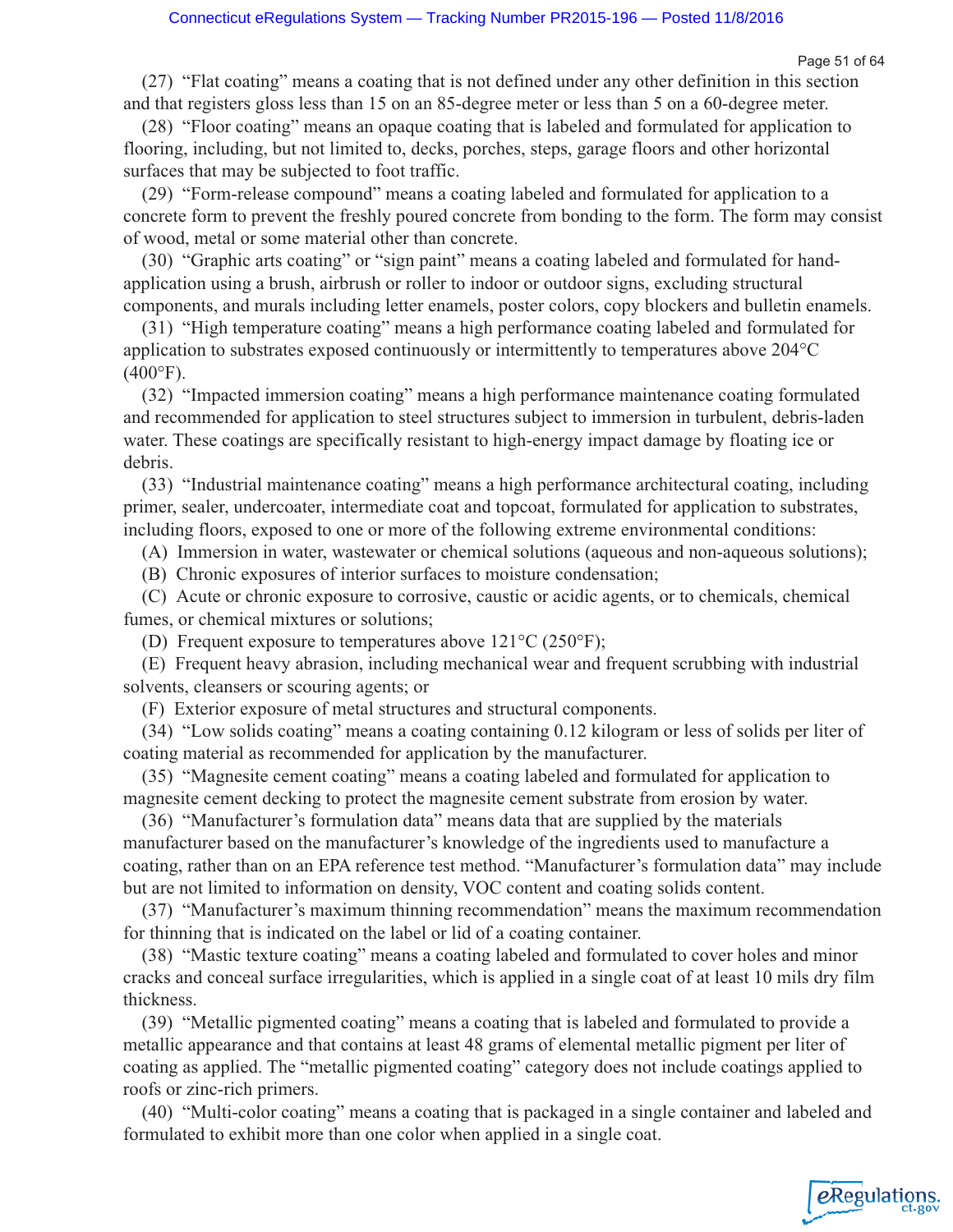eRegulations

(27) "Flat coating" means a coating that is not defined under any other definition in this section and that registers gloss less than 15 on an 85-degree meter or less than 5 on a 60-degree meter.

(28) "Floor coating" means an opaque coating that is labeled and formulated for application to flooring, including, but not limited to, decks, porches, steps, garage floors and other horizontal surfaces that may be subjected to foot traffic.

(29) "Form-release compound" means a coating labeled and formulated for application to a concrete form to prevent the freshly poured concrete from bonding to the form. The form may consist of wood, metal or some material other than concrete.

(30) "Graphic arts coating" or "sign paint" means a coating labeled and formulated for handapplication using a brush, airbrush or roller to indoor or outdoor signs, excluding structural components, and murals including letter enamels, poster colors, copy blockers and bulletin enamels.

(31) "High temperature coating" means a high performance coating labeled and formulated for application to substrates exposed continuously or intermittently to temperatures above 204°C  $(400^{\circ}F).$ 

(32) "Impacted immersion coating" means a high performance maintenance coating formulated and recommended for application to steel structures subject to immersion in turbulent, debris-laden water. These coatings are specifically resistant to high-energy impact damage by floating ice or debris.

(33) "Industrial maintenance coating" means a high performance architectural coating, including primer, sealer, undercoater, intermediate coat and topcoat, formulated for application to substrates, including floors, exposed to one or more of the following extreme environmental conditions:

(A) Immersion in water, wastewater or chemical solutions (aqueous and non-aqueous solutions);

(B) Chronic exposures of interior surfaces to moisture condensation;

(C) Acute or chronic exposure to corrosive, caustic or acidic agents, or to chemicals, chemical fumes, or chemical mixtures or solutions;

(D) Frequent exposure to temperatures above 121°C (250°F);

(E) Frequent heavy abrasion, including mechanical wear and frequent scrubbing with industrial solvents, cleansers or scouring agents; or

(F) Exterior exposure of metal structures and structural components.

(34) "Low solids coating" means a coating containing 0.12 kilogram or less of solids per liter of coating material as recommended for application by the manufacturer.

(35) "Magnesite cement coating" means a coating labeled and formulated for application to magnesite cement decking to protect the magnesite cement substrate from erosion by water.

(36) "Manufacturer's formulation data" means data that are supplied by the materials manufacturer based on the manufacturer's knowledge of the ingredients used to manufacture a coating, rather than on an EPA reference test method. "Manufacturer's formulation data" may include but are not limited to information on density, VOC content and coating solids content.

(37) "Manufacturer's maximum thinning recommendation" means the maximum recommendation for thinning that is indicated on the label or lid of a coating container.

(38) "Mastic texture coating" means a coating labeled and formulated to cover holes and minor cracks and conceal surface irregularities, which is applied in a single coat of at least 10 mils dry film thickness.

(39) "Metallic pigmented coating" means a coating that is labeled and formulated to provide a metallic appearance and that contains at least 48 grams of elemental metallic pigment per liter of coating as applied. The "metallic pigmented coating" category does not include coatings applied to roofs or zinc-rich primers.

(40) "Multi-color coating" means a coating that is packaged in a single container and labeled and formulated to exhibit more than one color when applied in a single coat.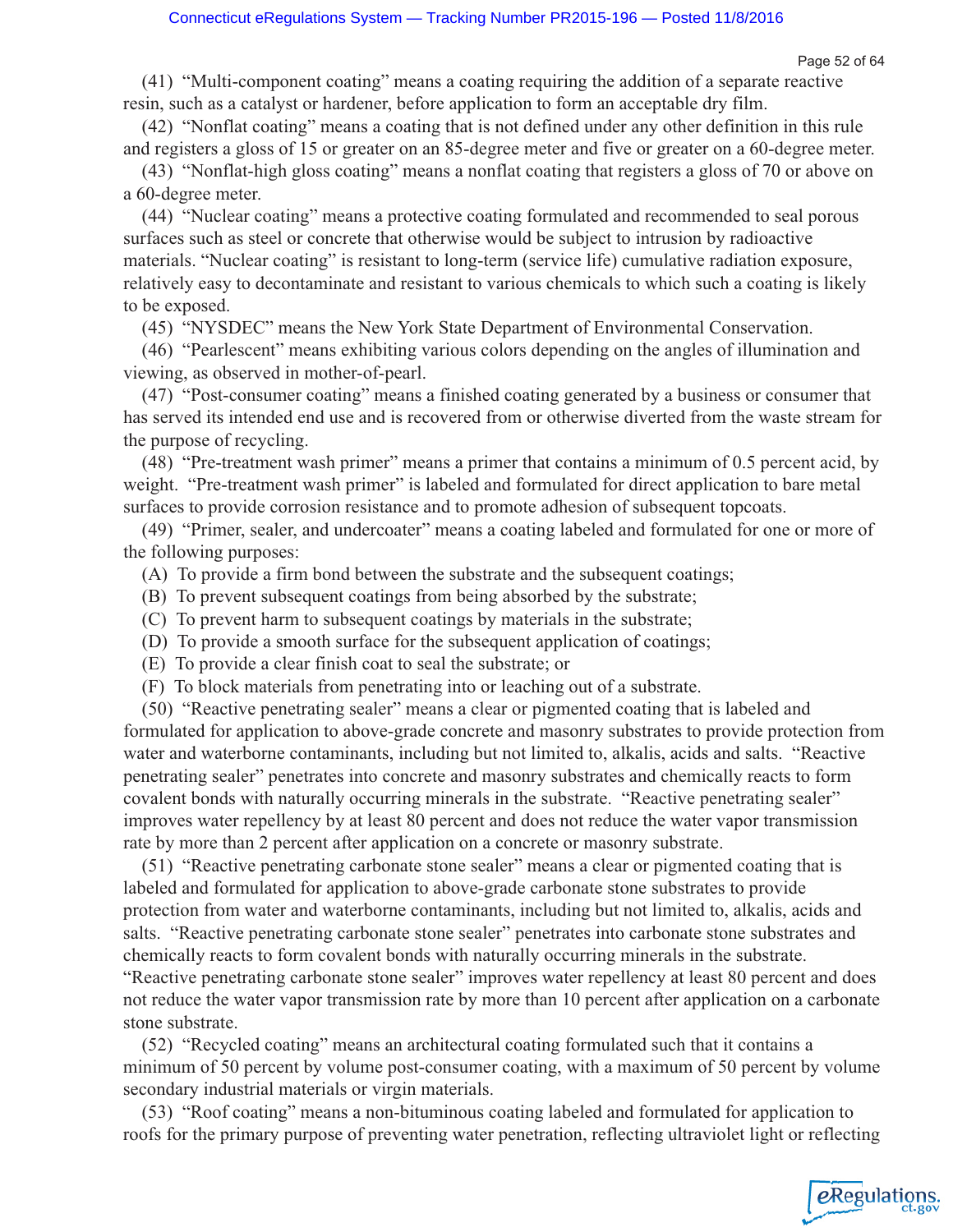eRegulations

(41) "Multi-component coating" means a coating requiring the addition of a separate reactive resin, such as a catalyst or hardener, before application to form an acceptable dry film.

(42) "Nonflat coating" means a coating that is not defined under any other definition in this rule and registers a gloss of 15 or greater on an 85-degree meter and five or greater on a 60-degree meter.

(43) "Nonflat-high gloss coating" means a nonflat coating that registers a gloss of 70 or above on a 60-degree meter.

(44) "Nuclear coating" means a protective coating formulated and recommended to seal porous surfaces such as steel or concrete that otherwise would be subject to intrusion by radioactive materials. "Nuclear coating" is resistant to long-term (service life) cumulative radiation exposure, relatively easy to decontaminate and resistant to various chemicals to which such a coating is likely to be exposed.

(45) "NYSDEC" means the New York State Department of Environmental Conservation.

(46) "Pearlescent" means exhibiting various colors depending on the angles of illumination and viewing, as observed in mother-of-pearl.

(47) "Post-consumer coating" means a finished coating generated by a business or consumer that has served its intended end use and is recovered from or otherwise diverted from the waste stream for the purpose of recycling.

(48) "Pre-treatment wash primer" means a primer that contains a minimum of 0.5 percent acid, by weight. "Pre-treatment wash primer" is labeled and formulated for direct application to bare metal surfaces to provide corrosion resistance and to promote adhesion of subsequent topcoats.

(49) "Primer, sealer, and undercoater" means a coating labeled and formulated for one or more of the following purposes:

(A) To provide a firm bond between the substrate and the subsequent coatings;

(B) To prevent subsequent coatings from being absorbed by the substrate;

(C) To prevent harm to subsequent coatings by materials in the substrate;

- (D) To provide a smooth surface for the subsequent application of coatings;
- (E) To provide a clear finish coat to seal the substrate; or
- (F) To block materials from penetrating into or leaching out of a substrate.

(50) "Reactive penetrating sealer" means a clear or pigmented coating that is labeled and formulated for application to above-grade concrete and masonry substrates to provide protection from water and waterborne contaminants, including but not limited to, alkalis, acids and salts. "Reactive penetrating sealer" penetrates into concrete and masonry substrates and chemically reacts to form covalent bonds with naturally occurring minerals in the substrate. "Reactive penetrating sealer" improves water repellency by at least 80 percent and does not reduce the water vapor transmission rate by more than 2 percent after application on a concrete or masonry substrate.

(51) "Reactive penetrating carbonate stone sealer" means a clear or pigmented coating that is labeled and formulated for application to above-grade carbonate stone substrates to provide protection from water and waterborne contaminants, including but not limited to, alkalis, acids and salts. "Reactive penetrating carbonate stone sealer" penetrates into carbonate stone substrates and chemically reacts to form covalent bonds with naturally occurring minerals in the substrate.

"Reactive penetrating carbonate stone sealer" improves water repellency at least 80 percent and does not reduce the water vapor transmission rate by more than 10 percent after application on a carbonate stone substrate.

(52) "Recycled coating" means an architectural coating formulated such that it contains a minimum of 50 percent by volume post-consumer coating, with a maximum of 50 percent by volume secondary industrial materials or virgin materials.

(53) "Roof coating" means a non-bituminous coating labeled and formulated for application to roofs for the primary purpose of preventing water penetration, reflecting ultraviolet light or reflecting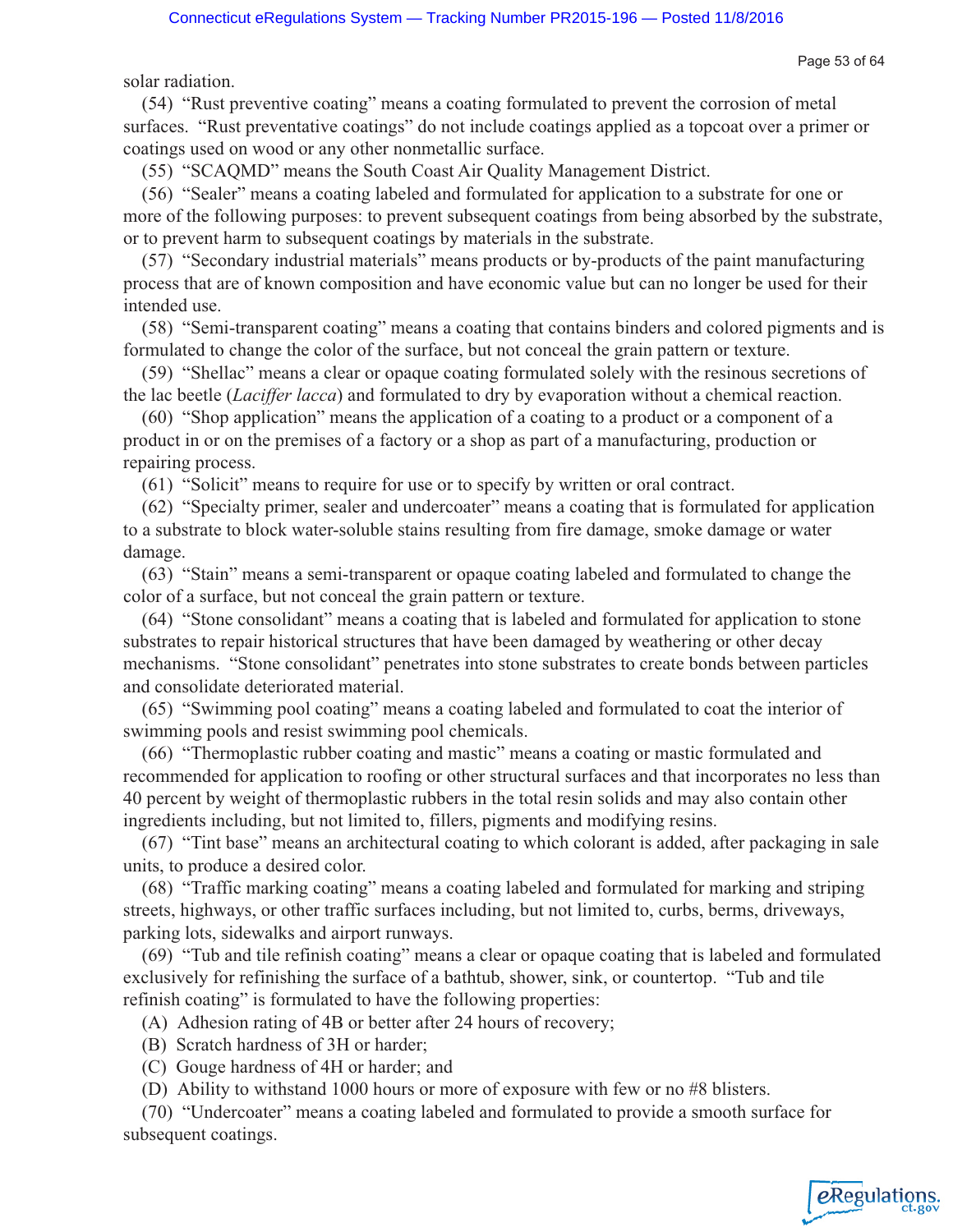solar radiation.

(54) "Rust preventive coating" means a coating formulated to prevent the corrosion of metal surfaces. "Rust preventative coatings" do not include coatings applied as a topcoat over a primer or coatings used on wood or any other nonmetallic surface.

(55) "SCAQMD" means the South Coast Air Quality Management District.

(56) "Sealer" means a coating labeled and formulated for application to a substrate for one or more of the following purposes: to prevent subsequent coatings from being absorbed by the substrate, or to prevent harm to subsequent coatings by materials in the substrate.

(57) "Secondary industrial materials" means products or by-products of the paint manufacturing process that are of known composition and have economic value but can no longer be used for their intended use.

(58) "Semi-transparent coating" means a coating that contains binders and colored pigments and is formulated to change the color of the surface, but not conceal the grain pattern or texture.

(59) "Shellac" means a clear or opaque coating formulated solely with the resinous secretions of the lac beetle (*Laciffer lacca*) and formulated to dry by evaporation without a chemical reaction.

(60) "Shop application" means the application of a coating to a product or a component of a product in or on the premises of a factory or a shop as part of a manufacturing, production or repairing process.

(61) "Solicit" means to require for use or to specify by written or oral contract.

(62) "Specialty primer, sealer and undercoater" means a coating that is formulated for application to a substrate to block water-soluble stains resulting from fire damage, smoke damage or water damage.

(63) "Stain" means a semi-transparent or opaque coating labeled and formulated to change the color of a surface, but not conceal the grain pattern or texture.

(64) "Stone consolidant" means a coating that is labeled and formulated for application to stone substrates to repair historical structures that have been damaged by weathering or other decay mechanisms. "Stone consolidant" penetrates into stone substrates to create bonds between particles and consolidate deteriorated material.

(65) "Swimming pool coating" means a coating labeled and formulated to coat the interior of swimming pools and resist swimming pool chemicals.

(66) "Thermoplastic rubber coating and mastic" means a coating or mastic formulated and recommended for application to roofing or other structural surfaces and that incorporates no less than 40 percent by weight of thermoplastic rubbers in the total resin solids and may also contain other ingredients including, but not limited to, fillers, pigments and modifying resins.

(67) "Tint base" means an architectural coating to which colorant is added, after packaging in sale units, to produce a desired color.

(68) "Traffic marking coating" means a coating labeled and formulated for marking and striping streets, highways, or other traffic surfaces including, but not limited to, curbs, berms, driveways, parking lots, sidewalks and airport runways.

(69) "Tub and tile refinish coating" means a clear or opaque coating that is labeled and formulated exclusively for refinishing the surface of a bathtub, shower, sink, or countertop. "Tub and tile refinish coating" is formulated to have the following properties:

(A) Adhesion rating of 4B or better after 24 hours of recovery;

- (B) Scratch hardness of 3H or harder;
- (C) Gouge hardness of 4H or harder; and
- (D) Ability to withstand 1000 hours or more of exposure with few or no #8 blisters.

(70) "Undercoater" means a coating labeled and formulated to provide a smooth surface for subsequent coatings.



Page 53 of 64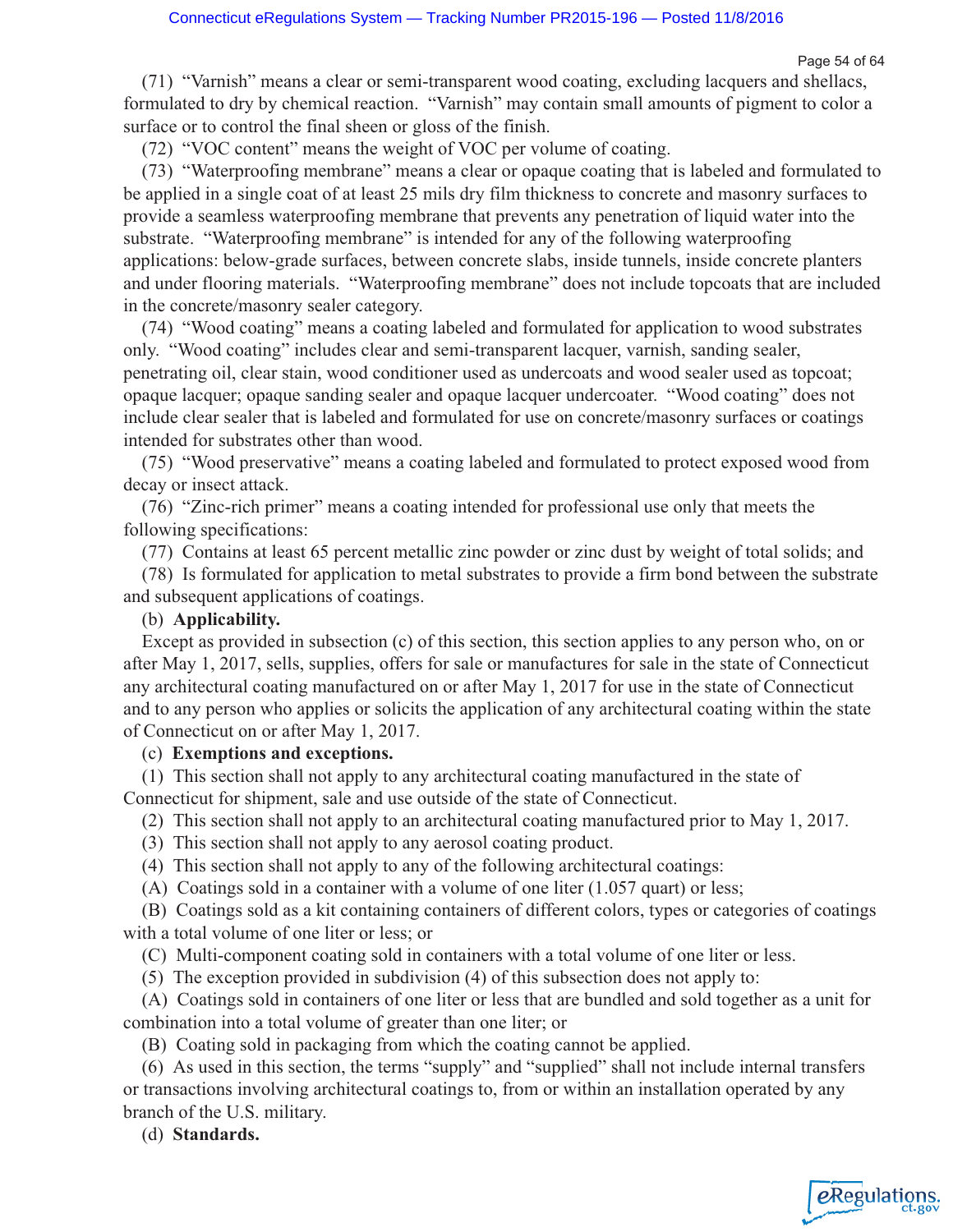(71) "Varnish" means a clear or semi-transparent wood coating, excluding lacquers and shellacs, formulated to dry by chemical reaction. "Varnish" may contain small amounts of pigment to color a surface or to control the final sheen or gloss of the finish.

(72) "VOC content" means the weight of VOC per volume of coating.

(73) "Waterproofing membrane" means a clear or opaque coating that is labeled and formulated to be applied in a single coat of at least 25 mils dry film thickness to concrete and masonry surfaces to provide a seamless waterproofing membrane that prevents any penetration of liquid water into the substrate. "Waterproofing membrane" is intended for any of the following waterproofing applications: below-grade surfaces, between concrete slabs, inside tunnels, inside concrete planters and under flooring materials. "Waterproofing membrane" does not include topcoats that are included in the concrete/masonry sealer category.

(74) "Wood coating" means a coating labeled and formulated for application to wood substrates only. "Wood coating" includes clear and semi-transparent lacquer, varnish, sanding sealer, penetrating oil, clear stain, wood conditioner used as undercoats and wood sealer used as topcoat; opaque lacquer; opaque sanding sealer and opaque lacquer undercoater. "Wood coating" does not include clear sealer that is labeled and formulated for use on concrete/masonry surfaces or coatings intended for substrates other than wood.

(75) "Wood preservative" means a coating labeled and formulated to protect exposed wood from decay or insect attack.

(76) "Zinc-rich primer" means a coating intended for professional use only that meets the following specifications:

(77) Contains at least 65 percent metallic zinc powder or zinc dust by weight of total solids; and

(78) Is formulated for application to metal substrates to provide a firm bond between the substrate and subsequent applications of coatings.

## (b) **Applicability.**

Except as provided in subsection (c) of this section, this section applies to any person who, on or after May 1, 2017, sells, supplies, offers for sale or manufactures for sale in the state of Connecticut any architectural coating manufactured on or after May 1, 2017 for use in the state of Connecticut and to any person who applies or solicits the application of any architectural coating within the state of Connecticut on or after May 1, 2017.

## (c) **Exemptions and exceptions.**

(1) This section shall not apply to any architectural coating manufactured in the state of Connecticut for shipment, sale and use outside of the state of Connecticut.

- (2) This section shall not apply to an architectural coating manufactured prior to May 1, 2017.
- (3) This section shall not apply to any aerosol coating product.
- (4) This section shall not apply to any of the following architectural coatings:
- (A) Coatings sold in a container with a volume of one liter (1.057 quart) or less;

(B) Coatings sold as a kit containing containers of different colors, types or categories of coatings with a total volume of one liter or less; or

(C) Multi-component coating sold in containers with a total volume of one liter or less.

(5) The exception provided in subdivision (4) of this subsection does not apply to:

(A) Coatings sold in containers of one liter or less that are bundled and sold together as a unit for combination into a total volume of greater than one liter; or

(B) Coating sold in packaging from which the coating cannot be applied.

(6) As used in this section, the terms "supply" and "supplied" shall not include internal transfers or transactions involving architectural coatings to, from or within an installation operated by any branch of the U.S. military.

(d) **Standards.**

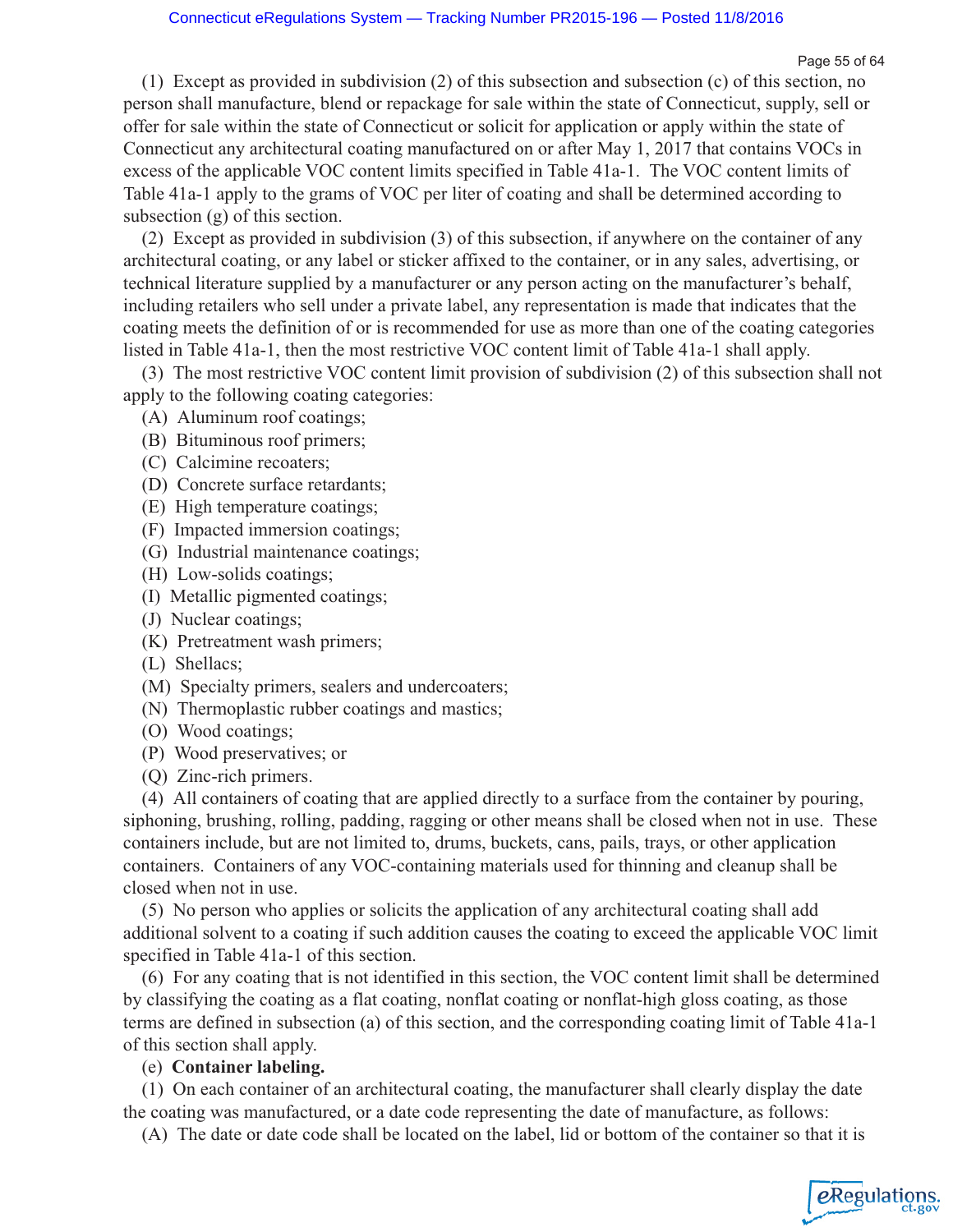Page 55 of 64

eRegulations

(1) Except as provided in subdivision (2) of this subsection and subsection (c) of this section, no person shall manufacture, blend or repackage for sale within the state of Connecticut, supply, sell or offer for sale within the state of Connecticut or solicit for application or apply within the state of Connecticut any architectural coating manufactured on or after May 1, 2017 that contains VOCs in excess of the applicable VOC content limits specified in Table 41a-1. The VOC content limits of Table 41a-1 apply to the grams of VOC per liter of coating and shall be determined according to subsection (g) of this section.

(2) Except as provided in subdivision (3) of this subsection, if anywhere on the container of any architectural coating, or any label or sticker affixed to the container, or in any sales, advertising, or technical literature supplied by a manufacturer or any person acting on the manufacturer's behalf, including retailers who sell under a private label, any representation is made that indicates that the coating meets the definition of or is recommended for use as more than one of the coating categories listed in Table 41a-1, then the most restrictive VOC content limit of Table 41a-1 shall apply.

(3) The most restrictive VOC content limit provision of subdivision (2) of this subsection shall not apply to the following coating categories:

- (A) Aluminum roof coatings;
- (B) Bituminous roof primers;
- (C) Calcimine recoaters;
- (D) Concrete surface retardants;
- (E) High temperature coatings;
- (F) Impacted immersion coatings;
- (G) Industrial maintenance coatings;
- (H) Low-solids coatings;
- (I) Metallic pigmented coatings;
- (J) Nuclear coatings;
- (K) Pretreatment wash primers;
- (L) Shellacs;
- (M) Specialty primers, sealers and undercoaters;
- (N) Thermoplastic rubber coatings and mastics;
- (O) Wood coatings;
- (P) Wood preservatives; or
- (Q) Zinc-rich primers.

(4) All containers of coating that are applied directly to a surface from the container by pouring, siphoning, brushing, rolling, padding, ragging or other means shall be closed when not in use. These containers include, but are not limited to, drums, buckets, cans, pails, trays, or other application containers. Containers of any VOC-containing materials used for thinning and cleanup shall be closed when not in use.

(5) No person who applies or solicits the application of any architectural coating shall add additional solvent to a coating if such addition causes the coating to exceed the applicable VOC limit specified in Table 41a-1 of this section.

(6) For any coating that is not identified in this section, the VOC content limit shall be determined by classifying the coating as a flat coating, nonflat coating or nonflat-high gloss coating, as those terms are defined in subsection (a) of this section, and the corresponding coating limit of Table 41a-1 of this section shall apply.

(e) **Container labeling.**

(1) On each container of an architectural coating, the manufacturer shall clearly display the date the coating was manufactured, or a date code representing the date of manufacture, as follows:

(A) The date or date code shall be located on the label, lid or bottom of the container so that it is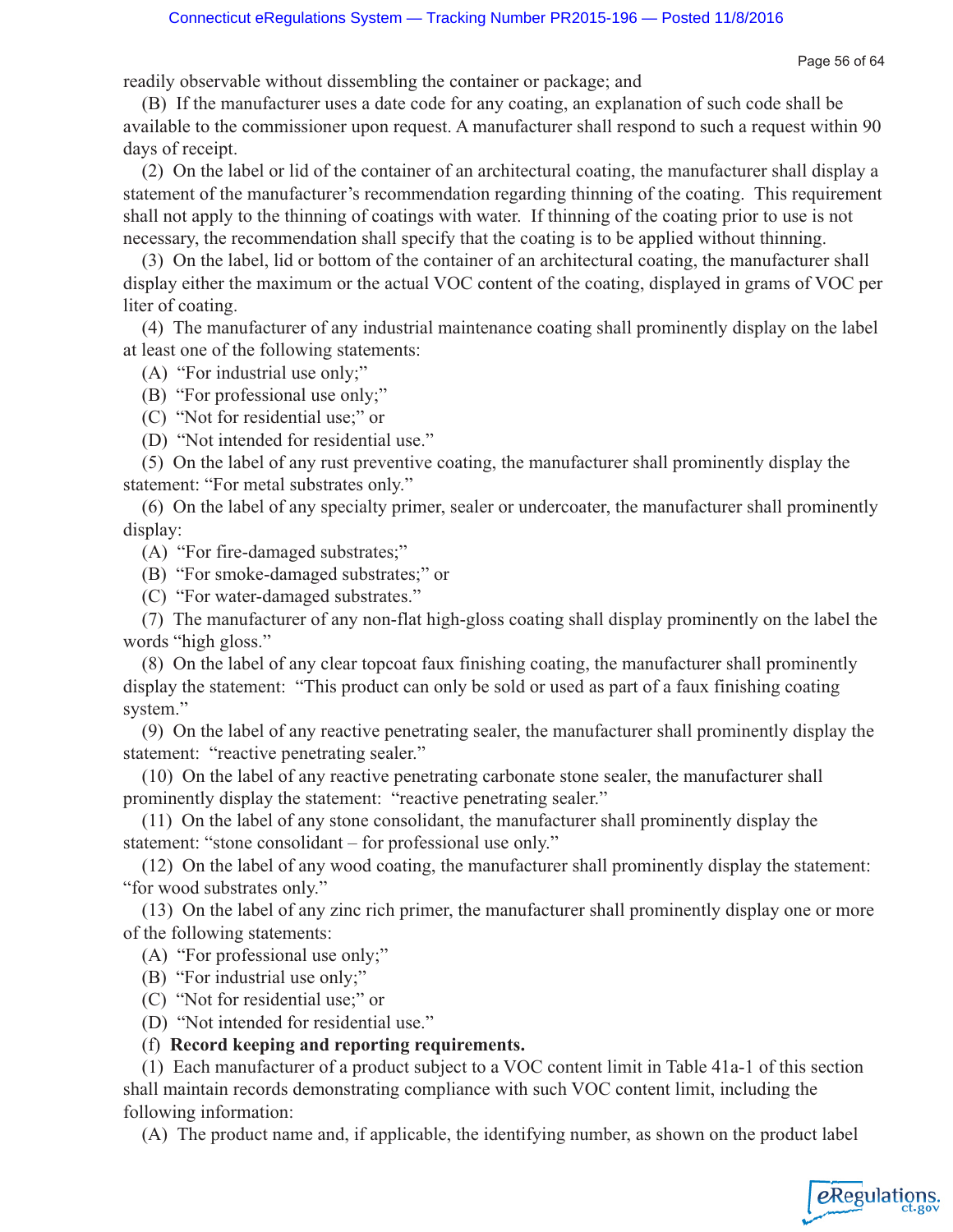Page 56 of 64

readily observable without dissembling the container or package; and

(B) If the manufacturer uses a date code for any coating, an explanation of such code shall be available to the commissioner upon request. A manufacturer shall respond to such a request within 90 days of receipt.

(2) On the label or lid of the container of an architectural coating, the manufacturer shall display a statement of the manufacturer's recommendation regarding thinning of the coating. This requirement shall not apply to the thinning of coatings with water. If thinning of the coating prior to use is not necessary, the recommendation shall specify that the coating is to be applied without thinning.

(3) On the label, lid or bottom of the container of an architectural coating, the manufacturer shall display either the maximum or the actual VOC content of the coating, displayed in grams of VOC per liter of coating.

(4) The manufacturer of any industrial maintenance coating shall prominently display on the label at least one of the following statements:

(A) "For industrial use only;"

(B) "For professional use only;"

(C) "Not for residential use;" or

(D) "Not intended for residential use."

(5) On the label of any rust preventive coating, the manufacturer shall prominently display the statement: "For metal substrates only."

(6) On the label of any specialty primer, sealer or undercoater, the manufacturer shall prominently display:

(A) "For fire-damaged substrates;"

(B) "For smoke-damaged substrates;" or

(C) "For water-damaged substrates."

(7) The manufacturer of any non-flat high-gloss coating shall display prominently on the label the words "high gloss."

(8) On the label of any clear topcoat faux finishing coating, the manufacturer shall prominently display the statement: "This product can only be sold or used as part of a faux finishing coating system."

(9) On the label of any reactive penetrating sealer, the manufacturer shall prominently display the statement: "reactive penetrating sealer."

(10) On the label of any reactive penetrating carbonate stone sealer, the manufacturer shall prominently display the statement: "reactive penetrating sealer."

(11) On the label of any stone consolidant, the manufacturer shall prominently display the statement: "stone consolidant – for professional use only."

(12) On the label of any wood coating, the manufacturer shall prominently display the statement: "for wood substrates only."

(13) On the label of any zinc rich primer, the manufacturer shall prominently display one or more of the following statements:

(A) "For professional use only;"

(B) "For industrial use only;"

(C) "Not for residential use;" or

(D) "Not intended for residential use."

## (f) **Record keeping and reporting requirements.**

(1) Each manufacturer of a product subject to a VOC content limit in Table 41a-1 of this section shall maintain records demonstrating compliance with such VOC content limit, including the following information:

(A) The product name and, if applicable, the identifying number, as shown on the product label

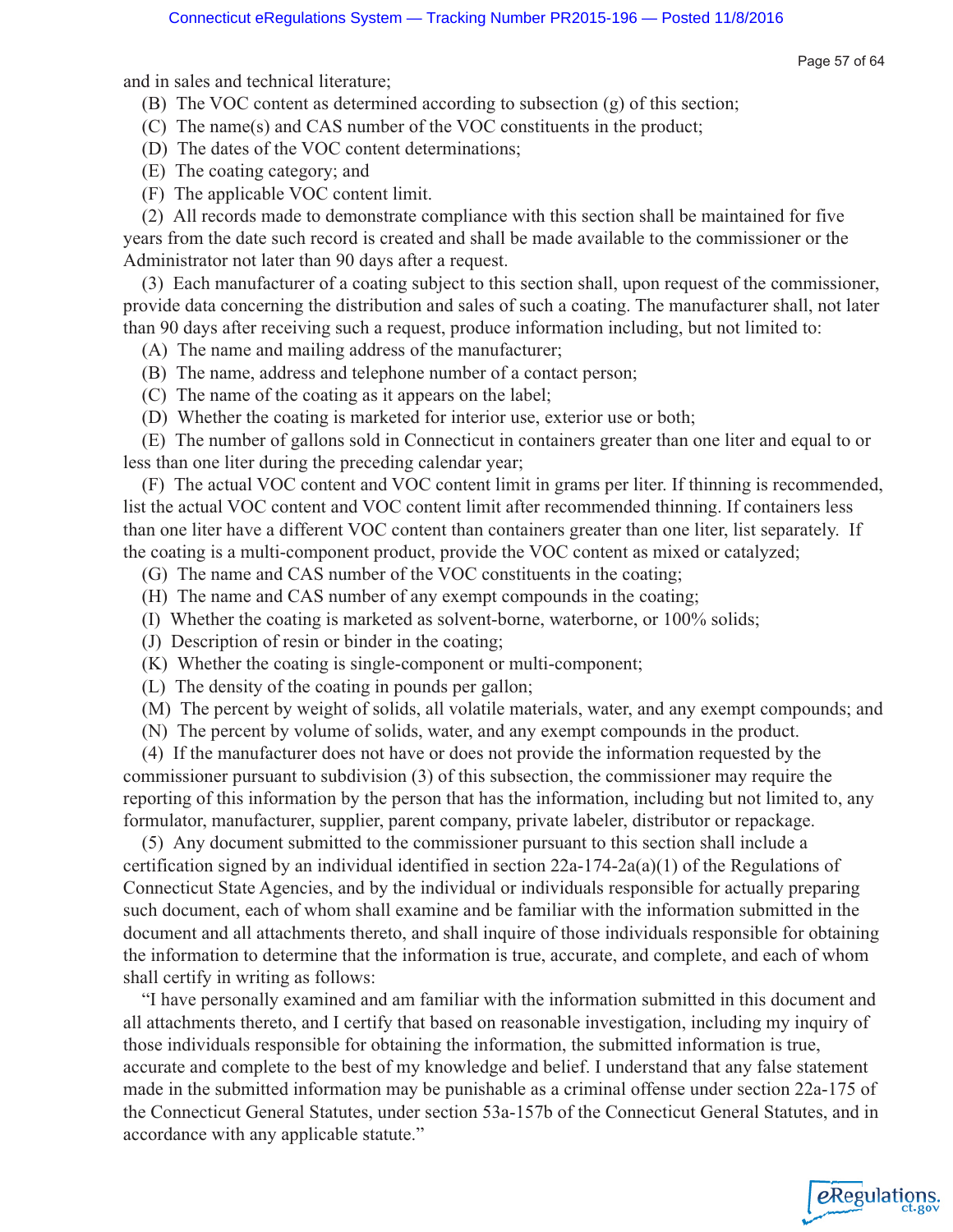and in sales and technical literature;

Page 57 of 64

eRegulations

- (B) The VOC content as determined according to subsection (g) of this section;
- (C) The name(s) and CAS number of the VOC constituents in the product;
- (D) The dates of the VOC content determinations;
- (E) The coating category; and
- (F) The applicable VOC content limit.

(2) All records made to demonstrate compliance with this section shall be maintained for five years from the date such record is created and shall be made available to the commissioner or the Administrator not later than 90 days after a request.

(3) Each manufacturer of a coating subject to this section shall, upon request of the commissioner, provide data concerning the distribution and sales of such a coating. The manufacturer shall, not later than 90 days after receiving such a request, produce information including, but not limited to:

- (A) The name and mailing address of the manufacturer;
- (B) The name, address and telephone number of a contact person;
- (C) The name of the coating as it appears on the label;
- (D) Whether the coating is marketed for interior use, exterior use or both;

(E) The number of gallons sold in Connecticut in containers greater than one liter and equal to or less than one liter during the preceding calendar year;

(F) The actual VOC content and VOC content limit in grams per liter. If thinning is recommended, list the actual VOC content and VOC content limit after recommended thinning. If containers less than one liter have a different VOC content than containers greater than one liter, list separately. If the coating is a multi-component product, provide the VOC content as mixed or catalyzed;

- (G) The name and CAS number of the VOC constituents in the coating;
- (H) The name and CAS number of any exempt compounds in the coating;
- (I) Whether the coating is marketed as solvent-borne, waterborne, or 100% solids;
- (J) Description of resin or binder in the coating;
- (K) Whether the coating is single-component or multi-component;
- (L) The density of the coating in pounds per gallon;
- (M) The percent by weight of solids, all volatile materials, water, and any exempt compounds; and
- (N) The percent by volume of solids, water, and any exempt compounds in the product.

(4) If the manufacturer does not have or does not provide the information requested by the commissioner pursuant to subdivision (3) of this subsection, the commissioner may require the reporting of this information by the person that has the information, including but not limited to, any formulator, manufacturer, supplier, parent company, private labeler, distributor or repackage.

(5) Any document submitted to the commissioner pursuant to this section shall include a certification signed by an individual identified in section  $22a-174-2a(a)(1)$  of the Regulations of Connecticut State Agencies, and by the individual or individuals responsible for actually preparing such document, each of whom shall examine and be familiar with the information submitted in the document and all attachments thereto, and shall inquire of those individuals responsible for obtaining the information to determine that the information is true, accurate, and complete, and each of whom shall certify in writing as follows:

"I have personally examined and am familiar with the information submitted in this document and all attachments thereto, and I certify that based on reasonable investigation, including my inquiry of those individuals responsible for obtaining the information, the submitted information is true, accurate and complete to the best of my knowledge and belief. I understand that any false statement made in the submitted information may be punishable as a criminal offense under section 22a-175 of the Connecticut General Statutes, under section 53a-157b of the Connecticut General Statutes, and in accordance with any applicable statute."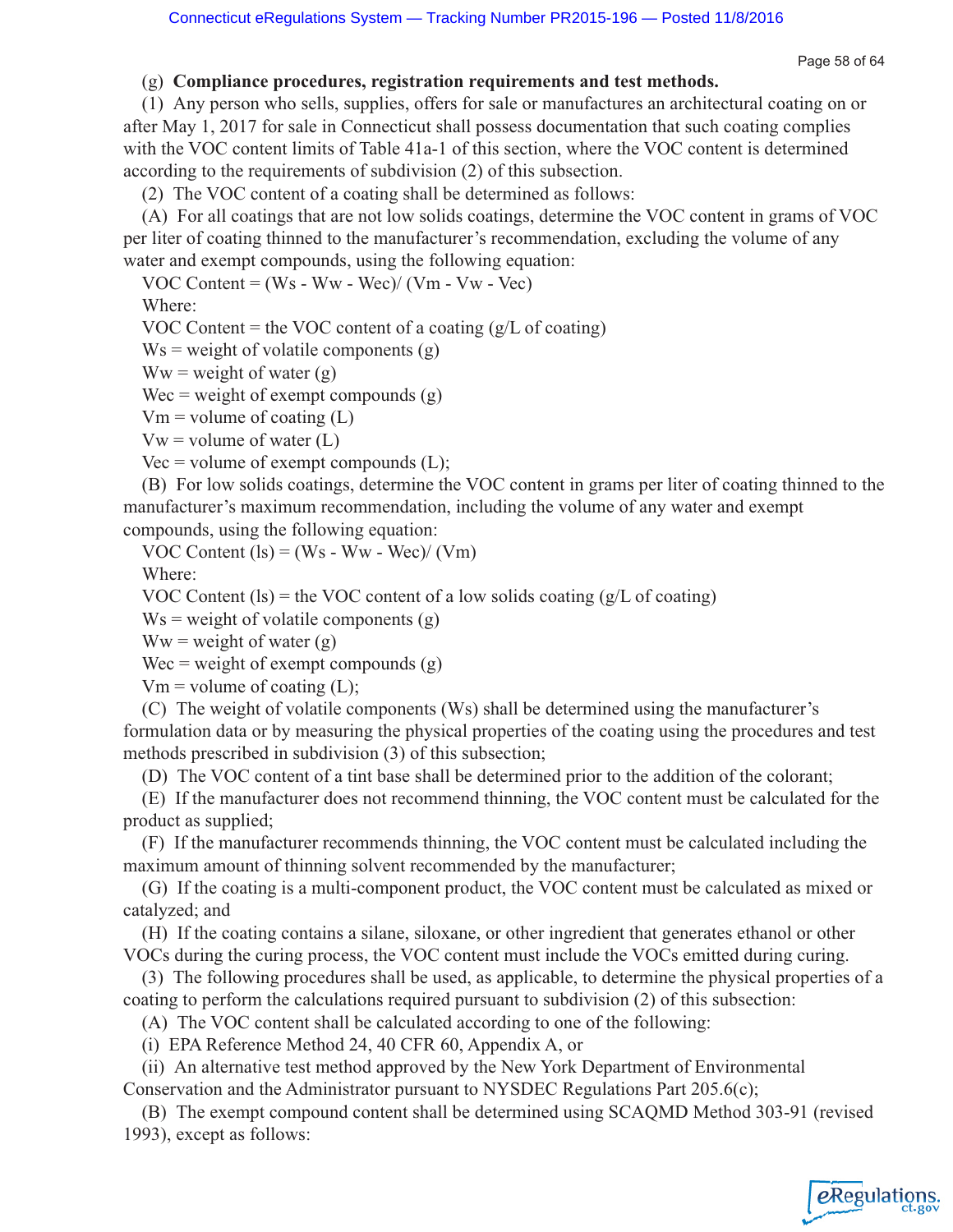## (g) **Compliance procedures, registration requirements and test methods.**

(1) Any person who sells, supplies, offers for sale or manufactures an architectural coating on or after May 1, 2017 for sale in Connecticut shall possess documentation that such coating complies with the VOC content limits of Table 41a-1 of this section, where the VOC content is determined according to the requirements of subdivision (2) of this subsection.

(2) The VOC content of a coating shall be determined as follows:

(A) For all coatings that are not low solids coatings, determine the VOC content in grams of VOC per liter of coating thinned to the manufacturer's recommendation, excluding the volume of any water and exempt compounds, using the following equation:

VOC Content =  $(Ws - Ww - Wec) / (Vm - Vw - Vec)$ 

Where:

VOC Content = the VOC content of a coating  $(g/L)$  of coating)

 $Ws$  = weight of volatile components (g)

 $Ww = weight of water(g)$ 

Wec = weight of exempt compounds  $(g)$ 

 $Vm = volume$  of coating (L)

 $Vw = volume of water (L)$ 

Vec = volume of exempt compounds  $(L)$ ;

(B) For low solids coatings, determine the VOC content in grams per liter of coating thinned to the manufacturer's maximum recommendation, including the volume of any water and exempt compounds, using the following equation:

VOC Content  $(ls) = (Ws - Ww - Wec)/(Vm)$ 

Where:

VOC Content (ls) = the VOC content of a low solids coating  $(g/L \text{ of coating})$ 

 $Ws$  = weight of volatile components (g)

 $Ww = weight of water (g)$ 

 $Wec = weight of exempt compounds (g)$ 

 $Vm = volume$  of coating (L);

(C) The weight of volatile components (Ws) shall be determined using the manufacturer's formulation data or by measuring the physical properties of the coating using the procedures and test methods prescribed in subdivision (3) of this subsection;

(D) The VOC content of a tint base shall be determined prior to the addition of the colorant;

(E) If the manufacturer does not recommend thinning, the VOC content must be calculated for the product as supplied;

(F) If the manufacturer recommends thinning, the VOC content must be calculated including the maximum amount of thinning solvent recommended by the manufacturer;

(G) If the coating is a multi-component product, the VOC content must be calculated as mixed or catalyzed; and

(H) If the coating contains a silane, siloxane, or other ingredient that generates ethanol or other VOCs during the curing process, the VOC content must include the VOCs emitted during curing.

(3) The following procedures shall be used, as applicable, to determine the physical properties of a coating to perform the calculations required pursuant to subdivision (2) of this subsection:

(A) The VOC content shall be calculated according to one of the following:

(i) EPA Reference Method 24, 40 CFR 60, Appendix A, or

(ii) An alternative test method approved by the New York Department of Environmental Conservation and the Administrator pursuant to NYSDEC Regulations Part  $205.6(c)$ ;

(B) The exempt compound content shall be determined using SCAQMD Method 303-91 (revised 1993), except as follows:

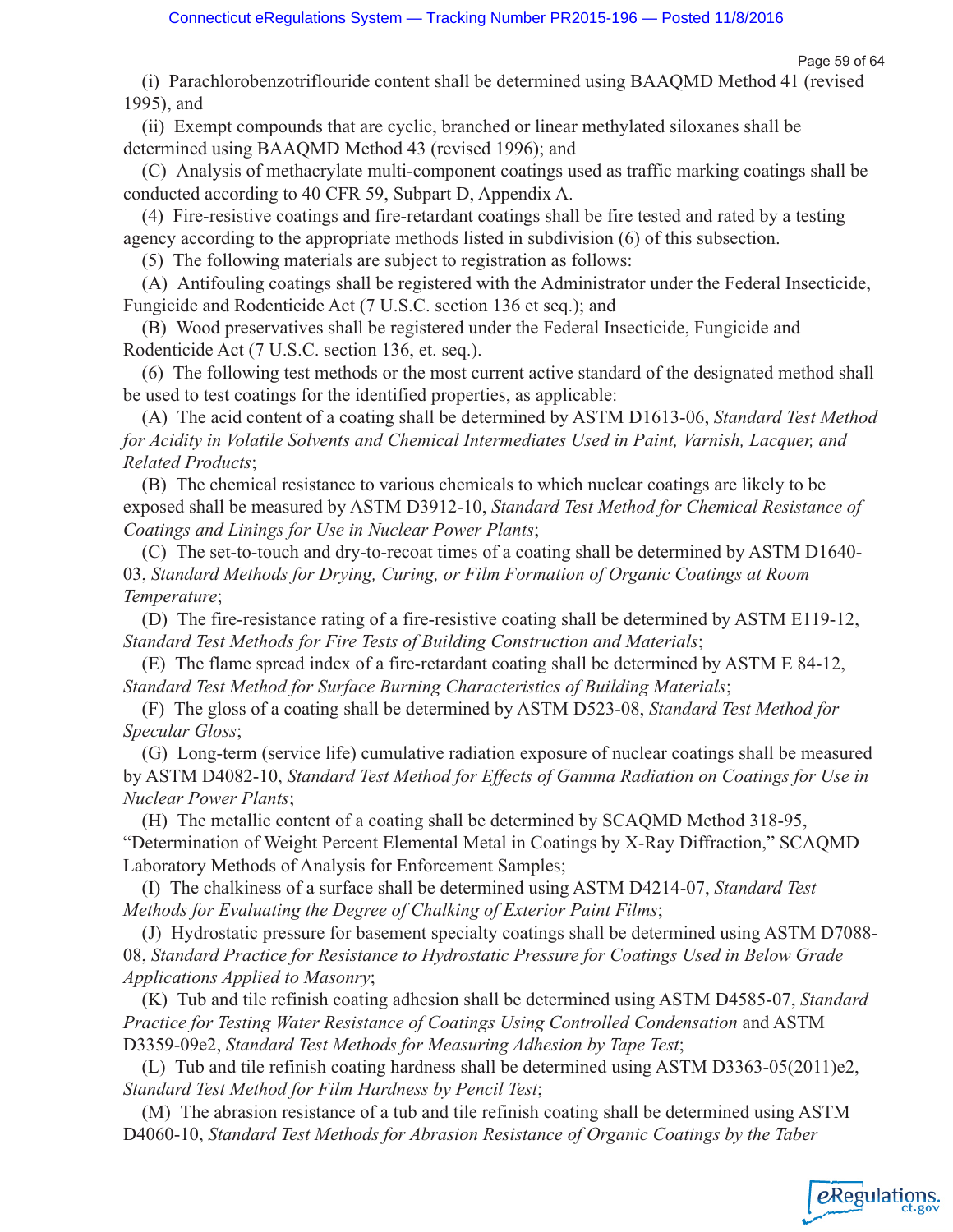(i) Parachlorobenzotriflouride content shall be determined using BAAQMD Method 41 (revised 1995), and

(ii) Exempt compounds that are cyclic, branched or linear methylated siloxanes shall be determined using BAAQMD Method 43 (revised 1996); and

(C) Analysis of methacrylate multi-component coatings used as traffic marking coatings shall be conducted according to 40 CFR 59, Subpart D, Appendix A.

(4) Fire-resistive coatings and fire-retardant coatings shall be fire tested and rated by a testing agency according to the appropriate methods listed in subdivision (6) of this subsection.

(5) The following materials are subject to registration as follows:

(A) Antifouling coatings shall be registered with the Administrator under the Federal Insecticide, Fungicide and Rodenticide Act (7 U.S.C. section 136 et seq.); and

(B) Wood preservatives shall be registered under the Federal Insecticide, Fungicide and Rodenticide Act (7 U.S.C. section 136, et. seq.).

(6) The following test methods or the most current active standard of the designated method shall be used to test coatings for the identified properties, as applicable:

(A) The acid content of a coating shall be determined by ASTM D1613-06, *Standard Test Method for Acidity in Volatile Solvents and Chemical Intermediates Used in Paint, Varnish, Lacquer, and Related Products*;

(B) The chemical resistance to various chemicals to which nuclear coatings are likely to be exposed shall be measured by ASTM D3912-10, *Standard Test Method for Chemical Resistance of Coatings and Linings for Use in Nuclear Power Plants*;

(C) The set-to-touch and dry-to-recoat times of a coating shall be determined by ASTM D1640- 03, *Standard Methods for Drying, Curing, or Film Formation of Organic Coatings at Room Temperature*;

(D) The fire-resistance rating of a fire-resistive coating shall be determined by ASTM E119-12, *Standard Test Methods for Fire Tests of Building Construction and Materials*;

(E) The flame spread index of a fire-retardant coating shall be determined by ASTM E 84-12, *Standard Test Method for Surface Burning Characteristics of Building Materials*;

(F) The gloss of a coating shall be determined by ASTM D523-08, *Standard Test Method for Specular Gloss*;

(G) Long-term (service life) cumulative radiation exposure of nuclear coatings shall be measured by ASTM D4082-10, *Standard Test Method for Effects of Gamma Radiation on Coatings for Use in Nuclear Power Plants*;

(H) The metallic content of a coating shall be determined by SCAQMD Method 318-95, "Determination of Weight Percent Elemental Metal in Coatings by X-Ray Diffraction," SCAQMD Laboratory Methods of Analysis for Enforcement Samples;

(I) The chalkiness of a surface shall be determined using ASTM D4214-07, *Standard Test Methods for Evaluating the Degree of Chalking of Exterior Paint Films*;

(J) Hydrostatic pressure for basement specialty coatings shall be determined using ASTM D7088- 08, *Standard Practice for Resistance to Hydrostatic Pressure for Coatings Used in Below Grade Applications Applied to Masonry*;

(K) Tub and tile refinish coating adhesion shall be determined using ASTM D4585-07, *Standard Practice for Testing Water Resistance of Coatings Using Controlled Condensation* and ASTM D3359-09e2, *Standard Test Methods for Measuring Adhesion by Tape Test*;

(L) Tub and tile refinish coating hardness shall be determined using ASTM D3363-05(2011)e2, *Standard Test Method for Film Hardness by Pencil Test*;

(M) The abrasion resistance of a tub and tile refinish coating shall be determined using ASTM D4060-10, *Standard Test Methods for Abrasion Resistance of Organic Coatings by the Taber*

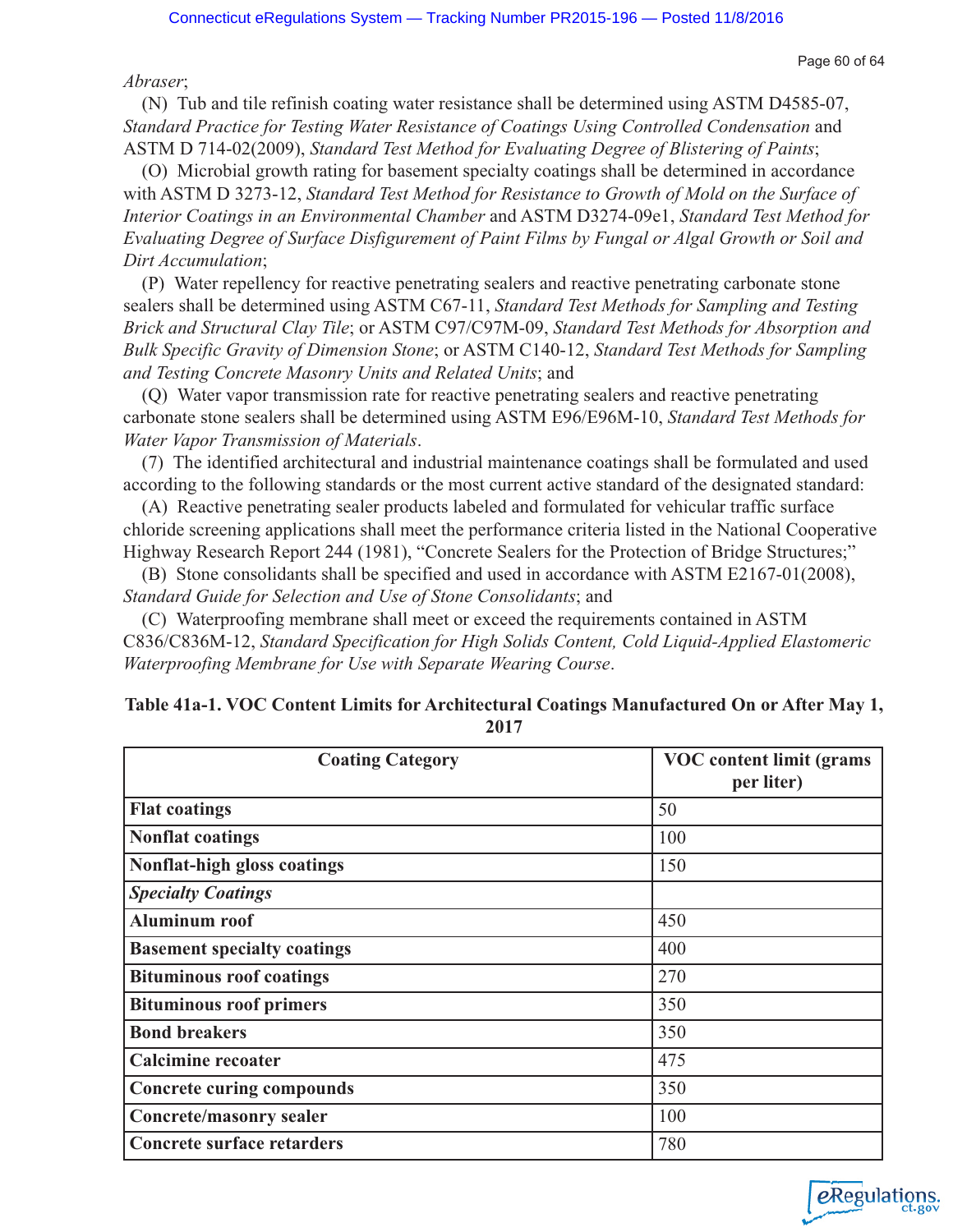*Abraser*;

(N) Tub and tile refinish coating water resistance shall be determined using ASTM D4585-07, *Standard Practice for Testing Water Resistance of Coatings Using Controlled Condensation* and ASTM D 714-02(2009), *Standard Test Method for Evaluating Degree of Blistering of Paints*;

(O) Microbial growth rating for basement specialty coatings shall be determined in accordance with ASTM D 3273-12, *Standard Test Method for Resistance to Growth of Mold on the Surface of Interior Coatings in an Environmental Chamber* and ASTM D3274-09e1, *Standard Test Method for Evaluating Degree of Surface Disfigurement of Paint Films by Fungal or Algal Growth or Soil and Dirt Accumulation*;

(P) Water repellency for reactive penetrating sealers and reactive penetrating carbonate stone sealers shall be determined using ASTM C67-11, *Standard Test Methods for Sampling and Testing Brick and Structural Clay Tile*; or ASTM C97/C97M-09, *Standard Test Methods for Absorption and Bulk Specific Gravity of Dimension Stone*; or ASTM C140-12, *Standard Test Methods for Sampling and Testing Concrete Masonry Units and Related Units*; and

(Q) Water vapor transmission rate for reactive penetrating sealers and reactive penetrating carbonate stone sealers shall be determined using ASTM E96/E96M-10, *Standard Test Methods for Water Vapor Transmission of Materials*.

(7) The identified architectural and industrial maintenance coatings shall be formulated and used according to the following standards or the most current active standard of the designated standard:

(A) Reactive penetrating sealer products labeled and formulated for vehicular traffic surface chloride screening applications shall meet the performance criteria listed in the National Cooperative Highway Research Report 244 (1981), "Concrete Sealers for the Protection of Bridge Structures;"

(B) Stone consolidants shall be specified and used in accordance with ASTM E2167-01(2008), *Standard Guide for Selection and Use of Stone Consolidants*; and

(C) Waterproofing membrane shall meet or exceed the requirements contained in ASTM C836/C836M-12, *Standard Specification for High Solids Content, Cold Liquid-Applied Elastomeric Waterproofing Membrane for Use with Separate Wearing Course*.

| <b>Coating Category</b>            | <b>VOC</b> content limit (grams<br>per liter) |
|------------------------------------|-----------------------------------------------|
| <b>Flat coatings</b>               | 50                                            |
| <b>Nonflat coatings</b>            | 100                                           |
| Nonflat-high gloss coatings        | 150                                           |
| <b>Specialty Coatings</b>          |                                               |
| <b>Aluminum roof</b>               | 450                                           |
| <b>Basement specialty coatings</b> | 400                                           |
| <b>Bituminous roof coatings</b>    | 270                                           |
| <b>Bituminous roof primers</b>     | 350                                           |
| <b>Bond breakers</b>               | 350                                           |
| <b>Calcimine recoater</b>          | 475                                           |
| <b>Concrete curing compounds</b>   | 350                                           |
| <b>Concrete/masonry sealer</b>     | 100                                           |
| <b>Concrete surface retarders</b>  | 780                                           |

| Table 41a-1. VOC Content Limits for Architectural Coatings Manufactured On or After May 1, |  |
|--------------------------------------------------------------------------------------------|--|
| 2017                                                                                       |  |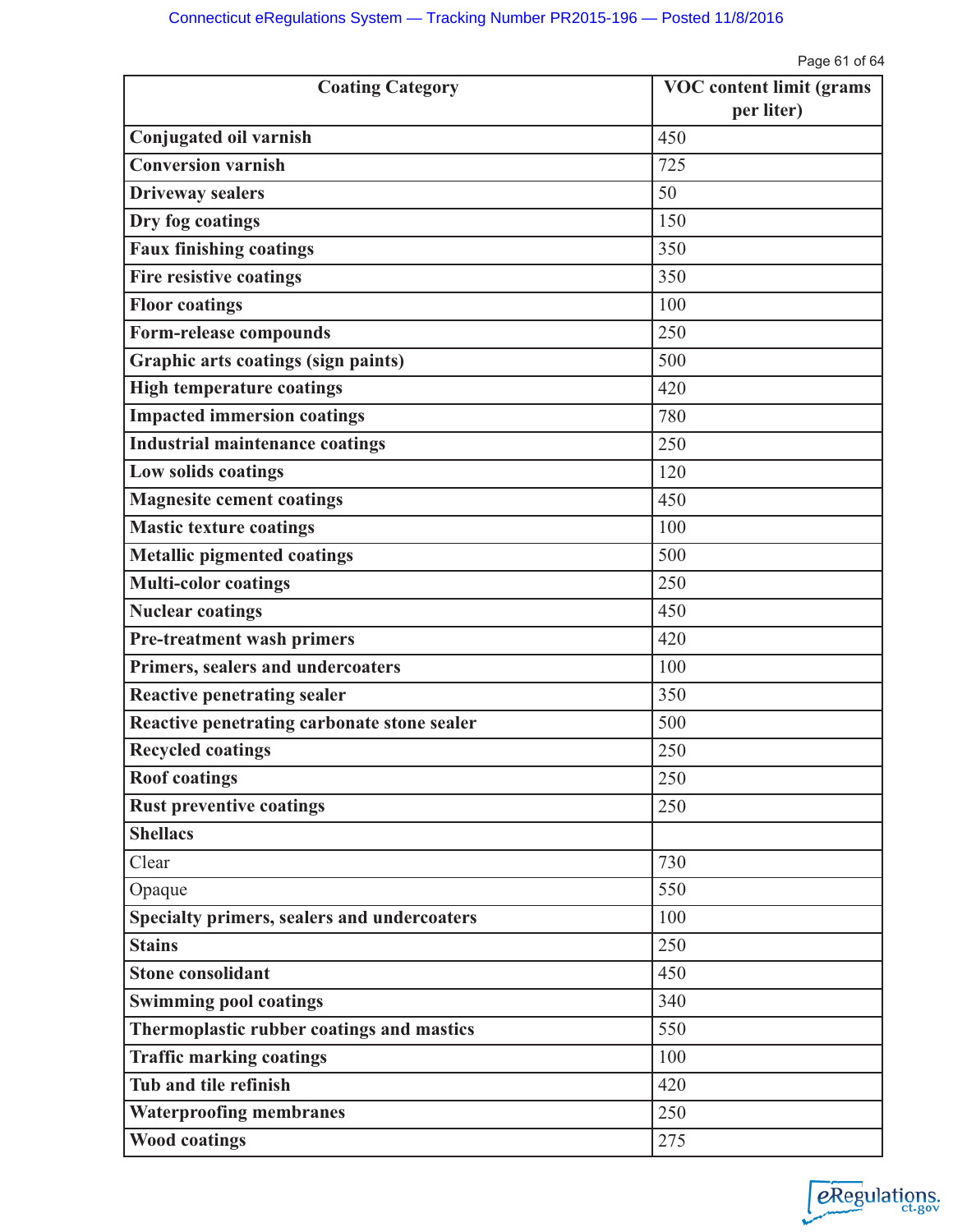Page 61 of 64

| <b>Coating Category</b>                             | <b>VOC</b> content limit (grams |
|-----------------------------------------------------|---------------------------------|
|                                                     | per liter)<br>450               |
| Conjugated oil varnish<br><b>Conversion varnish</b> | 725                             |
|                                                     |                                 |
| <b>Driveway sealers</b>                             | 50                              |
| Dry fog coatings                                    | 150                             |
| <b>Faux finishing coatings</b>                      | 350                             |
| Fire resistive coatings                             | 350                             |
| <b>Floor coatings</b>                               | 100                             |
| Form-release compounds                              | 250                             |
| Graphic arts coatings (sign paints)                 | 500                             |
| <b>High temperature coatings</b>                    | 420                             |
| <b>Impacted immersion coatings</b>                  | 780                             |
| <b>Industrial maintenance coatings</b>              | 250                             |
| Low solids coatings                                 | 120                             |
| <b>Magnesite cement coatings</b>                    | 450                             |
| <b>Mastic texture coatings</b>                      | 100                             |
| <b>Metallic pigmented coatings</b>                  | 500                             |
| <b>Multi-color coatings</b>                         | 250                             |
| <b>Nuclear coatings</b>                             | 450                             |
| <b>Pre-treatment wash primers</b>                   | 420                             |
| Primers, sealers and undercoaters                   | 100                             |
| <b>Reactive penetrating sealer</b>                  | 350                             |
| Reactive penetrating carbonate stone sealer         | 500                             |
| <b>Recycled coatings</b>                            | 250                             |
| <b>Roof coatings</b>                                | 250                             |
| <b>Rust preventive coatings</b>                     | 250                             |
| <b>Shellacs</b>                                     |                                 |
| Clear                                               | 730                             |
| Opaque                                              | 550                             |
| Specialty primers, sealers and undercoaters         | 100                             |
| <b>Stains</b>                                       | 250                             |
| <b>Stone consolidant</b>                            | 450                             |
| <b>Swimming pool coatings</b>                       | 340                             |
| Thermoplastic rubber coatings and mastics           | 550                             |
| <b>Traffic marking coatings</b>                     | 100                             |
| Tub and tile refinish                               | 420                             |
| <b>Waterproofing membranes</b>                      | 250                             |
| <b>Wood coatings</b>                                | 275                             |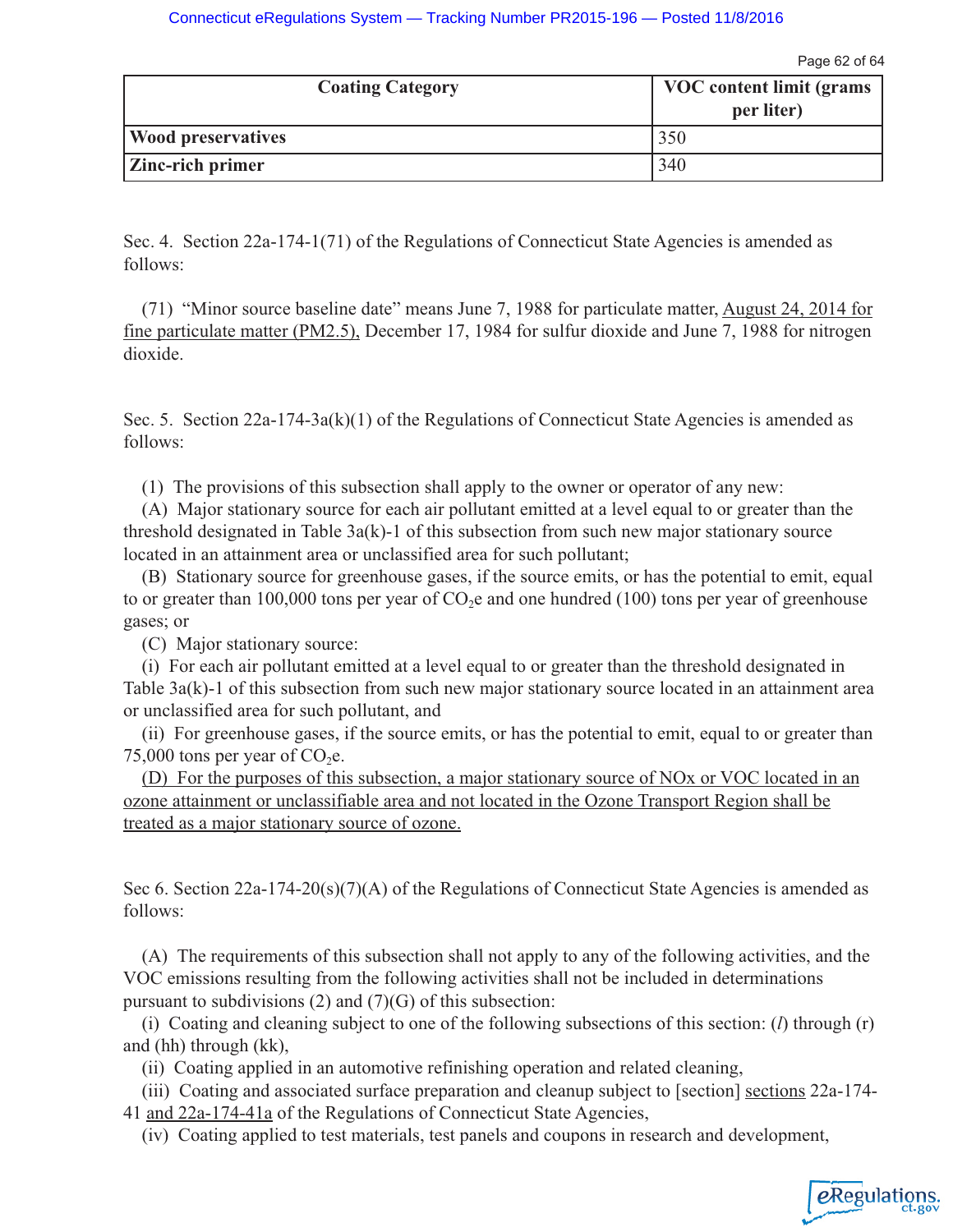Page 62 of 64

| <b>Coating Category</b>   | VOC content limit (grams)<br>per liter) |
|---------------------------|-----------------------------------------|
| <b>Wood preservatives</b> | 350                                     |
| <b>Zinc-rich primer</b>   | 340                                     |

Sec. 4. Section 22a-174-1(71) of the Regulations of Connecticut State Agencies is amended as follows:

(71) "Minor source baseline date" means June 7, 1988 for particulate matter, August 24, 2014 for fine particulate matter (PM2.5), December 17, 1984 for sulfur dioxide and June 7, 1988 for nitrogen dioxide.

Sec. 5. Section  $22a-174-3a(k)(1)$  of the Regulations of Connecticut State Agencies is amended as follows:

(1) The provisions of this subsection shall apply to the owner or operator of any new:

(A) Major stationary source for each air pollutant emitted at a level equal to or greater than the threshold designated in Table  $3a(k)-1$  of this subsection from such new major stationary source located in an attainment area or unclassified area for such pollutant;

(B) Stationary source for greenhouse gases, if the source emits, or has the potential to emit, equal to or greater than 100,000 tons per year of  $CO<sub>2</sub>e$  and one hundred (100) tons per year of greenhouse gases; or

(C) Major stationary source:

(i) For each air pollutant emitted at a level equal to or greater than the threshold designated in Table 3a(k)-1 of this subsection from such new major stationary source located in an attainment area or unclassified area for such pollutant, and

(ii) For greenhouse gases, if the source emits, or has the potential to emit, equal to or greater than 75,000 tons per year of  $CO<sub>2</sub>e$ .

(D) For the purposes of this subsection, a major stationary source of NOx or VOC located in an ozone attainment or unclassifiable area and not located in the Ozone Transport Region shall be treated as a major stationary source of ozone.

Sec 6. Section 22a-174-20(s)(7)(A) of the Regulations of Connecticut State Agencies is amended as follows:

(A) The requirements of this subsection shall not apply to any of the following activities, and the VOC emissions resulting from the following activities shall not be included in determinations pursuant to subdivisions (2) and (7)(G) of this subsection:

(i) Coating and cleaning subject to one of the following subsections of this section: (*l*) through (r) and (hh) through (kk),

(ii) Coating applied in an automotive refinishing operation and related cleaning,

(iii) Coating and associated surface preparation and cleanup subject to [section] sections 22a-174- 41 and 22a-174-41a of the Regulations of Connecticut State Agencies,

(iv) Coating applied to test materials, test panels and coupons in research and development,

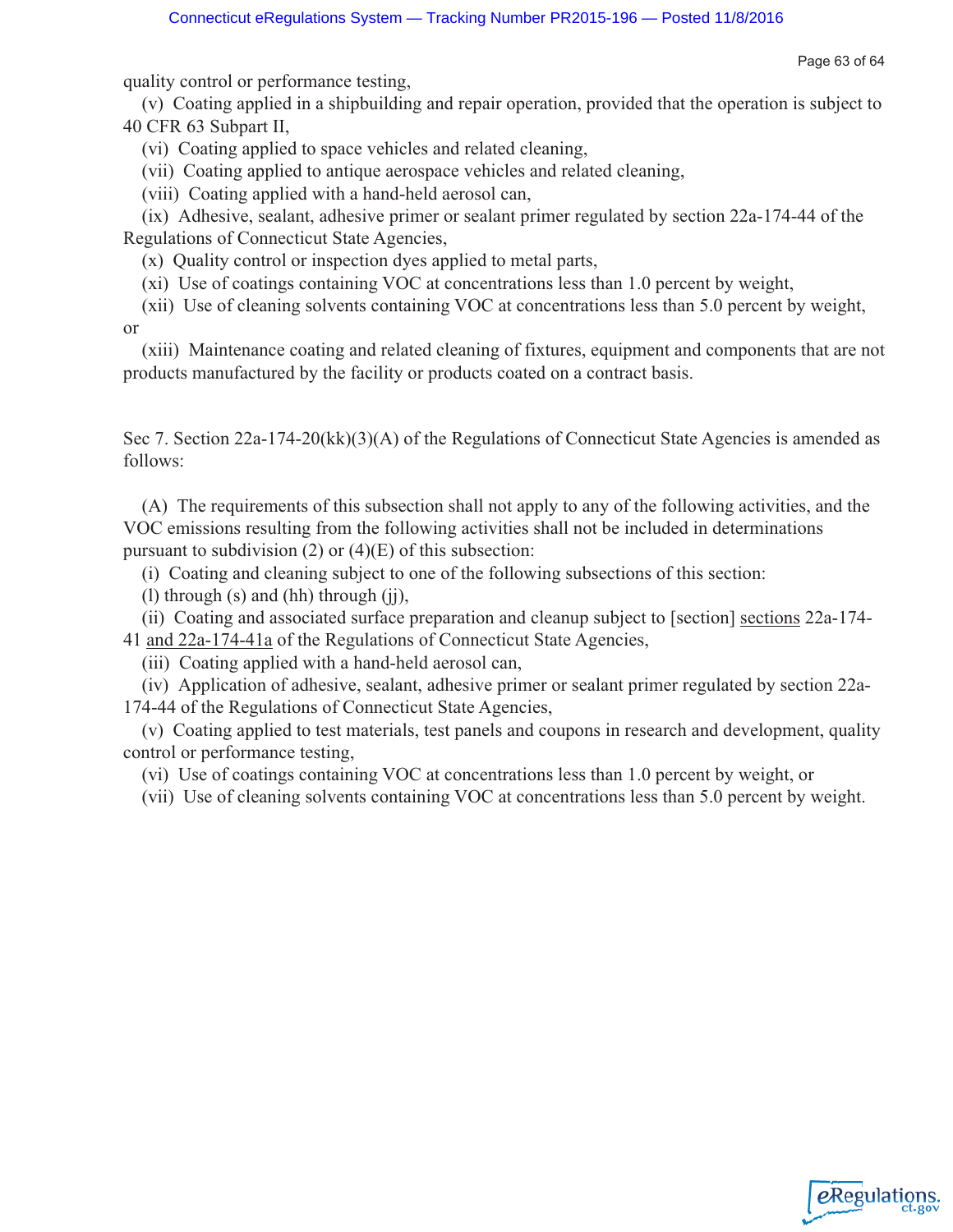Page 63 of 64

quality control or performance testing,

(v) Coating applied in a shipbuilding and repair operation, provided that the operation is subject to 40 CFR 63 Subpart II,

(vi) Coating applied to space vehicles and related cleaning,

(vii) Coating applied to antique aerospace vehicles and related cleaning,

(viii) Coating applied with a hand-held aerosol can,

(ix) Adhesive, sealant, adhesive primer or sealant primer regulated by section 22a-174-44 of the Regulations of Connecticut State Agencies,

(x) Quality control or inspection dyes applied to metal parts,

(xi) Use of coatings containing VOC at concentrations less than 1.0 percent by weight,

(xii) Use of cleaning solvents containing VOC at concentrations less than 5.0 percent by weight, or

(xiii) Maintenance coating and related cleaning of fixtures, equipment and components that are not products manufactured by the facility or products coated on a contract basis.

Sec 7. Section 22a-174-20(kk)(3)(A) of the Regulations of Connecticut State Agencies is amended as follows:

(A) The requirements of this subsection shall not apply to any of the following activities, and the VOC emissions resulting from the following activities shall not be included in determinations pursuant to subdivision  $(2)$  or  $(4)(E)$  of this subsection:

(i) Coating and cleaning subject to one of the following subsections of this section:

(l) through (s) and (hh) through (jj),

(ii) Coating and associated surface preparation and cleanup subject to [section] sections 22a-174- 41 and 22a-174-41a of the Regulations of Connecticut State Agencies,

(iii) Coating applied with a hand-held aerosol can,

(iv) Application of adhesive, sealant, adhesive primer or sealant primer regulated by section 22a-174-44 of the Regulations of Connecticut State Agencies,

(v) Coating applied to test materials, test panels and coupons in research and development, quality control or performance testing,

(vi) Use of coatings containing VOC at concentrations less than 1.0 percent by weight, or

(vii) Use of cleaning solvents containing VOC at concentrations less than 5.0 percent by weight.